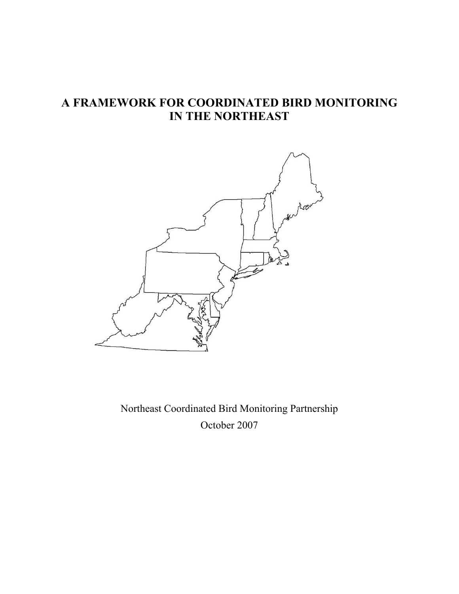# **A FRAMEWORK FOR COORDINATED BIRD MONITORING IN THE NORTHEAST**



Northeast Coordinated Bird Monitoring Partnership October 2007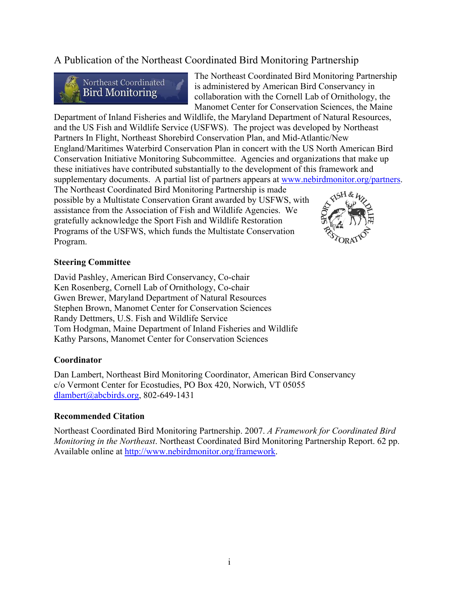# A Publication of the Northeast Coordinated Bird Monitoring Partnership



The Northeast Coordinated Bird Monitoring Partnership is administered by American Bird Conservancy in collaboration with the Cornell Lab of Ornithology, the Manomet Center for Conservation Sciences, the Maine

Department of Inland Fisheries and Wildlife, the Maryland Department of Natural Resources, and the US Fish and Wildlife Service (USFWS). The project was developed by Northeast Partners In Flight, Northeast Shorebird Conservation Plan, and Mid-Atlantic/New England/Maritimes Waterbird Conservation Plan in concert with the US North American Bird Conservation Initiative Monitoring Subcommittee. Agencies and organizations that make up these initiatives have contributed substantially to the development of this framework and supplementary documents. A partial list of partners appears at www.nebirdmonitor.org/partners.

The Northeast Coordinated Bird Monitoring Partnership is made possible by a Multistate Conservation Grant awarded by USFWS, with assistance from the Association of Fish and Wildlife Agencies. We gratefully acknowledge the Sport Fish and Wildlife Restoration Programs of the USFWS, which funds the Multistate Conservation Program.



#### **Steering Committee**

David Pashley, American Bird Conservancy, Co-chair Ken Rosenberg, Cornell Lab of Ornithology, Co-chair Gwen Brewer, Maryland Department of Natural Resources Stephen Brown, Manomet Center for Conservation Sciences Randy Dettmers, U.S. Fish and Wildlife Service Tom Hodgman, Maine Department of Inland Fisheries and Wildlife Kathy Parsons, Manomet Center for Conservation Sciences

#### **Coordinator**

Dan Lambert, Northeast Bird Monitoring Coordinator, American Bird Conservancy c/o Vermont Center for Ecostudies, PO Box 420, Norwich, VT 05055 dlambert@abcbirds.org, 802-649-1431

#### **Recommended Citation**

Northeast Coordinated Bird Monitoring Partnership. 2007. *A Framework for Coordinated Bird Monitoring in the Northeast*. Northeast Coordinated Bird Monitoring Partnership Report. 62 pp. Available online at http://www.nebirdmonitor.org/framework.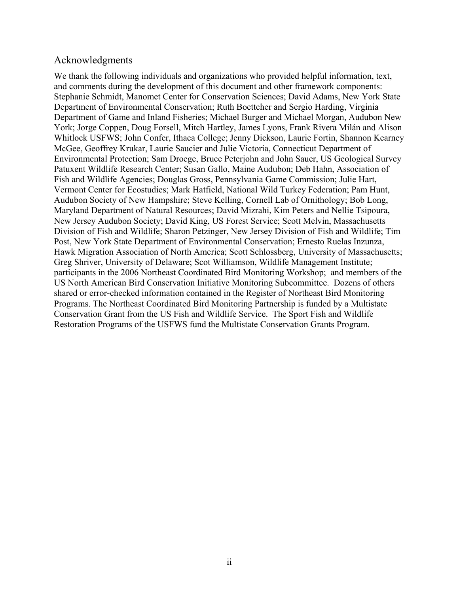# Acknowledgments

We thank the following individuals and organizations who provided helpful information, text, and comments during the development of this document and other framework components: Stephanie Schmidt, Manomet Center for Conservation Sciences; David Adams, New York State Department of Environmental Conservation; Ruth Boettcher and Sergio Harding, Virginia Department of Game and Inland Fisheries; Michael Burger and Michael Morgan, Audubon New York; Jorge Coppen, Doug Forsell, Mitch Hartley, James Lyons, Frank Rivera Milán and Alison Whitlock USFWS; John Confer, Ithaca College; Jenny Dickson, Laurie Fortin, Shannon Kearney McGee, Geoffrey Krukar, Laurie Saucier and Julie Victoria, Connecticut Department of Environmental Protection; Sam Droege, Bruce Peterjohn and John Sauer, US Geological Survey Patuxent Wildlife Research Center; Susan Gallo, Maine Audubon; Deb Hahn, Association of Fish and Wildlife Agencies; Douglas Gross, Pennsylvania Game Commission; Julie Hart, Vermont Center for Ecostudies; Mark Hatfield, National Wild Turkey Federation; Pam Hunt, Audubon Society of New Hampshire; Steve Kelling, Cornell Lab of Ornithology; Bob Long, Maryland Department of Natural Resources; David Mizrahi, Kim Peters and Nellie Tsipoura, New Jersey Audubon Society; David King, US Forest Service; Scott Melvin, Massachusetts Division of Fish and Wildlife; Sharon Petzinger, New Jersey Division of Fish and Wildlife; Tim Post, New York State Department of Environmental Conservation; Ernesto Ruelas Inzunza, Hawk Migration Association of North America; Scott Schlossberg, University of Massachusetts; Greg Shriver, University of Delaware; Scot Williamson, Wildlife Management Institute; participants in the 2006 Northeast Coordinated Bird Monitoring Workshop; and members of the US North American Bird Conservation Initiative Monitoring Subcommittee. Dozens of others shared or error-checked information contained in the Register of Northeast Bird Monitoring Programs. The Northeast Coordinated Bird Monitoring Partnership is funded by a Multistate Conservation Grant from the US Fish and Wildlife Service. The Sport Fish and Wildlife Restoration Programs of the USFWS fund the Multistate Conservation Grants Program.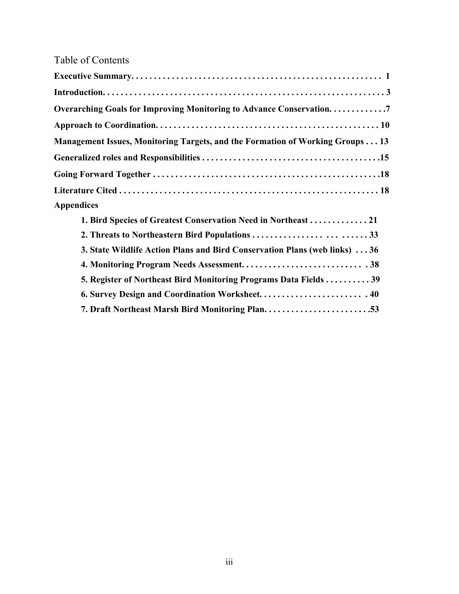# Table of Contents

| Overarching Goals for Improving Monitoring to Advance Conservation7           |
|-------------------------------------------------------------------------------|
|                                                                               |
| Management Issues, Monitoring Targets, and the Formation of Working Groups 13 |
|                                                                               |
|                                                                               |
|                                                                               |
| <b>Appendices</b>                                                             |
| 1. Bird Species of Greatest Conservation Need in Northeast  21                |
|                                                                               |
| 3. State Wildlife Action Plans and Bird Conservation Plans (web links)  36    |
|                                                                               |
| 5. Register of Northeast Bird Monitoring Programs Data Fields  39             |
| 6. Survey Design and Coordination Worksheet.  40                              |
|                                                                               |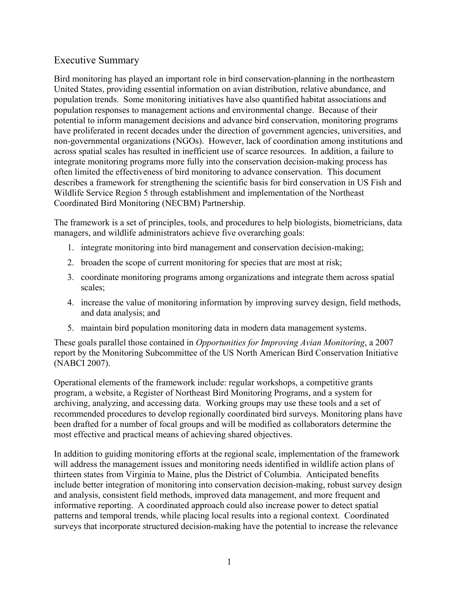# Executive Summary

Bird monitoring has played an important role in bird conservation-planning in the northeastern United States, providing essential information on avian distribution, relative abundance, and population trends. Some monitoring initiatives have also quantified habitat associations and population responses to management actions and environmental change. Because of their potential to inform management decisions and advance bird conservation, monitoring programs have proliferated in recent decades under the direction of government agencies, universities, and non-governmental organizations (NGOs). However, lack of coordination among institutions and across spatial scales has resulted in inefficient use of scarce resources. In addition, a failure to integrate monitoring programs more fully into the conservation decision-making process has often limited the effectiveness of bird monitoring to advance conservation. This document describes a framework for strengthening the scientific basis for bird conservation in US Fish and Wildlife Service Region 5 through establishment and implementation of the Northeast Coordinated Bird Monitoring (NECBM) Partnership.

The framework is a set of principles, tools, and procedures to help biologists, biometricians, data managers, and wildlife administrators achieve five overarching goals:

- 1. integrate monitoring into bird management and conservation decision-making;
- 2. broaden the scope of current monitoring for species that are most at risk;
- 3. coordinate monitoring programs among organizations and integrate them across spatial scales;
- 4. increase the value of monitoring information by improving survey design, field methods, and data analysis; and
- 5. maintain bird population monitoring data in modern data management systems.

These goals parallel those contained in *Opportunities for Improving Avian Monitoring*, a 2007 report by the Monitoring Subcommittee of the US North American Bird Conservation Initiative (NABCI 2007).

Operational elements of the framework include: regular workshops, a competitive grants program, a website, a Register of Northeast Bird Monitoring Programs, and a system for archiving, analyzing, and accessing data. Working groups may use these tools and a set of recommended procedures to develop regionally coordinated bird surveys. Monitoring plans have been drafted for a number of focal groups and will be modified as collaborators determine the most effective and practical means of achieving shared objectives.

In addition to guiding monitoring efforts at the regional scale, implementation of the framework will address the management issues and monitoring needs identified in wildlife action plans of thirteen states from Virginia to Maine, plus the District of Columbia. Anticipated benefits include better integration of monitoring into conservation decision-making, robust survey design and analysis, consistent field methods, improved data management, and more frequent and informative reporting. A coordinated approach could also increase power to detect spatial patterns and temporal trends, while placing local results into a regional context. Coordinated surveys that incorporate structured decision-making have the potential to increase the relevance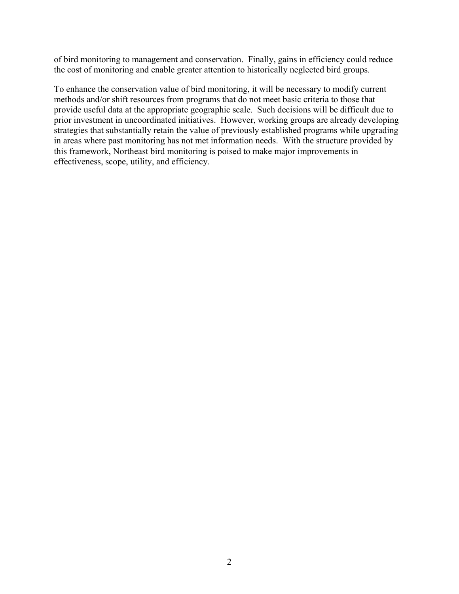of bird monitoring to management and conservation. Finally, gains in efficiency could reduce the cost of monitoring and enable greater attention to historically neglected bird groups.

To enhance the conservation value of bird monitoring, it will be necessary to modify current methods and/or shift resources from programs that do not meet basic criteria to those that provide useful data at the appropriate geographic scale. Such decisions will be difficult due to prior investment in uncoordinated initiatives. However, working groups are already developing strategies that substantially retain the value of previously established programs while upgrading in areas where past monitoring has not met information needs. With the structure provided by this framework, Northeast bird monitoring is poised to make major improvements in effectiveness, scope, utility, and efficiency.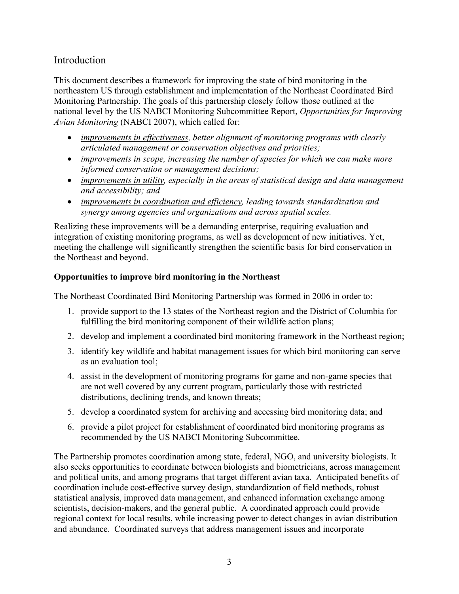# Introduction

This document describes a framework for improving the state of bird monitoring in the northeastern US through establishment and implementation of the Northeast Coordinated Bird Monitoring Partnership. The goals of this partnership closely follow those outlined at the national level by the US NABCI Monitoring Subcommittee Report, *Opportunities for Improving Avian Monitoring* (NABCI 2007), which called for:

- *improvements in effectiveness, better alignment of monitoring programs with clearly articulated management or conservation objectives and priorities;*
- *improvements in scope, increasing the number of species for which we can make more informed conservation or management decisions;*
- *improvements in utility, especially in the areas of statistical design and data management and accessibility; and*
- *improvements in coordination and efficiency, leading towards standardization and synergy among agencies and organizations and across spatial scales.*

Realizing these improvements will be a demanding enterprise, requiring evaluation and integration of existing monitoring programs, as well as development of new initiatives. Yet, meeting the challenge will significantly strengthen the scientific basis for bird conservation in the Northeast and beyond.

# **Opportunities to improve bird monitoring in the Northeast**

The Northeast Coordinated Bird Monitoring Partnership was formed in 2006 in order to:

- 1. provide support to the 13 states of the Northeast region and the District of Columbia for fulfilling the bird monitoring component of their wildlife action plans;
- 2. develop and implement a coordinated bird monitoring framework in the Northeast region;
- 3. identify key wildlife and habitat management issues for which bird monitoring can serve as an evaluation tool;
- 4. assist in the development of monitoring programs for game and non-game species that are not well covered by any current program, particularly those with restricted distributions, declining trends, and known threats;
- 5. develop a coordinated system for archiving and accessing bird monitoring data; and
- 6. provide a pilot project for establishment of coordinated bird monitoring programs as recommended by the US NABCI Monitoring Subcommittee.

The Partnership promotes coordination among state, federal, NGO, and university biologists. It also seeks opportunities to coordinate between biologists and biometricians, across management and political units, and among programs that target different avian taxa. Anticipated benefits of coordination include cost-effective survey design, standardization of field methods, robust statistical analysis, improved data management, and enhanced information exchange among scientists, decision-makers, and the general public. A coordinated approach could provide regional context for local results, while increasing power to detect changes in avian distribution and abundance. Coordinated surveys that address management issues and incorporate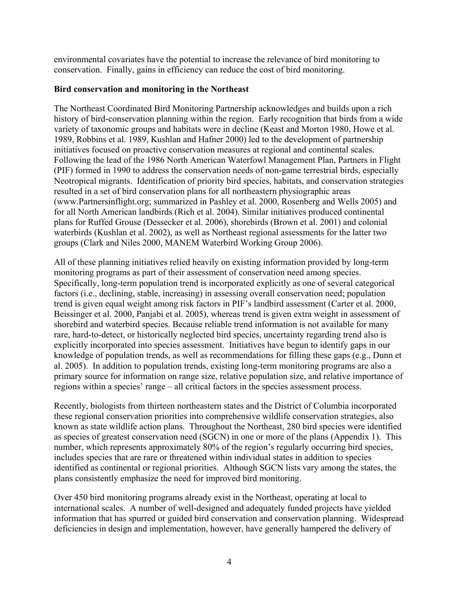environmental covariates have the potential to increase the relevance of bird monitoring to conservation. Finally, gains in efficiency can reduce the cost of bird monitoring.

#### **Bird conservation and monitoring in the Northeast**

The Northeast Coordinated Bird Monitoring Partnership acknowledges and builds upon a rich history of bird-conservation planning within the region. Early recognition that birds from a wide variety of taxonomic groups and habitats were in decline (Keast and Morton 1980, Howe et al. 1989, Robbins et al. 1989, Kushlan and Hafner 2000) led to the development of partnership initiatives focused on proactive conservation measures at regional and continental scales. Following the lead of the 1986 North American Waterfowl Management Plan, Partners in Flight (PIF) formed in 1990 to address the conservation needs of non-game terrestrial birds, especially Neotropical migrants. Identification of priority bird species, habitats, and conservation strategies resulted in a set of bird conservation plans for all northeastern physiographic areas (www.Partnersinflight.org; summarized in Pashley et al. 2000, Rosenberg and Wells 2005) and for all North American landbirds (Rich et al. 2004). Similar initiatives produced continental plans for Ruffed Grouse (Dessecker et al. 2006), shorebirds (Brown et al. 2001) and colonial waterbirds (Kushlan et al. 2002), as well as Northeast regional assessments for the latter two groups (Clark and Niles 2000, MANEM Waterbird Working Group 2006).

All of these planning initiatives relied heavily on existing information provided by long-term monitoring programs as part of their assessment of conservation need among species. Specifically, long-term population trend is incorporated explicitly as one of several categorical factors (i.e., declining, stable, increasing) in assessing overall conservation need; population trend is given equal weight among risk factors in PIF's landbird assessment (Carter et al. 2000, Beissinger et al. 2000, Panjabi et al. 2005), whereas trend is given extra weight in assessment of shorebird and waterbird species. Because reliable trend information is not available for many rare, hard-to-detect, or historically neglected bird species, uncertainty regarding trend also is explicitly incorporated into species assessment. Initiatives have begun to identify gaps in our knowledge of population trends, as well as recommendations for filling these gaps (e.g., Dunn et al. 2005). In addition to population trends, existing long-term monitoring programs are also a primary source for information on range size, relative population size, and relative importance of regions within a species' range – all critical factors in the species assessment process.

Recently, biologists from thirteen northeastern states and the District of Columbia incorporated these regional conservation priorities into comprehensive wildlife conservation strategies, also known as state wildlife action plans. Throughout the Northeast, 280 bird species were identified as species of greatest conservation need (SGCN) in one or more of the plans (Appendix 1). This number, which represents approximately 80% of the region's regularly occurring bird species, includes species that are rare or threatened within individual states in addition to species identified as continental or regional priorities. Although SGCN lists vary among the states, the plans consistently emphasize the need for improved bird monitoring.

Over 450 bird monitoring programs already exist in the Northeast, operating at local to international scales. A number of well-designed and adequately funded projects have yielded information that has spurred or guided bird conservation and conservation planning. Widespread deficiencies in design and implementation, however, have generally hampered the delivery of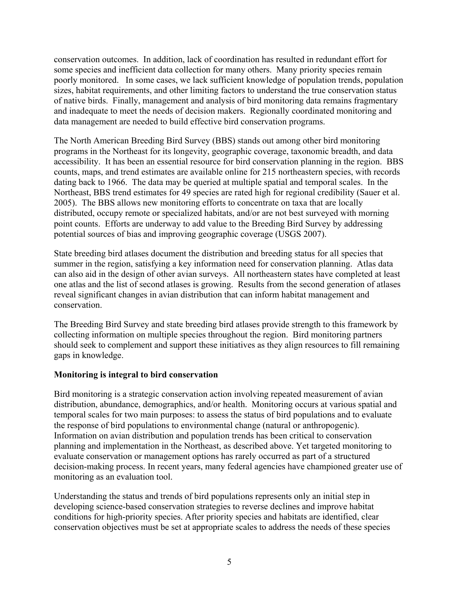conservation outcomes. In addition, lack of coordination has resulted in redundant effort for some species and inefficient data collection for many others. Many priority species remain poorly monitored. In some cases, we lack sufficient knowledge of population trends, population sizes, habitat requirements, and other limiting factors to understand the true conservation status of native birds. Finally, management and analysis of bird monitoring data remains fragmentary and inadequate to meet the needs of decision makers. Regionally coordinated monitoring and data management are needed to build effective bird conservation programs.

The North American Breeding Bird Survey (BBS) stands out among other bird monitoring programs in the Northeast for its longevity, geographic coverage, taxonomic breadth, and data accessibility. It has been an essential resource for bird conservation planning in the region. BBS counts, maps, and trend estimates are available online for 215 northeastern species, with records dating back to 1966. The data may be queried at multiple spatial and temporal scales. In the Northeast, BBS trend estimates for 49 species are rated high for regional credibility (Sauer et al. 2005). The BBS allows new monitoring efforts to concentrate on taxa that are locally distributed, occupy remote or specialized habitats, and/or are not best surveyed with morning point counts. Efforts are underway to add value to the Breeding Bird Survey by addressing potential sources of bias and improving geographic coverage (USGS 2007).

State breeding bird atlases document the distribution and breeding status for all species that summer in the region, satisfying a key information need for conservation planning. Atlas data can also aid in the design of other avian surveys. All northeastern states have completed at least one atlas and the list of second atlases is growing. Results from the second generation of atlases reveal significant changes in avian distribution that can inform habitat management and conservation.

The Breeding Bird Survey and state breeding bird atlases provide strength to this framework by collecting information on multiple species throughout the region. Bird monitoring partners should seek to complement and support these initiatives as they align resources to fill remaining gaps in knowledge.

# **Monitoring is integral to bird conservation**

Bird monitoring is a strategic conservation action involving repeated measurement of avian distribution, abundance, demographics, and/or health. Monitoring occurs at various spatial and temporal scales for two main purposes: to assess the status of bird populations and to evaluate the response of bird populations to environmental change (natural or anthropogenic). Information on avian distribution and population trends has been critical to conservation planning and implementation in the Northeast, as described above. Yet targeted monitoring to evaluate conservation or management options has rarely occurred as part of a structured decision-making process. In recent years, many federal agencies have championed greater use of monitoring as an evaluation tool.

Understanding the status and trends of bird populations represents only an initial step in developing science-based conservation strategies to reverse declines and improve habitat conditions for high-priority species. After priority species and habitats are identified, clear conservation objectives must be set at appropriate scales to address the needs of these species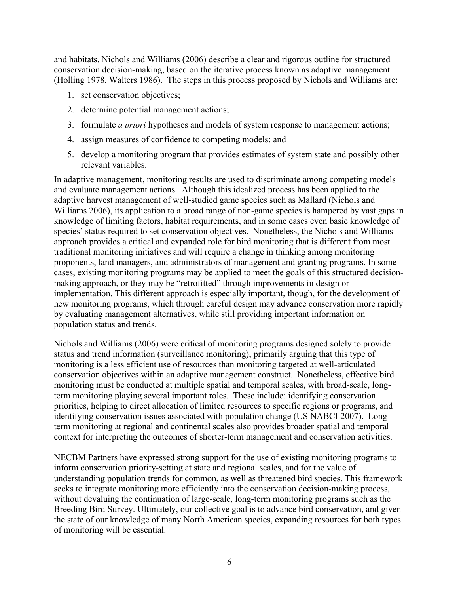and habitats. Nichols and Williams (2006) describe a clear and rigorous outline for structured conservation decision-making, based on the iterative process known as adaptive management (Holling 1978, Walters 1986). The steps in this process proposed by Nichols and Williams are:

- 1. set conservation objectives;
- 2. determine potential management actions;
- 3. formulate *a priori* hypotheses and models of system response to management actions;
- 4. assign measures of confidence to competing models; and
- 5. develop a monitoring program that provides estimates of system state and possibly other relevant variables.

In adaptive management, monitoring results are used to discriminate among competing models and evaluate management actions. Although this idealized process has been applied to the adaptive harvest management of well-studied game species such as Mallard (Nichols and Williams 2006), its application to a broad range of non-game species is hampered by vast gaps in knowledge of limiting factors, habitat requirements, and in some cases even basic knowledge of species' status required to set conservation objectives. Nonetheless, the Nichols and Williams approach provides a critical and expanded role for bird monitoring that is different from most traditional monitoring initiatives and will require a change in thinking among monitoring proponents, land managers, and administrators of management and granting programs. In some cases, existing monitoring programs may be applied to meet the goals of this structured decisionmaking approach, or they may be "retrofitted" through improvements in design or implementation. This different approach is especially important, though, for the development of new monitoring programs, which through careful design may advance conservation more rapidly by evaluating management alternatives, while still providing important information on population status and trends.

Nichols and Williams (2006) were critical of monitoring programs designed solely to provide status and trend information (surveillance monitoring), primarily arguing that this type of monitoring is a less efficient use of resources than monitoring targeted at well-articulated conservation objectives within an adaptive management construct. Nonetheless, effective bird monitoring must be conducted at multiple spatial and temporal scales, with broad-scale, longterm monitoring playing several important roles. These include: identifying conservation priorities, helping to direct allocation of limited resources to specific regions or programs, and identifying conservation issues associated with population change (US NABCI 2007). Longterm monitoring at regional and continental scales also provides broader spatial and temporal context for interpreting the outcomes of shorter-term management and conservation activities.

NECBM Partners have expressed strong support for the use of existing monitoring programs to inform conservation priority-setting at state and regional scales, and for the value of understanding population trends for common, as well as threatened bird species. This framework seeks to integrate monitoring more efficiently into the conservation decision-making process, without devaluing the continuation of large-scale, long-term monitoring programs such as the Breeding Bird Survey. Ultimately, our collective goal is to advance bird conservation, and given the state of our knowledge of many North American species, expanding resources for both types of monitoring will be essential.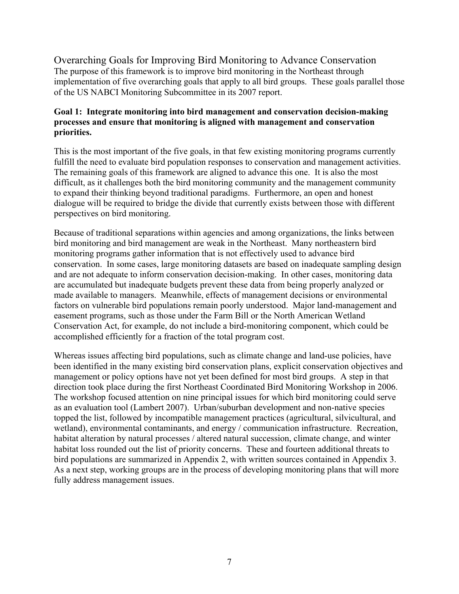Overarching Goals for Improving Bird Monitoring to Advance Conservation The purpose of this framework is to improve bird monitoring in the Northeast through implementation of five overarching goals that apply to all bird groups. These goals parallel those of the US NABCI Monitoring Subcommittee in its 2007 report.

#### **Goal 1: Integrate monitoring into bird management and conservation decision-making processes and ensure that monitoring is aligned with management and conservation priorities.**

This is the most important of the five goals, in that few existing monitoring programs currently fulfill the need to evaluate bird population responses to conservation and management activities. The remaining goals of this framework are aligned to advance this one. It is also the most difficult, as it challenges both the bird monitoring community and the management community to expand their thinking beyond traditional paradigms. Furthermore, an open and honest dialogue will be required to bridge the divide that currently exists between those with different perspectives on bird monitoring.

Because of traditional separations within agencies and among organizations, the links between bird monitoring and bird management are weak in the Northeast. Many northeastern bird monitoring programs gather information that is not effectively used to advance bird conservation. In some cases, large monitoring datasets are based on inadequate sampling design and are not adequate to inform conservation decision-making. In other cases, monitoring data are accumulated but inadequate budgets prevent these data from being properly analyzed or made available to managers. Meanwhile, effects of management decisions or environmental factors on vulnerable bird populations remain poorly understood. Major land-management and easement programs, such as those under the Farm Bill or the North American Wetland Conservation Act, for example, do not include a bird-monitoring component, which could be accomplished efficiently for a fraction of the total program cost.

Whereas issues affecting bird populations, such as climate change and land-use policies, have been identified in the many existing bird conservation plans, explicit conservation objectives and management or policy options have not yet been defined for most bird groups. A step in that direction took place during the first Northeast Coordinated Bird Monitoring Workshop in 2006. The workshop focused attention on nine principal issues for which bird monitoring could serve as an evaluation tool (Lambert 2007). Urban/suburban development and non-native species topped the list, followed by incompatible management practices (agricultural, silvicultural, and wetland), environmental contaminants, and energy / communication infrastructure. Recreation, habitat alteration by natural processes / altered natural succession, climate change, and winter habitat loss rounded out the list of priority concerns. These and fourteen additional threats to bird populations are summarized in Appendix 2, with written sources contained in Appendix 3. As a next step, working groups are in the process of developing monitoring plans that will more fully address management issues.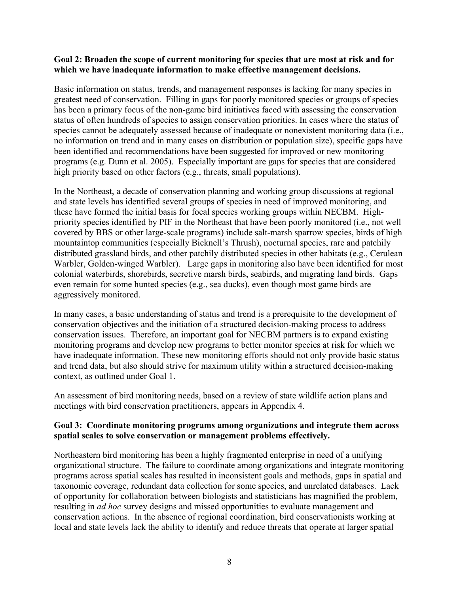#### **Goal 2: Broaden the scope of current monitoring for species that are most at risk and for which we have inadequate information to make effective management decisions.**

Basic information on status, trends, and management responses is lacking for many species in greatest need of conservation. Filling in gaps for poorly monitored species or groups of species has been a primary focus of the non-game bird initiatives faced with assessing the conservation status of often hundreds of species to assign conservation priorities. In cases where the status of species cannot be adequately assessed because of inadequate or nonexistent monitoring data (i.e., no information on trend and in many cases on distribution or population size), specific gaps have been identified and recommendations have been suggested for improved or new monitoring programs (e.g. Dunn et al. 2005). Especially important are gaps for species that are considered high priority based on other factors (e.g., threats, small populations).

In the Northeast, a decade of conservation planning and working group discussions at regional and state levels has identified several groups of species in need of improved monitoring, and these have formed the initial basis for focal species working groups within NECBM. Highpriority species identified by PIF in the Northeast that have been poorly monitored (i.e., not well covered by BBS or other large-scale programs) include salt-marsh sparrow species, birds of high mountaintop communities (especially Bicknell's Thrush), nocturnal species, rare and patchily distributed grassland birds, and other patchily distributed species in other habitats (e.g., Cerulean Warbler, Golden-winged Warbler). Large gaps in monitoring also have been identified for most colonial waterbirds, shorebirds, secretive marsh birds, seabirds, and migrating land birds. Gaps even remain for some hunted species (e.g., sea ducks), even though most game birds are aggressively monitored.

In many cases, a basic understanding of status and trend is a prerequisite to the development of conservation objectives and the initiation of a structured decision-making process to address conservation issues. Therefore, an important goal for NECBM partners is to expand existing monitoring programs and develop new programs to better monitor species at risk for which we have inadequate information. These new monitoring efforts should not only provide basic status and trend data, but also should strive for maximum utility within a structured decision-making context, as outlined under Goal 1.

An assessment of bird monitoring needs, based on a review of state wildlife action plans and meetings with bird conservation practitioners, appears in Appendix 4.

# **Goal 3: Coordinate monitoring programs among organizations and integrate them across spatial scales to solve conservation or management problems effectively.**

Northeastern bird monitoring has been a highly fragmented enterprise in need of a unifying organizational structure. The failure to coordinate among organizations and integrate monitoring programs across spatial scales has resulted in inconsistent goals and methods, gaps in spatial and taxonomic coverage, redundant data collection for some species, and unrelated databases. Lack of opportunity for collaboration between biologists and statisticians has magnified the problem, resulting in *ad hoc* survey designs and missed opportunities to evaluate management and conservation actions. In the absence of regional coordination, bird conservationists working at local and state levels lack the ability to identify and reduce threats that operate at larger spatial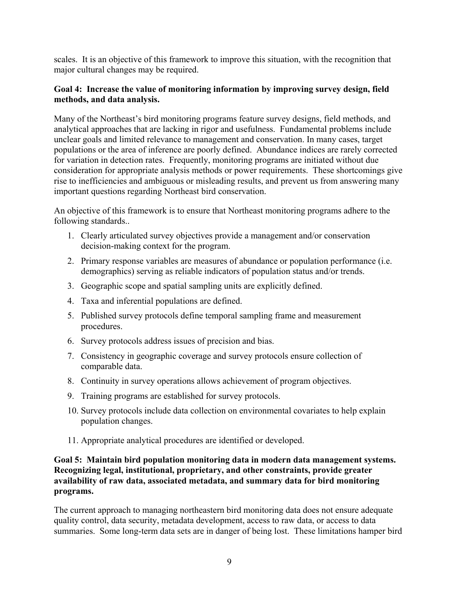scales. It is an objective of this framework to improve this situation, with the recognition that major cultural changes may be required.

## **Goal 4: Increase the value of monitoring information by improving survey design, field methods, and data analysis.**

Many of the Northeast's bird monitoring programs feature survey designs, field methods, and analytical approaches that are lacking in rigor and usefulness. Fundamental problems include unclear goals and limited relevance to management and conservation. In many cases, target populations or the area of inference are poorly defined. Abundance indices are rarely corrected for variation in detection rates. Frequently, monitoring programs are initiated without due consideration for appropriate analysis methods or power requirements. These shortcomings give rise to inefficiencies and ambiguous or misleading results, and prevent us from answering many important questions regarding Northeast bird conservation.

An objective of this framework is to ensure that Northeast monitoring programs adhere to the following standards..

- 1. Clearly articulated survey objectives provide a management and/or conservation decision-making context for the program.
- 2. Primary response variables are measures of abundance or population performance (i.e. demographics) serving as reliable indicators of population status and/or trends.
- 3. Geographic scope and spatial sampling units are explicitly defined.
- 4. Taxa and inferential populations are defined.
- 5. Published survey protocols define temporal sampling frame and measurement procedures.
- 6. Survey protocols address issues of precision and bias.
- 7. Consistency in geographic coverage and survey protocols ensure collection of comparable data.
- 8. Continuity in survey operations allows achievement of program objectives.
- 9. Training programs are established for survey protocols.
- 10. Survey protocols include data collection on environmental covariates to help explain population changes.
- 11. Appropriate analytical procedures are identified or developed.

# **Goal 5: Maintain bird population monitoring data in modern data management systems. Recognizing legal, institutional, proprietary, and other constraints, provide greater availability of raw data, associated metadata, and summary data for bird monitoring programs.**

The current approach to managing northeastern bird monitoring data does not ensure adequate quality control, data security, metadata development, access to raw data, or access to data summaries. Some long-term data sets are in danger of being lost. These limitations hamper bird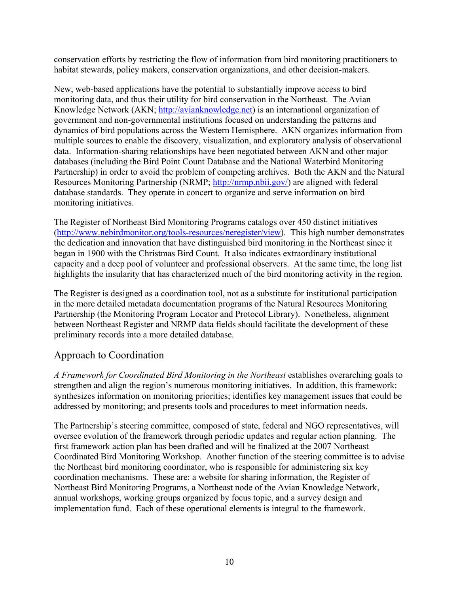conservation efforts by restricting the flow of information from bird monitoring practitioners to habitat stewards, policy makers, conservation organizations, and other decision-makers.

New, web-based applications have the potential to substantially improve access to bird monitoring data, and thus their utility for bird conservation in the Northeast. The Avian Knowledge Network (AKN; http://avianknowledge.net) is an international organization of government and non-governmental institutions focused on understanding the patterns and dynamics of bird populations across the Western Hemisphere. AKN organizes information from multiple sources to enable the discovery, visualization, and exploratory analysis of observational data. Information-sharing relationships have been negotiated between AKN and other major databases (including the Bird Point Count Database and the National Waterbird Monitoring Partnership) in order to avoid the problem of competing archives. Both the AKN and the Natural Resources Monitoring Partnership (NRMP; http://nrmp.nbii.gov/) are aligned with federal database standards. They operate in concert to organize and serve information on bird monitoring initiatives.

The Register of Northeast Bird Monitoring Programs catalogs over 450 distinct initiatives (http://www.nebirdmonitor.org/tools-resources/neregister/view). This high number demonstrates the dedication and innovation that have distinguished bird monitoring in the Northeast since it began in 1900 with the Christmas Bird Count. It also indicates extraordinary institutional capacity and a deep pool of volunteer and professional observers. At the same time, the long list highlights the insularity that has characterized much of the bird monitoring activity in the region.

The Register is designed as a coordination tool, not as a substitute for institutional participation in the more detailed metadata documentation programs of the Natural Resources Monitoring Partnership (the Monitoring Program Locator and Protocol Library). Nonetheless, alignment between Northeast Register and NRMP data fields should facilitate the development of these preliminary records into a more detailed database.

# Approach to Coordination

*A Framework for Coordinated Bird Monitoring in the Northeast* establishes overarching goals to strengthen and align the region's numerous monitoring initiatives. In addition, this framework: synthesizes information on monitoring priorities; identifies key management issues that could be addressed by monitoring; and presents tools and procedures to meet information needs.

The Partnership's steering committee, composed of state, federal and NGO representatives, will oversee evolution of the framework through periodic updates and regular action planning. The first framework action plan has been drafted and will be finalized at the 2007 Northeast Coordinated Bird Monitoring Workshop. Another function of the steering committee is to advise the Northeast bird monitoring coordinator, who is responsible for administering six key coordination mechanisms. These are: a website for sharing information, the Register of Northeast Bird Monitoring Programs, a Northeast node of the Avian Knowledge Network, annual workshops, working groups organized by focus topic, and a survey design and implementation fund. Each of these operational elements is integral to the framework.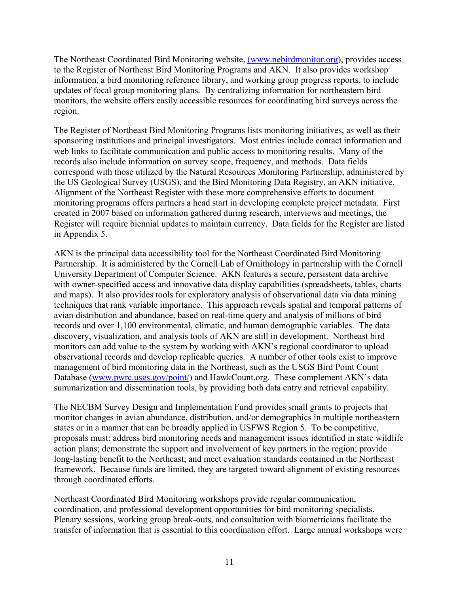The Northeast Coordinated Bird Monitoring website, (www.nebirdmonitor.org), provides access to the Register of Northeast Bird Monitoring Programs and AKN. It also provides workshop information, a bird monitoring reference library, and working group progress reports, to include updates of focal group monitoring plans. By centralizing information for northeastern bird monitors, the website offers easily accessible resources for coordinating bird surveys across the region.

The Register of Northeast Bird Monitoring Programs lists monitoring initiatives, as well as their sponsoring institutions and principal investigators. Most entries include contact information and web links to facilitate communication and public access to monitoring results. Many of the records also include information on survey scope, frequency, and methods. Data fields correspond with those utilized by the Natural Resources Monitoring Partnership, administered by the US Geological Survey (USGS), and the Bird Monitoring Data Registry, an AKN initiative. Alignment of the Northeast Register with these more comprehensive efforts to document monitoring programs offers partners a head start in developing complete project metadata. First created in 2007 based on information gathered during research, interviews and meetings, the Register will require biennial updates to maintain currency. Data fields for the Register are listed in Appendix 5.

AKN is the principal data accessibility tool for the Northeast Coordinated Bird Monitoring Partnership. It is administered by the Cornell Lab of Ornithology in partnership with the Cornell University Department of Computer Science. AKN features a secure, persistent data archive with owner-specified access and innovative data display capabilities (spreadsheets, tables, charts and maps). It also provides tools for exploratory analysis of observational data via data mining techniques that rank variable importance. This approach reveals spatial and temporal patterns of avian distribution and abundance, based on real-time query and analysis of millions of bird records and over 1,100 environmental, climatic, and human demographic variables. The data discovery, visualization, and analysis tools of AKN are still in development. Northeast bird monitors can add value to the system by working with AKN's regional coordinator to upload observational records and develop replicable queries. A number of other tools exist to improve management of bird monitoring data in the Northeast, such as the USGS Bird Point Count Database (www.pwrc.usgs.gov/point/) and HawkCount.org. These complement AKN's data summarization and dissemination tools, by providing both data entry and retrieval capability.

The NECBM Survey Design and Implementation Fund provides small grants to projects that monitor changes in avian abundance, distribution, and/or demographics in multiple northeastern states or in a manner that can be broadly applied in USFWS Region 5. To be competitive, proposals must: address bird monitoring needs and management issues identified in state wildlife action plans; demonstrate the support and involvement of key partners in the region; provide long-lasting benefit to the Northeast; and meet evaluation standards contained in the Northeast framework. Because funds are limited, they are targeted toward alignment of existing resources through coordinated efforts.

Northeast Coordinated Bird Monitoring workshops provide regular communication, coordination, and professional development opportunities for bird monitoring specialists. Plenary sessions, working group break-outs, and consultation with biometricians facilitate the transfer of information that is essential to this coordination effort. Large annual workshops were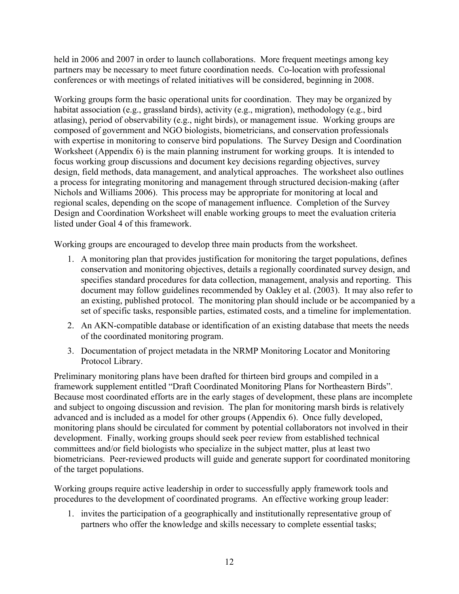held in 2006 and 2007 in order to launch collaborations. More frequent meetings among key partners may be necessary to meet future coordination needs. Co-location with professional conferences or with meetings of related initiatives will be considered, beginning in 2008.

Working groups form the basic operational units for coordination. They may be organized by habitat association (e.g., grassland birds), activity (e.g., migration), methodology (e.g., bird atlasing), period of observability (e.g., night birds), or management issue. Working groups are composed of government and NGO biologists, biometricians, and conservation professionals with expertise in monitoring to conserve bird populations. The Survey Design and Coordination Worksheet (Appendix 6) is the main planning instrument for working groups. It is intended to focus working group discussions and document key decisions regarding objectives, survey design, field methods, data management, and analytical approaches. The worksheet also outlines a process for integrating monitoring and management through structured decision-making (after Nichols and Williams 2006). This process may be appropriate for monitoring at local and regional scales, depending on the scope of management influence. Completion of the Survey Design and Coordination Worksheet will enable working groups to meet the evaluation criteria listed under Goal 4 of this framework.

Working groups are encouraged to develop three main products from the worksheet.

- 1. A monitoring plan that provides justification for monitoring the target populations, defines conservation and monitoring objectives, details a regionally coordinated survey design, and specifies standard procedures for data collection, management, analysis and reporting. This document may follow guidelines recommended by Oakley et al. (2003). It may also refer to an existing, published protocol. The monitoring plan should include or be accompanied by a set of specific tasks, responsible parties, estimated costs, and a timeline for implementation.
- 2. An AKN-compatible database or identification of an existing database that meets the needs of the coordinated monitoring program.
- 3. Documentation of project metadata in the NRMP Monitoring Locator and Monitoring Protocol Library.

Preliminary monitoring plans have been drafted for thirteen bird groups and compiled in a framework supplement entitled "Draft Coordinated Monitoring Plans for Northeastern Birds". Because most coordinated efforts are in the early stages of development, these plans are incomplete and subject to ongoing discussion and revision. The plan for monitoring marsh birds is relatively advanced and is included as a model for other groups (Appendix 6). Once fully developed, monitoring plans should be circulated for comment by potential collaborators not involved in their development. Finally, working groups should seek peer review from established technical committees and/or field biologists who specialize in the subject matter, plus at least two biometricians. Peer-reviewed products will guide and generate support for coordinated monitoring of the target populations.

Working groups require active leadership in order to successfully apply framework tools and procedures to the development of coordinated programs. An effective working group leader:

1. invites the participation of a geographically and institutionally representative group of partners who offer the knowledge and skills necessary to complete essential tasks;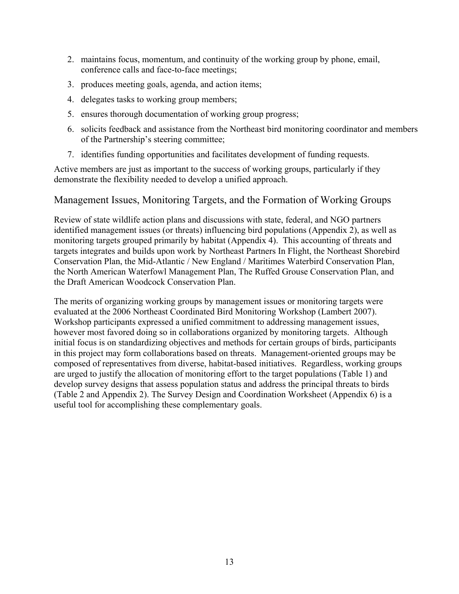- 2. maintains focus, momentum, and continuity of the working group by phone, email, conference calls and face-to-face meetings;
- 3. produces meeting goals, agenda, and action items;
- 4. delegates tasks to working group members;
- 5. ensures thorough documentation of working group progress;
- 6. solicits feedback and assistance from the Northeast bird monitoring coordinator and members of the Partnership's steering committee;
- 7. identifies funding opportunities and facilitates development of funding requests.

Active members are just as important to the success of working groups, particularly if they demonstrate the flexibility needed to develop a unified approach.

# Management Issues, Monitoring Targets, and the Formation of Working Groups

Review of state wildlife action plans and discussions with state, federal, and NGO partners identified management issues (or threats) influencing bird populations (Appendix 2), as well as monitoring targets grouped primarily by habitat (Appendix 4). This accounting of threats and targets integrates and builds upon work by Northeast Partners In Flight, the Northeast Shorebird Conservation Plan, the Mid-Atlantic / New England / Maritimes Waterbird Conservation Plan, the North American Waterfowl Management Plan, The Ruffed Grouse Conservation Plan, and the Draft American Woodcock Conservation Plan.

The merits of organizing working groups by management issues or monitoring targets were evaluated at the 2006 Northeast Coordinated Bird Monitoring Workshop (Lambert 2007). Workshop participants expressed a unified commitment to addressing management issues, however most favored doing so in collaborations organized by monitoring targets. Although initial focus is on standardizing objectives and methods for certain groups of birds, participants in this project may form collaborations based on threats. Management-oriented groups may be composed of representatives from diverse, habitat-based initiatives. Regardless, working groups are urged to justify the allocation of monitoring effort to the target populations (Table 1) and develop survey designs that assess population status and address the principal threats to birds (Table 2 and Appendix 2). The Survey Design and Coordination Worksheet (Appendix 6) is a useful tool for accomplishing these complementary goals.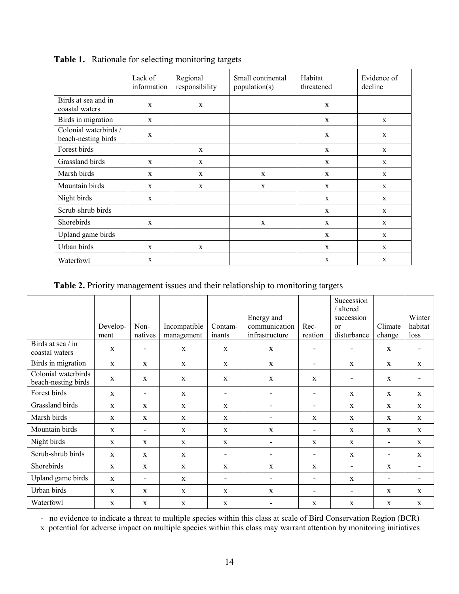|                                              | Lack of<br>information | Regional<br>responsibility | Small continental<br>population(s) | Habitat<br>threatened | Evidence of<br>decline |
|----------------------------------------------|------------------------|----------------------------|------------------------------------|-----------------------|------------------------|
| Birds at sea and in<br>coastal waters        | X                      | $\mathbf{x}$               |                                    | X                     |                        |
| Birds in migration                           | X                      |                            |                                    | X                     | $\mathbf x$            |
| Colonial waterbirds /<br>beach-nesting birds | $\mathbf X$            |                            |                                    | X                     | $\mathbf X$            |
| Forest birds                                 |                        | X                          |                                    | $\mathbf X$           | $\mathbf{x}$           |
| Grassland birds                              | X                      | X                          |                                    | X                     | X                      |
| Marsh birds                                  | X                      | X                          | X                                  | X                     | $\mathbf x$            |
| Mountain birds                               | X                      | $\mathbf x$                | X                                  | $\mathbf X$           | $\mathbf{X}$           |
| Night birds                                  | X                      |                            |                                    | X                     | $\mathbf x$            |
| Scrub-shrub birds                            |                        |                            |                                    | $\mathbf x$           | $\mathbf x$            |
| Shorebirds                                   | X                      |                            | X                                  | X                     | $\mathbf x$            |
| Upland game birds                            |                        |                            |                                    | X                     | $\mathbf x$            |
| Urban birds                                  | X                      | $\mathbf x$                |                                    | X                     | $\mathbf x$            |
| Waterfowl                                    | X                      |                            |                                    | X                     | $\mathbf{x}$           |

**Table 1.** Rationale for selecting monitoring targets

**Table 2.** Priority management issues and their relationship to monitoring targets

|                                            | Develop-<br>ment | Non-<br>natives          | Incompatible<br>management | Contam-<br>inants        | Energy and<br>communication<br>infrastructure | Rec-<br>reation          | Succession<br>/ altered<br>succession<br>$\alpha$<br>disturbance | Climate<br>change        | Winter<br>habitat<br>loss |
|--------------------------------------------|------------------|--------------------------|----------------------------|--------------------------|-----------------------------------------------|--------------------------|------------------------------------------------------------------|--------------------------|---------------------------|
| Birds at sea / in<br>coastal waters        | $\mathbf X$      |                          | $\mathbf{X}$               | $\mathbf X$              | $\mathbf X$                                   | ۰                        | $\overline{\phantom{0}}$                                         | $\mathbf{X}$             | ۰                         |
| Birds in migration                         | $\mathbf{X}$     | $\mathbf X$              | $\mathbf{X}$               | $\mathbf X$              | $\mathbf X$                                   | $\overline{\phantom{a}}$ | X                                                                | X                        | $\mathbf X$               |
| Colonial waterbirds<br>beach-nesting birds | $\mathbf{x}$     | $\mathbf{x}$             | $\mathbf{x}$               | $\mathbf X$              | $\mathbf{x}$                                  | $\mathbf{x}$             | $\overline{\phantom{0}}$                                         | $\mathbf{x}$             |                           |
| Forest birds                               | $\mathbf X$      | $\overline{\phantom{a}}$ | $\mathbf{X}$               | $\overline{\phantom{a}}$ | $\overline{\phantom{a}}$                      | $\overline{\phantom{a}}$ | $\mathbf{X}$                                                     | $\mathbf X$              | $\mathbf{X}$              |
| Grassland birds                            | $\mathbf{x}$     | $\mathbf X$              | $\mathbf{x}$               | $\mathbf X$              | ٠                                             | ۰                        | $\mathbf{x}$                                                     | $\mathbf{X}$             | $\mathbf{X}$              |
| Marsh birds                                | $\mathbf{x}$     | $\mathbf X$              | $\mathbf{X}$               | $\mathbf X$              | ۰                                             | X                        | $\mathbf X$                                                      | $\mathbf{X}$             | $\mathbf{X}$              |
| Mountain birds                             | X                | $\overline{\phantom{a}}$ | $\mathbf{X}$               | $\mathbf X$              | $\mathbf{X}$                                  | $\overline{\phantom{a}}$ | $\mathbf{X}$                                                     | $\mathbf{X}$             | $\mathbf X$               |
| Night birds                                | $\mathbf{X}$     | $\mathbf{X}$             | $\mathbf{X}$               | $\mathbf X$              | $\overline{\phantom{a}}$                      | X                        | $\mathbf{X}$                                                     | ۰                        | $\mathbf{X}$              |
| Scrub-shrub birds                          | X                | X                        | $\mathbf X$                | $\overline{\phantom{a}}$ |                                               | $\overline{\phantom{a}}$ | $\mathbf X$                                                      | $\overline{\phantom{a}}$ | $\mathbf{X}$              |
| Shorebirds                                 | X                | X                        | $\mathbf{X}$               | $\mathbf X$              | $\mathbf{X}$                                  | $\mathbf{X}$             | -                                                                | $\mathbf{X}$             | ٠                         |
| Upland game birds                          | $\mathbf{X}$     | ۰                        | $\mathbf{X}$               | $\overline{\phantom{a}}$ | ۰                                             | ۰                        | $\mathbf X$                                                      | $\overline{\phantom{a}}$ |                           |
| Urban birds                                | $\mathbf{x}$     | $\mathbf{x}$             | $\mathbf{x}$               | $\mathbf{x}$             | $\mathbf{x}$                                  | ٠                        | $\blacksquare$                                                   | $\mathbf{x}$             | $\mathbf{x}$              |
| Waterfowl                                  | X                | X                        | $\mathbf{X}$               | X                        |                                               | X                        | $\mathbf X$                                                      | X                        | $\mathbf{X}$              |

- no evidence to indicate a threat to multiple species within this class at scale of Bird Conservation Region (BCR)

x potential for adverse impact on multiple species within this class may warrant attention by monitoring initiatives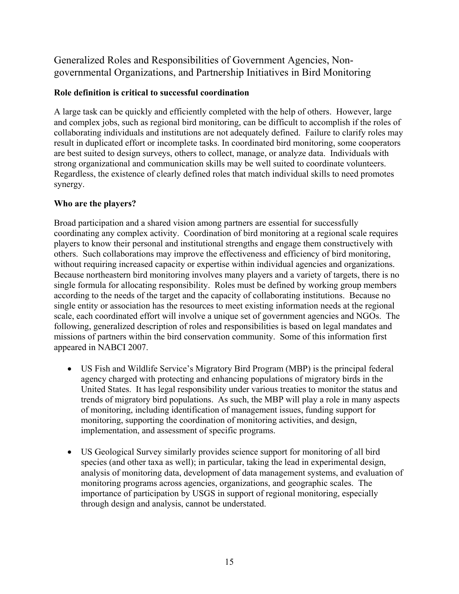# Generalized Roles and Responsibilities of Government Agencies, Nongovernmental Organizations, and Partnership Initiatives in Bird Monitoring

# **Role definition is critical to successful coordination**

A large task can be quickly and efficiently completed with the help of others. However, large and complex jobs, such as regional bird monitoring, can be difficult to accomplish if the roles of collaborating individuals and institutions are not adequately defined. Failure to clarify roles may result in duplicated effort or incomplete tasks. In coordinated bird monitoring, some cooperators are best suited to design surveys, others to collect, manage, or analyze data. Individuals with strong organizational and communication skills may be well suited to coordinate volunteers. Regardless, the existence of clearly defined roles that match individual skills to need promotes synergy.

# **Who are the players?**

Broad participation and a shared vision among partners are essential for successfully coordinating any complex activity. Coordination of bird monitoring at a regional scale requires players to know their personal and institutional strengths and engage them constructively with others. Such collaborations may improve the effectiveness and efficiency of bird monitoring, without requiring increased capacity or expertise within individual agencies and organizations. Because northeastern bird monitoring involves many players and a variety of targets, there is no single formula for allocating responsibility. Roles must be defined by working group members according to the needs of the target and the capacity of collaborating institutions. Because no single entity or association has the resources to meet existing information needs at the regional scale, each coordinated effort will involve a unique set of government agencies and NGOs. The following, generalized description of roles and responsibilities is based on legal mandates and missions of partners within the bird conservation community. Some of this information first appeared in NABCI 2007.

- US Fish and Wildlife Service's Migratory Bird Program (MBP) is the principal federal agency charged with protecting and enhancing populations of migratory birds in the United States. It has legal responsibility under various treaties to monitor the status and trends of migratory bird populations. As such, the MBP will play a role in many aspects of monitoring, including identification of management issues, funding support for monitoring, supporting the coordination of monitoring activities, and design, implementation, and assessment of specific programs.
- US Geological Survey similarly provides science support for monitoring of all bird species (and other taxa as well); in particular, taking the lead in experimental design, analysis of monitoring data, development of data management systems, and evaluation of monitoring programs across agencies, organizations, and geographic scales. The importance of participation by USGS in support of regional monitoring, especially through design and analysis, cannot be understated.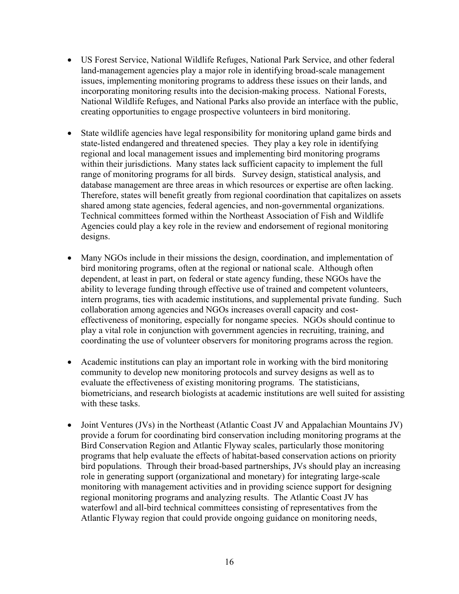- US Forest Service, National Wildlife Refuges, National Park Service, and other federal land-management agencies play a major role in identifying broad-scale management issues, implementing monitoring programs to address these issues on their lands, and incorporating monitoring results into the decision-making process. National Forests, National Wildlife Refuges, and National Parks also provide an interface with the public, creating opportunities to engage prospective volunteers in bird monitoring.
- State wildlife agencies have legal responsibility for monitoring upland game birds and state-listed endangered and threatened species. They play a key role in identifying regional and local management issues and implementing bird monitoring programs within their jurisdictions. Many states lack sufficient capacity to implement the full range of monitoring programs for all birds. Survey design, statistical analysis, and database management are three areas in which resources or expertise are often lacking. Therefore, states will benefit greatly from regional coordination that capitalizes on assets shared among state agencies, federal agencies, and non-governmental organizations. Technical committees formed within the Northeast Association of Fish and Wildlife Agencies could play a key role in the review and endorsement of regional monitoring designs.
- Many NGOs include in their missions the design, coordination, and implementation of bird monitoring programs, often at the regional or national scale. Although often dependent, at least in part, on federal or state agency funding, these NGOs have the ability to leverage funding through effective use of trained and competent volunteers, intern programs, ties with academic institutions, and supplemental private funding. Such collaboration among agencies and NGOs increases overall capacity and costeffectiveness of monitoring, especially for nongame species. NGOs should continue to play a vital role in conjunction with government agencies in recruiting, training, and coordinating the use of volunteer observers for monitoring programs across the region.
- Academic institutions can play an important role in working with the bird monitoring community to develop new monitoring protocols and survey designs as well as to evaluate the effectiveness of existing monitoring programs. The statisticians, biometricians, and research biologists at academic institutions are well suited for assisting with these tasks.
- Joint Ventures (JVs) in the Northeast (Atlantic Coast JV and Appalachian Mountains JV) provide a forum for coordinating bird conservation including monitoring programs at the Bird Conservation Region and Atlantic Flyway scales, particularly those monitoring programs that help evaluate the effects of habitat-based conservation actions on priority bird populations. Through their broad-based partnerships, JVs should play an increasing role in generating support (organizational and monetary) for integrating large-scale monitoring with management activities and in providing science support for designing regional monitoring programs and analyzing results. The Atlantic Coast JV has waterfowl and all-bird technical committees consisting of representatives from the Atlantic Flyway region that could provide ongoing guidance on monitoring needs,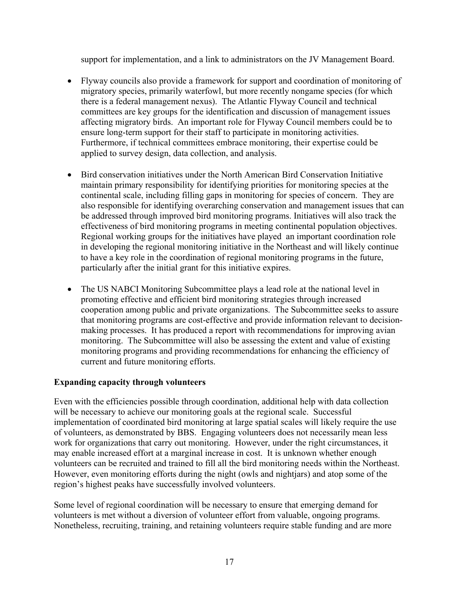support for implementation, and a link to administrators on the JV Management Board.

- Flyway councils also provide a framework for support and coordination of monitoring of migratory species, primarily waterfowl, but more recently nongame species (for which there is a federal management nexus). The Atlantic Flyway Council and technical committees are key groups for the identification and discussion of management issues affecting migratory birds. An important role for Flyway Council members could be to ensure long-term support for their staff to participate in monitoring activities. Furthermore, if technical committees embrace monitoring, their expertise could be applied to survey design, data collection, and analysis.
- Bird conservation initiatives under the North American Bird Conservation Initiative maintain primary responsibility for identifying priorities for monitoring species at the continental scale, including filling gaps in monitoring for species of concern. They are also responsible for identifying overarching conservation and management issues that can be addressed through improved bird monitoring programs. Initiatives will also track the effectiveness of bird monitoring programs in meeting continental population objectives. Regional working groups for the initiatives have played an important coordination role in developing the regional monitoring initiative in the Northeast and will likely continue to have a key role in the coordination of regional monitoring programs in the future, particularly after the initial grant for this initiative expires.
- The US NABCI Monitoring Subcommittee plays a lead role at the national level in promoting effective and efficient bird monitoring strategies through increased cooperation among public and private organizations. The Subcommittee seeks to assure that monitoring programs are cost-effective and provide information relevant to decisionmaking processes. It has produced a report with recommendations for improving avian monitoring. The Subcommittee will also be assessing the extent and value of existing monitoring programs and providing recommendations for enhancing the efficiency of current and future monitoring efforts.

# **Expanding capacity through volunteers**

Even with the efficiencies possible through coordination, additional help with data collection will be necessary to achieve our monitoring goals at the regional scale. Successful implementation of coordinated bird monitoring at large spatial scales will likely require the use of volunteers, as demonstrated by BBS. Engaging volunteers does not necessarily mean less work for organizations that carry out monitoring. However, under the right circumstances, it may enable increased effort at a marginal increase in cost. It is unknown whether enough volunteers can be recruited and trained to fill all the bird monitoring needs within the Northeast. However, even monitoring efforts during the night (owls and nightjars) and atop some of the region's highest peaks have successfully involved volunteers.

Some level of regional coordination will be necessary to ensure that emerging demand for volunteers is met without a diversion of volunteer effort from valuable, ongoing programs. Nonetheless, recruiting, training, and retaining volunteers require stable funding and are more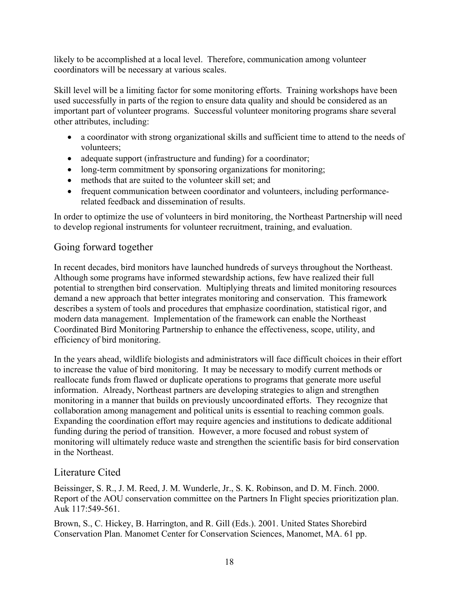likely to be accomplished at a local level. Therefore, communication among volunteer coordinators will be necessary at various scales.

Skill level will be a limiting factor for some monitoring efforts. Training workshops have been used successfully in parts of the region to ensure data quality and should be considered as an important part of volunteer programs. Successful volunteer monitoring programs share several other attributes, including:

- a coordinator with strong organizational skills and sufficient time to attend to the needs of volunteers;
- adequate support (infrastructure and funding) for a coordinator;
- long-term commitment by sponsoring organizations for monitoring;
- methods that are suited to the volunteer skill set; and
- frequent communication between coordinator and volunteers, including performancerelated feedback and dissemination of results.

In order to optimize the use of volunteers in bird monitoring, the Northeast Partnership will need to develop regional instruments for volunteer recruitment, training, and evaluation.

# Going forward together

In recent decades, bird monitors have launched hundreds of surveys throughout the Northeast. Although some programs have informed stewardship actions, few have realized their full potential to strengthen bird conservation. Multiplying threats and limited monitoring resources demand a new approach that better integrates monitoring and conservation. This framework describes a system of tools and procedures that emphasize coordination, statistical rigor, and modern data management. Implementation of the framework can enable the Northeast Coordinated Bird Monitoring Partnership to enhance the effectiveness, scope, utility, and efficiency of bird monitoring.

In the years ahead, wildlife biologists and administrators will face difficult choices in their effort to increase the value of bird monitoring. It may be necessary to modify current methods or reallocate funds from flawed or duplicate operations to programs that generate more useful information. Already, Northeast partners are developing strategies to align and strengthen monitoring in a manner that builds on previously uncoordinated efforts. They recognize that collaboration among management and political units is essential to reaching common goals. Expanding the coordination effort may require agencies and institutions to dedicate additional funding during the period of transition. However, a more focused and robust system of monitoring will ultimately reduce waste and strengthen the scientific basis for bird conservation in the Northeast.

# Literature Cited

Beissinger, S. R., J. M. Reed, J. M. Wunderle, Jr., S. K. Robinson, and D. M. Finch. 2000. Report of the AOU conservation committee on the Partners In Flight species prioritization plan. Auk 117:549-561.

Brown, S., C. Hickey, B. Harrington, and R. Gill (Eds.). 2001. United States Shorebird Conservation Plan. Manomet Center for Conservation Sciences, Manomet, MA. 61 pp.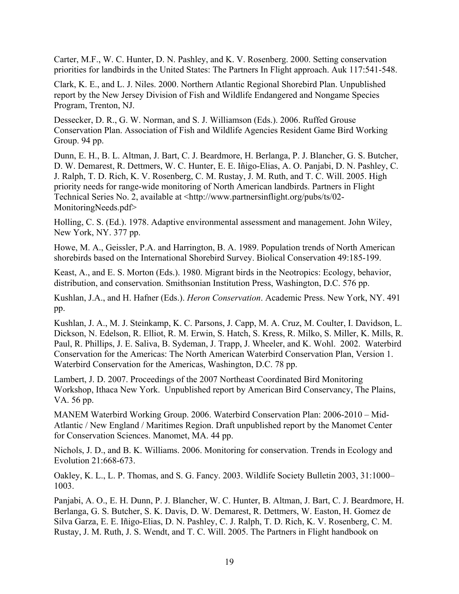Carter, M.F., W. C. Hunter, D. N. Pashley, and K. V. Rosenberg. 2000. Setting conservation priorities for landbirds in the United States: The Partners In Flight approach. Auk 117:541-548.

Clark, K. E., and L. J. Niles. 2000. Northern Atlantic Regional Shorebird Plan. Unpublished report by the New Jersey Division of Fish and Wildlife Endangered and Nongame Species Program, Trenton, NJ.

Dessecker, D. R., G. W. Norman, and S. J. Williamson (Eds.). 2006. Ruffed Grouse Conservation Plan. Association of Fish and Wildlife Agencies Resident Game Bird Working Group. 94 pp.

Dunn, E. H., B. L. Altman, J. Bart, C. J. Beardmore, H. Berlanga, P. J. Blancher, G. S. Butcher, D. W. Demarest, R. Dettmers, W. C. Hunter, E. E. Iñigo-Elias, A. O. Panjabi, D. N. Pashley, C. J. Ralph, T. D. Rich, K. V. Rosenberg, C. M. Rustay, J. M. Ruth, and T. C. Will. 2005. High priority needs for range-wide monitoring of North American landbirds. Partners in Flight Technical Series No. 2, available at <http://www.partnersinflight.org/pubs/ts/02- MonitoringNeeds.pdf>

Holling, C. S. (Ed.). 1978. Adaptive environmental assessment and management. John Wiley, New York, NY. 377 pp.

Howe, M. A., Geissler, P.A. and Harrington, B. A. 1989. Population trends of North American shorebirds based on the International Shorebird Survey. Biolical Conservation 49:185-199.

Keast, A., and E. S. Morton (Eds.). 1980. Migrant birds in the Neotropics: Ecology, behavior, distribution, and conservation. Smithsonian Institution Press, Washington, D.C. 576 pp.

Kushlan, J.A., and H. Hafner (Eds.). *Heron Conservation*. Academic Press. New York, NY. 491 pp.

Kushlan, J. A., M. J. Steinkamp, K. C. Parsons, J. Capp, M. A. Cruz, M. Coulter, I. Davidson, L. Dickson, N. Edelson, R. Elliot, R. M. Erwin, S. Hatch, S. Kress, R. Milko, S. Miller, K. Mills, R. Paul, R. Phillips, J. E. Saliva, B. Sydeman, J. Trapp, J. Wheeler, and K. Wohl. 2002. Waterbird Conservation for the Americas: The North American Waterbird Conservation Plan, Version 1. Waterbird Conservation for the Americas, Washington, D.C. 78 pp.

Lambert, J. D. 2007. Proceedings of the 2007 Northeast Coordinated Bird Monitoring Workshop, Ithaca New York. Unpublished report by American Bird Conservancy, The Plains, VA. 56 pp.

MANEM Waterbird Working Group. 2006. Waterbird Conservation Plan: 2006-2010 – Mid-Atlantic / New England / Maritimes Region. Draft unpublished report by the Manomet Center for Conservation Sciences. Manomet, MA. 44 pp.

Nichols, J. D., and B. K. Williams. 2006. Monitoring for conservation. Trends in Ecology and Evolution 21:668-673.

Oakley, K. L., L. P. Thomas, and S. G. Fancy. 2003. Wildlife Society Bulletin 2003, 31:1000– 1003.

Panjabi, A. O., E. H. Dunn, P. J. Blancher, W. C. Hunter, B. Altman, J. Bart, C. J. Beardmore, H. Berlanga, G. S. Butcher, S. K. Davis, D. W. Demarest, R. Dettmers, W. Easton, H. Gomez de Silva Garza, E. E. Iñigo-Elias, D. N. Pashley, C. J. Ralph, T. D. Rich, K. V. Rosenberg, C. M. Rustay, J. M. Ruth, J. S. Wendt, and T. C. Will. 2005. The Partners in Flight handbook on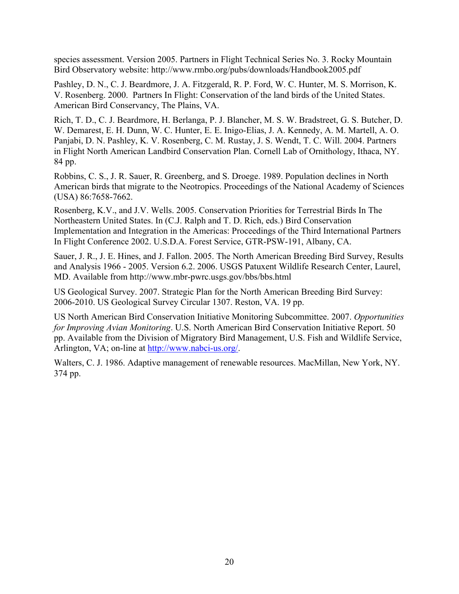species assessment. Version 2005. Partners in Flight Technical Series No. 3. Rocky Mountain Bird Observatory website: http://www.rmbo.org/pubs/downloads/Handbook2005.pdf

Pashley, D. N., C. J. Beardmore, J. A. Fitzgerald, R. P. Ford, W. C. Hunter, M. S. Morrison, K. V. Rosenberg. 2000. Partners In Flight: Conservation of the land birds of the United States. American Bird Conservancy, The Plains, VA.

Rich, T. D., C. J. Beardmore, H. Berlanga, P. J. Blancher, M. S. W. Bradstreet, G. S. Butcher, D. W. Demarest, E. H. Dunn, W. C. Hunter, E. E. Inigo-Elias, J. A. Kennedy, A. M. Martell, A. O. Panjabi, D. N. Pashley, K. V. Rosenberg, C. M. Rustay, J. S. Wendt, T. C. Will. 2004. Partners in Flight North American Landbird Conservation Plan. Cornell Lab of Ornithology, Ithaca, NY. 84 pp.

Robbins, C. S., J. R. Sauer, R. Greenberg, and S. Droege. 1989. Population declines in North American birds that migrate to the Neotropics. Proceedings of the National Academy of Sciences (USA) 86:7658-7662.

Rosenberg, K.V., and J.V. Wells. 2005. Conservation Priorities for Terrestrial Birds In The Northeastern United States. In (C.J. Ralph and T. D. Rich, eds.) Bird Conservation Implementation and Integration in the Americas: Proceedings of the Third International Partners In Flight Conference 2002. U.S.D.A. Forest Service, GTR-PSW-191, Albany, CA.

Sauer, J. R., J. E. Hines, and J. Fallon. 2005. The North American Breeding Bird Survey, Results and Analysis 1966 - 2005. Version 6.2. 2006. USGS Patuxent Wildlife Research Center, Laurel, MD. Available from http://www.mbr-pwrc.usgs.gov/bbs/bbs.html

US Geological Survey. 2007. Strategic Plan for the North American Breeding Bird Survey: 2006-2010. US Geological Survey Circular 1307. Reston, VA. 19 pp.

US North American Bird Conservation Initiative Monitoring Subcommittee. 2007. *Opportunities for Improving Avian Monitoring*. U.S. North American Bird Conservation Initiative Report. 50 pp. Available from the Division of Migratory Bird Management, U.S. Fish and Wildlife Service, Arlington, VA; on-line at http://www.nabci-us.org/.

Walters, C. J. 1986. Adaptive management of renewable resources. MacMillan, New York, NY. 374 pp.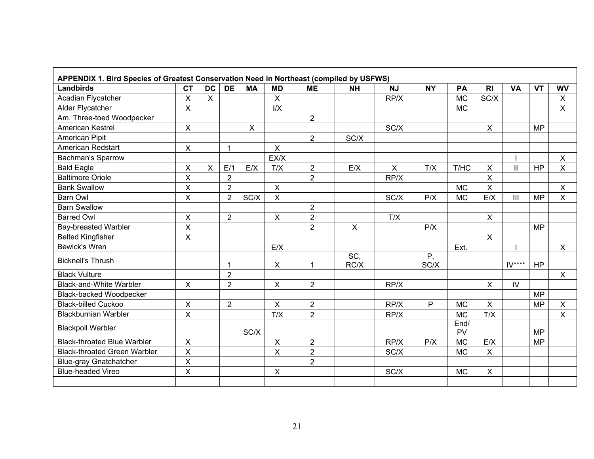| <b>Landbirds</b>                    | <b>CT</b>                 | <b>DC</b>                 | <b>DE</b>      | <b>MA</b> | <b>MD</b>                 | <b>ME</b>      | <b>NH</b>    | <b>NJ</b>    | <b>NY</b>  | PA                | R <sub>l</sub>            | <b>VA</b>      | <b>VT</b> | <b>WV</b>    |
|-------------------------------------|---------------------------|---------------------------|----------------|-----------|---------------------------|----------------|--------------|--------------|------------|-------------------|---------------------------|----------------|-----------|--------------|
| Acadian Flycatcher                  | $\mathsf{X}$              | $\boldsymbol{\mathsf{X}}$ |                |           | X                         |                |              | RP/X         |            | <b>MC</b>         | SC/X                      |                |           | $\mathsf{X}$ |
| Alder Flycatcher                    | $\mathsf{x}$              |                           |                |           | I/X                       |                |              |              |            | <b>MC</b>         |                           |                |           | $\mathsf{X}$ |
| Am. Three-toed Woodpecker           |                           |                           |                |           |                           | $\overline{2}$ |              |              |            |                   |                           |                |           |              |
| <b>American Kestrel</b>             | $\mathsf{X}$              |                           |                | X         |                           |                |              | SC/X         |            |                   | $\boldsymbol{\mathsf{X}}$ |                | <b>MP</b> |              |
| American Pipit                      |                           |                           |                |           |                           | $\overline{2}$ | SC/X         |              |            |                   |                           |                |           |              |
| American Redstart                   | $\boldsymbol{\mathsf{X}}$ |                           | $\mathbf{1}$   |           | $\mathsf{X}$              |                |              |              |            |                   |                           |                |           |              |
| <b>Bachman's Sparrow</b>            |                           |                           |                |           | EX/X                      |                |              |              |            |                   |                           |                |           | X            |
| <b>Bald Eagle</b>                   | $\mathsf X$               | $\sf X$                   | E/1            | E/X       | T/X                       | $\overline{2}$ | E/X          | $\mathsf{X}$ | T/X        | T/HC              | X                         | $\mathbf{I}$   | <b>HP</b> | $\mathsf{X}$ |
| <b>Baltimore Oriole</b>             | $\sf X$                   |                           | $\overline{2}$ |           |                           | $\overline{2}$ |              | RP/X         |            |                   | $\mathsf X$               |                |           |              |
| <b>Bank Swallow</b>                 | $\mathsf X$               |                           | $\overline{2}$ |           | $\pmb{\times}$            |                |              |              |            | <b>MC</b>         | $\mathsf X$               |                |           | X            |
| Barn Owl                            | $\mathsf{X}$              |                           | $\overline{2}$ | SC/X      | X                         |                |              | SC/X         | P/X        | <b>MC</b>         | E/X                       | $\mathbf{III}$ | <b>MP</b> | $\mathsf{X}$ |
| <b>Barn Swallow</b>                 |                           |                           |                |           |                           | $\overline{2}$ |              |              |            |                   |                           |                |           |              |
| <b>Barred Owl</b>                   | $\pmb{\times}$            |                           | $\overline{2}$ |           | $\pmb{\times}$            | $\overline{2}$ |              | T/X          |            |                   | $\pmb{\times}$            |                |           |              |
| <b>Bay-breasted Warbler</b>         | $\overline{\mathsf{X}}$   |                           |                |           |                           | $\overline{2}$ | $\mathsf{X}$ |              | P/X        |                   |                           |                | <b>MP</b> |              |
| <b>Belted Kingfisher</b>            | X                         |                           |                |           |                           |                |              |              |            |                   | $\boldsymbol{\mathsf{X}}$ |                |           |              |
| <b>Bewick's Wren</b>                |                           |                           |                |           | E/X                       |                |              |              |            | Ext.              |                           |                |           | $\mathsf{X}$ |
| <b>Bicknell's Thrush</b>            |                           |                           | 1              |           | $\boldsymbol{\mathsf{X}}$ | 1              | SC<br>RC/X   |              | Ρ,<br>SC/X |                   |                           | $IV***$        | <b>HP</b> |              |
| <b>Black Vulture</b>                |                           |                           | $\overline{2}$ |           |                           |                |              |              |            |                   |                           |                |           | $\mathsf{X}$ |
| <b>Black-and-White Warbler</b>      | $\sf X$                   |                           | $\overline{2}$ |           | $\times$                  | $\overline{2}$ |              | RP/X         |            |                   | $\mathsf{x}$              | IV.            |           |              |
| <b>Black-backed Woodpecker</b>      |                           |                           |                |           |                           |                |              |              |            |                   |                           |                | <b>MP</b> |              |
| <b>Black-billed Cuckoo</b>          | $\boldsymbol{\mathsf{X}}$ |                           | $\overline{2}$ |           | $\mathsf{X}$              | $\overline{2}$ |              | RP/X         | P          | <b>MC</b>         | $\boldsymbol{\mathsf{X}}$ |                | <b>MP</b> | $\mathsf{X}$ |
| <b>Blackburnian Warbler</b>         | $\mathsf{X}$              |                           |                |           | T/X                       | $\overline{2}$ |              | RP/X         |            | <b>MC</b>         | T/X                       |                |           | $\mathsf{X}$ |
| <b>Blackpoll Warbler</b>            |                           |                           |                | SC/X      |                           |                |              |              |            | End/<br><b>PV</b> |                           |                | <b>MP</b> |              |
| <b>Black-throated Blue Warbler</b>  | $\boldsymbol{\mathsf{X}}$ |                           |                |           | $\pmb{\times}$            | $\overline{2}$ |              | RP/X         | P/X        | <b>MC</b>         | E/X                       |                | <b>MP</b> |              |
| <b>Black-throated Green Warbler</b> | $\mathsf{X}$              |                           |                |           | X                         | $\overline{2}$ |              | SC/X         |            | <b>MC</b>         | $\boldsymbol{\mathsf{X}}$ |                |           |              |
| <b>Blue-gray Gnatchatcher</b>       | $\sf X$                   |                           |                |           |                           | $\overline{2}$ |              |              |            |                   |                           |                |           |              |
| <b>Blue-headed Vireo</b>            | $\mathsf{X}$              |                           |                |           | $\pmb{\times}$            |                |              | SC/X         |            | <b>MC</b>         | $\pmb{\times}$            |                |           |              |
|                                     |                           |                           |                |           |                           |                |              |              |            |                   |                           |                |           |              |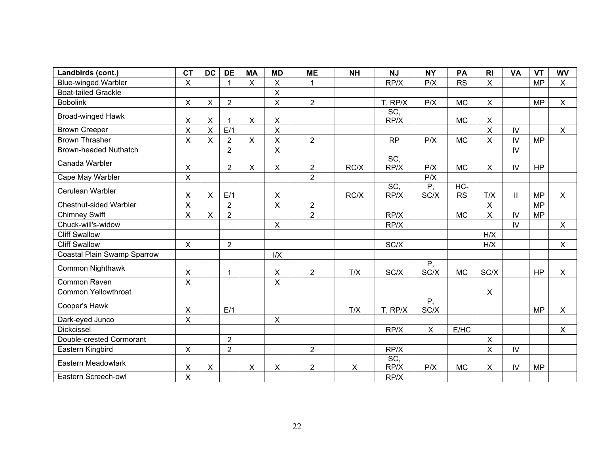| Landbirds (cont.)             | <b>CT</b>               | <b>DC</b>               | <b>DE</b>      | <b>MA</b>      | <b>MD</b>      | <b>ME</b>      | <b>NH</b> | <b>NJ</b>   | <b>NY</b>               | PA               | R <sub>l</sub> | <b>VA</b>     | <b>VT</b> | <b>WV</b>                 |
|-------------------------------|-------------------------|-------------------------|----------------|----------------|----------------|----------------|-----------|-------------|-------------------------|------------------|----------------|---------------|-----------|---------------------------|
| <b>Blue-winged Warbler</b>    | X                       |                         | $\mathbf{1}$   | $\pmb{\times}$ | X              | $\mathbf{1}$   |           | RP/X        | P/X                     | <b>RS</b>        | $\mathsf{X}$   |               | <b>MP</b> | $\pmb{\times}$            |
| <b>Boat-tailed Grackle</b>    |                         |                         |                |                | X              |                |           |             |                         |                  |                |               |           |                           |
| <b>Bobolink</b>               | $\mathsf{X}$            | $\pmb{\times}$          | $\overline{2}$ |                | $\pmb{\times}$ | $\overline{2}$ |           | T, RP/X     | P/X                     | <b>MC</b>        | $\mathsf{X}$   |               | <b>MP</b> | $\pmb{\times}$            |
| <b>Broad-winged Hawk</b>      | X                       | $\times$                | 1              | $\pmb{\times}$ | X.             |                |           | SC,<br>RP/X |                         | <b>MC</b>        | X              |               |           |                           |
| <b>Brown Creeper</b>          | X                       | $\overline{\mathsf{X}}$ | E/1            |                | X              |                |           |             |                         |                  | X              | IV            |           | $\mathsf{X}$              |
| <b>Brown Thrasher</b>         | X                       | $\mathsf{X}$            | $\overline{2}$ | $\mathsf{X}$   | $\mathsf{X}$   | $\overline{2}$ |           | <b>RP</b>   | P/X                     | <b>MC</b>        | $\mathsf{X}$   | IV            | <b>MP</b> |                           |
| <b>Brown-headed Nuthatch</b>  |                         |                         | $\overline{2}$ |                | $\mathsf{X}$   |                |           |             |                         |                  |                | $\mathsf{IV}$ |           |                           |
| Canada Warbler                | X                       |                         | $\overline{2}$ | $\pmb{\times}$ | X              | $\overline{2}$ | RC/X      | SC,<br>RP/X | P/X                     | <b>MC</b>        | Χ              | $\mathsf{IV}$ | <b>HP</b> |                           |
| Cape May Warbler              | X                       |                         |                |                |                | $\overline{2}$ |           |             | P/X                     |                  |                |               |           |                           |
| Cerulean Warbler              | Χ                       | $\pmb{\times}$          | E/1            |                | $\pmb{\times}$ |                | RC/X      | SC,<br>RP/X | $\overline{P,}$<br>SC/X | HC-<br><b>RS</b> | T/X            | $\mathbf{I}$  | <b>MP</b> | $\mathsf{X}$              |
| <b>Chestnut-sided Warbler</b> | X                       |                         | $\overline{2}$ |                | $\mathsf{X}$   | $\overline{2}$ |           |             |                         |                  | $\mathsf{X}$   |               | <b>MP</b> |                           |
| <b>Chimney Swift</b>          | X                       | $\pmb{\times}$          | $\overline{2}$ |                |                | $\overline{2}$ |           | RP/X        |                         | <b>MC</b>        | $\overline{X}$ | IV            | <b>MP</b> |                           |
| Chuck-will's-widow            |                         |                         |                |                | $\pmb{\times}$ |                |           | RP/X        |                         |                  |                | IV            |           | $\pmb{\times}$            |
| <b>Cliff Swallow</b>          |                         |                         |                |                |                |                |           |             |                         |                  | H/X            |               |           |                           |
| <b>Cliff Swallow</b>          | X                       |                         | $\overline{2}$ |                |                |                |           | SC/X        |                         |                  | H/X            |               |           | $\boldsymbol{\mathsf{X}}$ |
| Coastal Plain Swamp Sparrow   |                         |                         |                |                | I/X            |                |           |             |                         |                  |                |               |           |                           |
| Common Nighthawk              | X                       |                         | $\mathbf{1}$   |                | X              | $\overline{2}$ | T/X       | SC/X        | P,<br>SC/X              | <b>MC</b>        | SC/X           |               | <b>HP</b> | $\mathsf{X}$              |
| Common Raven                  | X                       |                         |                |                | X              |                |           |             |                         |                  |                |               |           |                           |
| <b>Common Yellowthroat</b>    |                         |                         |                |                |                |                |           |             |                         |                  | $\mathsf{X}$   |               |           |                           |
| Cooper's Hawk                 | X                       |                         | E/1            |                |                |                | T/X       | T, RP/X     | $\overline{P,}$<br>SC/X |                  |                |               | <b>MP</b> | X                         |
| Dark-eyed Junco               | $\overline{\mathsf{x}}$ |                         |                |                | X              |                |           |             |                         |                  |                |               |           |                           |
| <b>Dickcissel</b>             |                         |                         |                |                |                |                |           | RP/X        | $\pmb{\times}$          | E/HC             |                |               |           | $\mathsf{X}$              |
| Double-crested Cormorant      |                         |                         | $\overline{2}$ |                |                |                |           |             |                         |                  | X              |               |           |                           |
| Eastern Kingbird              | $\mathsf{X}$            |                         | $\overline{2}$ |                |                | $\overline{2}$ |           | RP/X        |                         |                  | $\mathsf{X}$   | IV            |           |                           |
| Eastern Meadowlark            | X                       | $\pmb{\times}$          |                | $\pmb{\times}$ | X              | $\overline{2}$ | X         | SC,<br>RP/X | P/X                     | <b>MC</b>        | Χ              | IV            | <b>MP</b> |                           |
| Eastern Screech-owl           | X                       |                         |                |                |                |                |           | RP/X        |                         |                  |                |               |           |                           |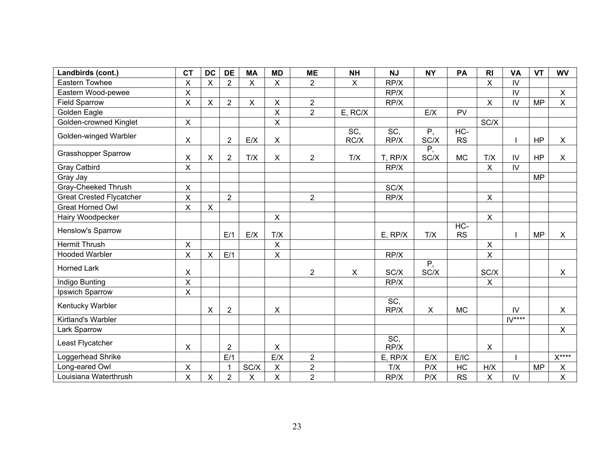| Landbirds (cont.)               | <b>CT</b>               | <b>DC</b>                 | <b>DE</b>      | <b>MA</b>      | <b>MD</b>      | <b>ME</b>      | <b>NH</b>    | <b>NJ</b>   | <b>NY</b>               | PA                  | R <sub>l</sub>            | <b>VA</b>     | <b>VT</b> | <b>WV</b>          |
|---------------------------------|-------------------------|---------------------------|----------------|----------------|----------------|----------------|--------------|-------------|-------------------------|---------------------|---------------------------|---------------|-----------|--------------------|
| Eastern Towhee                  | X                       | $\boldsymbol{\mathsf{X}}$ | $\overline{2}$ | $\pmb{\times}$ | $\mathsf{X}$   | $\overline{2}$ | $\mathsf{X}$ | RP/X        |                         |                     | X                         | IV            |           |                    |
| Eastern Wood-pewee              | X                       |                           |                |                |                |                |              | RP/X        |                         |                     |                           | $\mathsf{IV}$ |           | $\mathsf{X}$       |
| <b>Field Sparrow</b>            | X                       | $\pmb{\times}$            | $\overline{2}$ | $\pmb{\times}$ | $\mathsf{X}$   | $\overline{2}$ |              | RP/X        |                         |                     | $\pmb{\times}$            | IV            | <b>MP</b> | $\pmb{\times}$     |
| Golden Eagle                    |                         |                           |                |                | X              | $\overline{2}$ | E, RC/X      |             | E/X                     | PV                  |                           |               |           |                    |
| Golden-crowned Kinglet          | $\mathsf{X}$            |                           |                |                | $\mathsf{x}$   |                |              |             |                         |                     | SC/X                      |               |           |                    |
| Golden-winged Warbler           | $\pmb{\times}$          |                           | $\overline{2}$ | E/X            | $\pmb{\times}$ |                | SC,<br>RC/X  | SC,<br>RP/X | $\overline{P,}$<br>SC/X | $HC -$<br><b>RS</b> |                           |               | HP        | $\pmb{\times}$     |
| <b>Grasshopper Sparrow</b>      | X                       | $\boldsymbol{\mathsf{X}}$ | $\overline{2}$ | T/X            | Χ              | $\overline{2}$ | T/X          | T, RP/X     | Ρ,<br>SC/X              | <b>MC</b>           | T/X                       | $\mathsf{IV}$ | <b>HP</b> | $\pmb{\times}$     |
| <b>Gray Catbird</b>             | X                       |                           |                |                |                |                |              | RP/X        |                         |                     | $\overline{\mathsf{X}}$   | IV            |           |                    |
| Gray Jay                        |                         |                           |                |                |                |                |              |             |                         |                     |                           |               | <b>MP</b> |                    |
| Gray-Cheeked Thrush             | X                       |                           |                |                |                |                |              | SC/X        |                         |                     |                           |               |           |                    |
| <b>Great Crested Flycatcher</b> | X                       |                           | $\overline{2}$ |                |                | $\overline{2}$ |              | RP/X        |                         |                     | X                         |               |           |                    |
| <b>Great Horned Owl</b>         | $\overline{\mathsf{x}}$ | $\pmb{\times}$            |                |                |                |                |              |             |                         |                     |                           |               |           |                    |
| Hairy Woodpecker                |                         |                           |                |                | $\mathsf X$    |                |              |             |                         |                     | $\pmb{\times}$            |               |           |                    |
| Henslow's Sparrow               |                         |                           | E/1            | E/X            | T/X            |                |              | $E$ , RP/X  | T/X                     | $HC -$<br><b>RS</b> |                           |               | <b>MP</b> | X                  |
| <b>Hermit Thrush</b>            | X                       |                           |                |                | X              |                |              |             |                         |                     | $\pmb{\times}$            |               |           |                    |
| <b>Hooded Warbler</b>           | X                       | $\pmb{\times}$            | E/1            |                | $\mathsf{X}$   |                |              | RP/X        |                         |                     | X                         |               |           |                    |
| <b>Horned Lark</b>              | X                       |                           |                |                |                | $\overline{2}$ | $\mathsf{X}$ | SC/X        | $\overline{P,}$<br>SC/X |                     | SC/X                      |               |           | X                  |
| Indigo Bunting                  | X                       |                           |                |                |                |                |              | RP/X        |                         |                     | $\boldsymbol{\mathsf{X}}$ |               |           |                    |
| Ipswich Sparrow                 | X                       |                           |                |                |                |                |              |             |                         |                     |                           |               |           |                    |
| Kentucky Warbler                |                         | X                         | $\overline{2}$ |                | X              |                |              | SC,<br>RP/X | $\mathsf{X}$            | <b>MC</b>           |                           | IV.           |           | $\sf X$            |
| Kirtland's Warbler              |                         |                           |                |                |                |                |              |             |                         |                     |                           | $IV***$       |           |                    |
| Lark Sparrow                    |                         |                           |                |                |                |                |              |             |                         |                     |                           |               |           | X                  |
| Least Flycatcher                | X                       |                           | $\overline{2}$ |                | $\pmb{\times}$ |                |              | SC,<br>RP/X |                         |                     | $\pmb{\times}$            |               |           |                    |
| Loggerhead Shrike               |                         |                           | E/1            |                | E/X            | $\overline{2}$ |              | $E$ , RP/X  | E/X                     | E/IC                |                           |               |           | $\mathsf{X}^{***}$ |
| Long-eared Owl                  | X                       |                           | 1              | SC/X           | X              | $\overline{2}$ |              | T/X         | P/X                     | HC                  | H/X                       |               | <b>MP</b> | X                  |
| Louisiana Waterthrush           | X                       | $\pmb{\times}$            | $\overline{2}$ | X              | X              | $\overline{2}$ |              | RP/X        | P/X                     | <b>RS</b>           | X                         | IV            |           | $\sf X$            |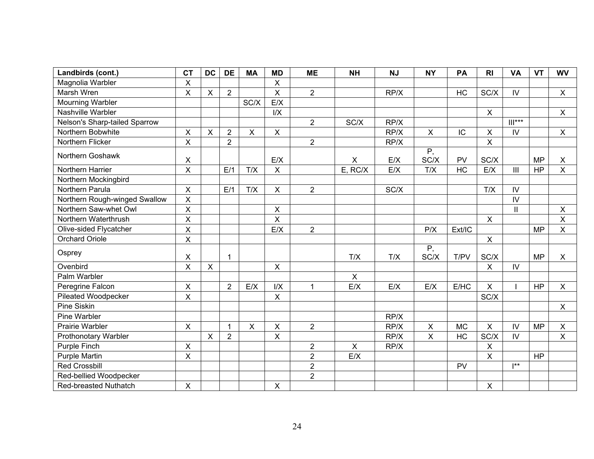| Landbirds (cont.)             | <b>CT</b>      | <b>DC</b>      | <b>DE</b>      | <b>MA</b>      | <b>MD</b>    | <b>ME</b>      | <b>NH</b>      | <b>NJ</b> | <b>NY</b>                 | PA        | R <sub>l</sub> | <b>VA</b>                  | <b>VT</b> | <b>WV</b>      |
|-------------------------------|----------------|----------------|----------------|----------------|--------------|----------------|----------------|-----------|---------------------------|-----------|----------------|----------------------------|-----------|----------------|
| Magnolia Warbler              | X              |                |                |                | X            |                |                |           |                           |           |                |                            |           |                |
| Marsh Wren                    | X              | $\pmb{\times}$ | $\overline{2}$ |                | $\mathsf{X}$ | $\overline{2}$ |                | RP/X      |                           | HC        | SC/X           | IV                         |           | $\mathsf{X}$   |
| <b>Mourning Warbler</b>       |                |                |                | SC/X           | E/X          |                |                |           |                           |           |                |                            |           |                |
| Nashville Warbler             |                |                |                |                | I/X          |                |                |           |                           |           | $\pmb{\times}$ |                            |           | $\pmb{\times}$ |
| Nelson's Sharp-tailed Sparrow |                |                |                |                |              | $\overline{2}$ | SC/X           | RP/X      |                           |           |                | $   ^{***}$                |           |                |
| Northern Bobwhite             | X              | X              | $\overline{2}$ | $\sf X$        | $\mathsf X$  |                |                | RP/X      | $\sf X$                   | IC        | $\mathsf X$    | IV                         |           | X              |
| Northern Flicker              | $\overline{X}$ |                | $\overline{2}$ |                |              | $\overline{2}$ |                | RP/X      |                           |           | $\mathsf X$    |                            |           |                |
| Northern Goshawk              | X              |                |                |                | E/X          |                | $\pmb{\times}$ | E/X       | Ρ,<br>SC/X                | <b>PV</b> | SC/X           |                            | <b>MP</b> | X              |
| Northern Harrier              | X              |                | E/1            | T/X            | $\mathsf{X}$ |                | E, RC/X        | E/X       | T/X                       | HC        | E/X            | III                        | <b>HP</b> | $\pmb{\times}$ |
| Northern Mockingbird          |                |                |                |                |              |                |                |           |                           |           |                |                            |           |                |
| Northern Parula               | $\mathsf{X}$   |                | E/1            | T/X            | $\mathsf{X}$ | $\overline{2}$ |                | SC/X      |                           |           | T/X            | IV                         |           |                |
| Northern Rough-winged Swallow | $\pmb{\times}$ |                |                |                |              |                |                |           |                           |           |                | ${\sf IV}$                 |           |                |
| Northern Saw-whet Owl         | X              |                |                |                | X            |                |                |           |                           |           |                | $\ensuremath{\mathsf{II}}$ |           | X              |
| Northern Waterthrush          | X              |                |                |                | X            |                |                |           |                           |           | $\pmb{\times}$ |                            |           | X              |
| Olive-sided Flycatcher        | X              |                |                |                | E/X          | $\overline{2}$ |                |           | P/X                       | Ext/IC    |                |                            | <b>MP</b> | $\mathsf{X}$   |
| <b>Orchard Oriole</b>         | X              |                |                |                |              |                |                |           |                           |           | $\mathsf{X}$   |                            |           |                |
| Osprey                        | X              |                | $\mathbf{1}$   |                |              |                | T/X            | T/X       | $\overline{P,}$<br>SC/X   | T/PV      | SC/X           |                            | <b>MP</b> | X              |
| Ovenbird                      | X              | $\mathsf{X}$   |                |                | $\mathsf{X}$ |                |                |           |                           |           | $\pmb{\times}$ | IV                         |           |                |
| Palm Warbler                  |                |                |                |                |              |                | $\pmb{\times}$ |           |                           |           |                |                            |           |                |
| Peregrine Falcon              | X              |                | $\overline{2}$ | E/X            | I/X          | $\overline{1}$ | E/X            | E/X       | E/X                       | E/HC      | $\pmb{\times}$ |                            | <b>HP</b> | $\mathsf{X}$   |
| <b>Pileated Woodpecker</b>    | X              |                |                |                | $\mathsf{X}$ |                |                |           |                           |           | SC/X           |                            |           |                |
| Pine Siskin                   |                |                |                |                |              |                |                |           |                           |           |                |                            |           | $\pmb{\times}$ |
| Pine Warbler                  |                |                |                |                |              |                |                | RP/X      |                           |           |                |                            |           |                |
| <b>Prairie Warbler</b>        | $\mathsf{X}$   |                | $\mathbf{1}$   | $\pmb{\times}$ | $\mathsf{X}$ | $\overline{2}$ |                | RP/X      | $\boldsymbol{\mathsf{X}}$ | <b>MC</b> | $\pmb{\times}$ | IV                         | <b>MP</b> | $\pmb{\times}$ |
| Prothonotary Warbler          |                | X              | $\overline{2}$ |                | X            |                |                | RP/X      | $\pmb{\times}$            | HC        | SC/X           | ${\sf IV}$                 |           | $\pmb{\times}$ |
| <b>Purple Finch</b>           | $\pmb{\times}$ |                |                |                |              | $\overline{2}$ | $\pmb{\times}$ | RP/X      |                           |           | $\pmb{\times}$ |                            |           |                |
| <b>Purple Martin</b>          | X              |                |                |                |              | $\overline{2}$ | E/X            |           |                           |           | $\pmb{\times}$ |                            | <b>HP</b> |                |
| <b>Red Crossbill</b>          |                |                |                |                |              | $\overline{2}$ |                |           |                           | PV        |                | $**$                       |           |                |
| Red-bellied Woodpecker        |                |                |                |                |              | $\overline{2}$ |                |           |                           |           |                |                            |           |                |
| Red-breasted Nuthatch         | $\pmb{\times}$ |                |                |                | Χ            |                |                |           |                           |           | $\pmb{\times}$ |                            |           |                |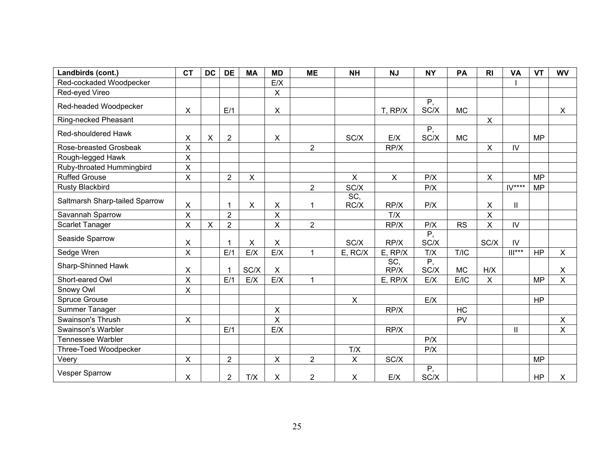| Landbirds (cont.)              | <b>CT</b>      | <b>DC</b>                 | <b>DE</b>      | <b>MA</b>                 | <b>MD</b>      | <b>ME</b>      | <b>NH</b>      | <b>NJ</b>                 | <b>NY</b>               | PA        | R <sub>l</sub> | <b>VA</b>     | <b>VT</b> | <b>WV</b>                 |
|--------------------------------|----------------|---------------------------|----------------|---------------------------|----------------|----------------|----------------|---------------------------|-------------------------|-----------|----------------|---------------|-----------|---------------------------|
| Red-cockaded Woodpecker        |                |                           |                |                           | E/X            |                |                |                           |                         |           |                |               |           |                           |
| Red-eyed Vireo                 |                |                           |                |                           | X              |                |                |                           |                         |           |                |               |           |                           |
| Red-headed Woodpecker          | X              |                           | E/1            |                           | $\mathsf{X}$   |                |                | T, RP/X                   | $\overline{P,}$<br>SC/X | <b>MC</b> |                |               |           | X                         |
| Ring-necked Pheasant           |                |                           |                |                           |                |                |                |                           |                         |           | X              |               |           |                           |
| Red-shouldered Hawk            | х              | X                         | $\overline{2}$ |                           | X              |                | SC/X           | E/X                       | $\overline{P,}$<br>SC/X | <b>MC</b> |                |               | <b>MP</b> |                           |
| Rose-breasted Grosbeak         | X              |                           |                |                           |                | $\overline{2}$ |                | RP/X                      |                         |           | X              | IV            |           |                           |
| Rough-legged Hawk              | X              |                           |                |                           |                |                |                |                           |                         |           |                |               |           |                           |
| Ruby-throated Hummingbird      | X              |                           |                |                           |                |                |                |                           |                         |           |                |               |           |                           |
| <b>Ruffed Grouse</b>           | X              |                           | $\overline{c}$ | $\mathsf X$               |                |                | $\mathsf{X}$   | $\boldsymbol{\mathsf{X}}$ | P/X                     |           | $\pmb{\times}$ |               | <b>MP</b> |                           |
| <b>Rusty Blackbird</b>         |                |                           |                |                           |                | $\overline{2}$ | SC/X           |                           | P/X                     |           |                | $IV***$       | <b>MP</b> |                           |
| Saltmarsh Sharp-tailed Sparrow | $\pmb{\times}$ |                           | $\mathbf 1$    | $\boldsymbol{\mathsf{X}}$ | X              | 1              | SC,<br>RC/X    | RP/X                      | P/X                     |           | X              | $\mathbf{  }$ |           |                           |
| Savannah Sparrow               | X              |                           | $\overline{2}$ |                           | X              |                |                | T/X                       |                         |           | X              |               |           |                           |
| <b>Scarlet Tanager</b>         | X              | $\boldsymbol{\mathsf{X}}$ | $\overline{2}$ |                           | X              | $\overline{2}$ |                | RP/X                      | P/X                     | <b>RS</b> | $\mathsf{X}$   | IV            |           |                           |
| Seaside Sparrow                | X              |                           | 1              | $\pmb{\times}$            | $\mathsf{X}$   |                | SC/X           | RP/X                      | $\overline{P}$<br>SC/X  |           | SC/X           | IV            |           |                           |
| Sedge Wren                     | X              |                           | E/1            | E/X                       | E/X            | $\mathbf{1}$   | E, RC/X        | E, RP/X                   | T/X                     | T/IC      |                | $   ^{***}$   | <b>HP</b> | $\pmb{\times}$            |
| Sharp-Shinned Hawk             | X              |                           |                | SC/X                      | $\pmb{\times}$ |                |                | SC,<br>RP/X               | $\overline{P}$<br>SC/X  | <b>MC</b> | H/X            |               |           | $\boldsymbol{\mathsf{X}}$ |
| Short-eared Owl                | X              |                           | E/1            | E/X                       | E/X            | $\mathbf{1}$   |                | $E$ , RP/X                | E/X                     | E/IC      | $\pmb{\times}$ |               | <b>MP</b> | X                         |
| Snowy Owl                      | X              |                           |                |                           |                |                |                |                           |                         |           |                |               |           |                           |
| <b>Spruce Grouse</b>           |                |                           |                |                           |                |                | $\pmb{\times}$ |                           | E/X                     |           |                |               | <b>HP</b> |                           |
| Summer Tanager                 |                |                           |                |                           | $\pmb{\times}$ |                |                | RP/X                      |                         | HC        |                |               |           |                           |
| Swainson's Thrush              | $\mathsf{X}$   |                           |                |                           | X              |                |                |                           |                         | PV        |                |               |           | X                         |
| Swainson's Warbler             |                |                           | E/1            |                           | E/X            |                |                | RP/X                      |                         |           |                | Ш             |           | $\pmb{\times}$            |
| <b>Tennessee Warbler</b>       |                |                           |                |                           |                |                |                |                           | P/X                     |           |                |               |           |                           |
| Three-Toed Woodpecker          |                |                           |                |                           |                |                | T/X            |                           | P/X                     |           |                |               |           |                           |
| Veery                          | X              |                           | $\overline{2}$ |                           | $\mathsf{X}$   | $\overline{2}$ | $\mathsf{X}$   | SC/X                      |                         |           |                |               | <b>MP</b> |                           |
| <b>Vesper Sparrow</b>          | X              |                           | $\overline{2}$ | T/X                       | X              | $\overline{2}$ | X              | E/X                       | $\overline{P}$<br>SC/X  |           |                |               | <b>HP</b> | X                         |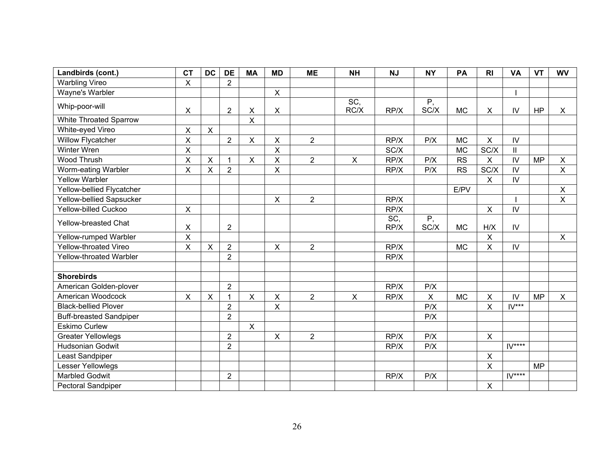| Landbirds (cont.)              | <b>CT</b>               | <b>DC</b>                 | <b>DE</b>      | <b>MA</b>      | <b>MD</b>               | <b>ME</b>      | <b>NH</b>    | <b>NJ</b>   | <b>NY</b>               | PA        | R <sub>l</sub>          | <b>VA</b>     | <b>VT</b> | <b>WV</b>                 |
|--------------------------------|-------------------------|---------------------------|----------------|----------------|-------------------------|----------------|--------------|-------------|-------------------------|-----------|-------------------------|---------------|-----------|---------------------------|
| <b>Warbling Vireo</b>          | $\mathsf{X}$            |                           | $\overline{2}$ |                |                         |                |              |             |                         |           |                         |               |           |                           |
| Wayne's Warbler                |                         |                           |                |                | $\mathsf{X}$            |                |              |             |                         |           |                         |               |           |                           |
| Whip-poor-will                 | $\mathsf{X}$            |                           | $\overline{2}$ | $\pmb{\times}$ | $\pmb{\times}$          |                | SC,<br>RC/X  | RP/X        | $\overline{P,}$<br>SC/X | <b>MC</b> | $\pmb{\times}$          | IV            | <b>HP</b> | $\boldsymbol{\mathsf{X}}$ |
| <b>White Throated Sparrow</b>  |                         |                           |                | X              |                         |                |              |             |                         |           |                         |               |           |                           |
| White-eyed Vireo               | $\pmb{\times}$          | $\mathsf{X}$              |                |                |                         |                |              |             |                         |           |                         |               |           |                           |
| <b>Willow Flycatcher</b>       | X                       |                           | $\overline{2}$ | $\pmb{\times}$ | $\pmb{\times}$          | $\overline{2}$ |              | RP/X        | P/X                     | <b>MC</b> | X                       | ${\sf IV}$    |           |                           |
| Winter Wren                    | $\pmb{\times}$          |                           |                |                | $\overline{\mathsf{X}}$ |                |              | SC/X        |                         | <b>MC</b> | SC/X                    | $\mathbf{II}$ |           |                           |
| Wood Thrush                    | $\sf X$                 | $\boldsymbol{\mathsf{X}}$ | $\mathbf{1}$   | $\pmb{\times}$ | $\pmb{\times}$          | $\overline{2}$ | $\mathsf{X}$ | RP/X        | P/X                     | <b>RS</b> | $\mathsf{X}$            | IV            | <b>MP</b> | $\pmb{\times}$            |
| Worm-eating Warbler            | $\sf X$                 | $\mathsf{X}$              | $\overline{2}$ |                | $\pmb{\times}$          |                |              | RP/X        | P/X                     | <b>RS</b> | SC/X                    | $\mathsf{IV}$ |           | $\pmb{\times}$            |
| <b>Yellow Warbler</b>          |                         |                           |                |                |                         |                |              |             |                         |           | $\mathsf{X}$            | IV            |           |                           |
| Yellow-bellied Flycatcher      |                         |                           |                |                |                         |                |              |             |                         | E/PV      |                         |               |           | $\pmb{\times}$            |
| Yellow-bellied Sapsucker       |                         |                           |                |                | $\mathsf{X}$            | $\overline{2}$ |              | RP/X        |                         |           |                         |               |           | $\pmb{\times}$            |
| Yellow-billed Cuckoo           | $\mathsf{X}$            |                           |                |                |                         |                |              | RP/X        |                         |           | $\pmb{\times}$          | $\mathsf{IV}$ |           |                           |
| Yellow-breasted Chat           | X                       |                           | $\overline{2}$ |                |                         |                |              | SC,<br>RP/X | P,<br>SC/X              | <b>MC</b> | H/X                     | ${\sf IV}$    |           |                           |
| Yellow-rumped Warbler          | $\overline{\mathsf{X}}$ |                           |                |                |                         |                |              |             |                         |           | $\overline{\mathsf{X}}$ |               |           | $\boldsymbol{\mathsf{X}}$ |
| Yellow-throated Vireo          | $\sf X$                 | $\mathsf{X}$              | $\overline{2}$ |                | X                       | $\overline{2}$ |              | RP/X        |                         | <b>MC</b> | X                       | IV            |           |                           |
| Yellow-throated Warbler        |                         |                           | $\overline{2}$ |                |                         |                |              | RP/X        |                         |           |                         |               |           |                           |
| <b>Shorebirds</b>              |                         |                           |                |                |                         |                |              |             |                         |           |                         |               |           |                           |
| American Golden-plover         |                         |                           | $\overline{2}$ |                |                         |                |              | RP/X        | P/X                     |           |                         |               |           |                           |
| American Woodcock              | $\pmb{\times}$          | $\sf X$                   | $\mathbf{1}$   | $\pmb{\times}$ | $\mathsf X$             | $\overline{2}$ | $\mathsf{X}$ | RP/X        | $\pmb{\times}$          | <b>MC</b> | X                       | IV            | <b>MP</b> | $\pmb{\times}$            |
| <b>Black-bellied Plover</b>    |                         |                           | $\overline{2}$ |                | $\mathsf X$             |                |              |             | P/X                     |           | X                       | $IV***$       |           |                           |
| <b>Buff-breasted Sandpiper</b> |                         |                           | $\overline{2}$ |                |                         |                |              |             | P/X                     |           |                         |               |           |                           |
| <b>Eskimo Curlew</b>           |                         |                           |                | $\mathsf{x}$   |                         |                |              |             |                         |           |                         |               |           |                           |
| <b>Greater Yellowlegs</b>      |                         |                           | $\overline{2}$ |                | $\pmb{\times}$          | $\overline{2}$ |              | RP/X        | P/X                     |           | $\mathsf{X}$            |               |           |                           |
| <b>Hudsonian Godwit</b>        |                         |                           | $\overline{2}$ |                |                         |                |              | RP/X        | P/X                     |           |                         | $IV***$       |           |                           |
| Least Sandpiper                |                         |                           |                |                |                         |                |              |             |                         |           | $\mathsf X$             |               |           |                           |
| Lesser Yellowlegs              |                         |                           |                |                |                         |                |              |             |                         |           | $\overline{\mathsf{x}}$ |               | <b>MP</b> |                           |
| <b>Marbled Godwit</b>          |                         |                           | $\overline{2}$ |                |                         |                |              | RP/X        | P/X                     |           |                         | $IV***$       |           |                           |
| <b>Pectoral Sandpiper</b>      |                         |                           |                |                |                         |                |              |             |                         |           | X                       |               |           |                           |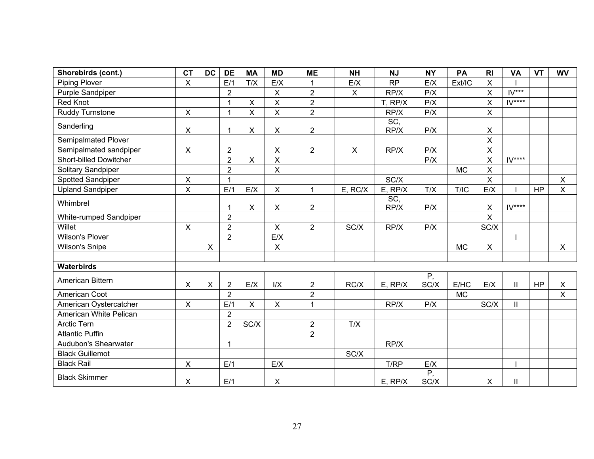| Shorebirds (cont.)            | <b>CT</b>      | <b>DC</b> | <b>DE</b>      | <b>MA</b>                 | <b>MD</b>      | <b>ME</b>            | <b>NH</b>    | <b>NJ</b>   | <b>NY</b>              | PA        | R <sub>l</sub>          | <b>VA</b>     | <b>VT</b> | <b>WV</b>      |
|-------------------------------|----------------|-----------|----------------|---------------------------|----------------|----------------------|--------------|-------------|------------------------|-----------|-------------------------|---------------|-----------|----------------|
| <b>Piping Plover</b>          | X              |           | E/1            | T/X                       | E/X            |                      | E/X          | <b>RP</b>   | E/X                    | Ext/IC    | $\pmb{\times}$          |               |           |                |
| Purple Sandpiper              |                |           | $\overline{2}$ |                           | $\mathsf{X}$   | $\overline{2}$       | $\mathsf{X}$ | RP/X        | P/X                    |           | $\sf X$                 | $IV***$       |           |                |
| Red Knot                      |                |           | $\mathbf{1}$   | $\pmb{\times}$            | $\mathsf{X}$   | $\overline{2}$       |              | T, RP/X     | P/X                    |           | X                       | $IV***$       |           |                |
| Ruddy Turnstone               | $\pmb{\times}$ |           | $\mathbf{1}$   | $\pmb{\times}$            | $\mathsf{X}$   | $\overline{2}$       |              | RP/X        | P/X                    |           | $\pmb{\times}$          |               |           |                |
| Sanderling                    | $\pmb{\times}$ |           | 1              | $\pmb{\times}$            | $\mathsf{X}$   | $\overline{2}$       |              | SC,<br>RP/X | P/X                    |           | $\pmb{\times}$          |               |           |                |
| Semipalmated Plover           |                |           |                |                           |                |                      |              |             |                        |           | $\mathsf{x}$            |               |           |                |
| Semipalmated sandpiper        | $\pmb{\times}$ |           | $\overline{2}$ |                           | $\pmb{\times}$ | $\overline{2}$       | $\mathsf{X}$ | RP/X        | P/X                    |           | $\overline{\mathsf{X}}$ |               |           |                |
| <b>Short-billed Dowitcher</b> |                |           | $\overline{2}$ | $\mathsf{X}$              | $\mathsf{X}$   |                      |              |             | P/X                    |           | $\sf X$                 | $IV***$       |           |                |
| Solitary Sandpiper            |                |           | $\overline{2}$ |                           | $\mathsf{X}$   |                      |              |             |                        | <b>MC</b> | $\pmb{\times}$          |               |           |                |
| Spotted Sandpiper             | $\pmb{\times}$ |           | $\mathbf{1}$   |                           |                |                      |              | SC/X        |                        |           | $\overline{\mathsf{X}}$ |               |           | $\mathsf{X}$   |
| <b>Upland Sandpiper</b>       | X              |           | E/1            | E/X                       | $\mathsf{X}$   | $\blacktriangleleft$ | E, RC/X      | $E$ , RP/X  | T/X                    | T/IC      | E/X                     |               | <b>HP</b> | $\pmb{\times}$ |
| Whimbrel                      |                |           | 1              | $\boldsymbol{\mathsf{X}}$ | X              | $\overline{2}$       |              | SC,<br>RP/X | P/X                    |           | $\pmb{\times}$          | $IV***$       |           |                |
| White-rumped Sandpiper        |                |           | $\overline{2}$ |                           |                |                      |              |             |                        |           | $\mathsf{x}$            |               |           |                |
| Willet                        | $\pmb{\times}$ |           | $\overline{2}$ |                           | X              | $\overline{2}$       | SC/X         | RP/X        | P/X                    |           | SC/X                    |               |           |                |
| <b>Wilson's Plover</b>        |                |           | $\overline{2}$ |                           | E/X            |                      |              |             |                        |           |                         |               |           |                |
| <b>Wilson's Snipe</b>         |                | X         |                |                           | $\mathsf{X}$   |                      |              |             |                        | <b>MC</b> | $\pmb{\times}$          |               |           | X              |
|                               |                |           |                |                           |                |                      |              |             |                        |           |                         |               |           |                |
| Waterbirds                    |                |           |                |                           |                |                      |              |             |                        |           |                         |               |           |                |
| American Bittern              | Χ              | X         | $\overline{2}$ | E/X                       | I/X            | $\overline{2}$       | RC/X         | $E$ , RP/X  | P,<br>SC/X             | E/HC      | E/X                     | $\mathbf{II}$ | <b>HP</b> | $\pmb{\times}$ |
| American Coot                 |                |           | $\overline{2}$ |                           |                | $\overline{2}$       |              |             |                        | <b>MC</b> |                         |               |           | $\overline{X}$ |
| American Oystercatcher        | $\pmb{\times}$ |           | E/1            | $\pmb{\times}$            | $\mathsf{X}$   | $\mathbf{1}$         |              | RP/X        | P/X                    |           | SC/X                    | $\mathbf{II}$ |           |                |
| American White Pelican        |                |           | $\overline{2}$ |                           |                |                      |              |             |                        |           |                         |               |           |                |
| <b>Arctic Tern</b>            |                |           | $\overline{2}$ | SC/X                      |                | $\overline{c}$       | T/X          |             |                        |           |                         |               |           |                |
| <b>Atlantic Puffin</b>        |                |           |                |                           |                | $\overline{2}$       |              |             |                        |           |                         |               |           |                |
| Audubon's Shearwater          |                |           | $\mathbf{1}$   |                           |                |                      |              | RP/X        |                        |           |                         |               |           |                |
| <b>Black Guillemot</b>        |                |           |                |                           |                |                      | SC/X         |             |                        |           |                         |               |           |                |
| <b>Black Rail</b>             | X              |           | E/1            |                           | E/X            |                      |              | T/RP        | E/X                    |           |                         |               |           |                |
| <b>Black Skimmer</b>          | X              |           | E/1            |                           | $\mathsf{X}$   |                      |              | $E$ , RP/X  | $\overline{P}$<br>SC/X |           | X                       | Ш             |           |                |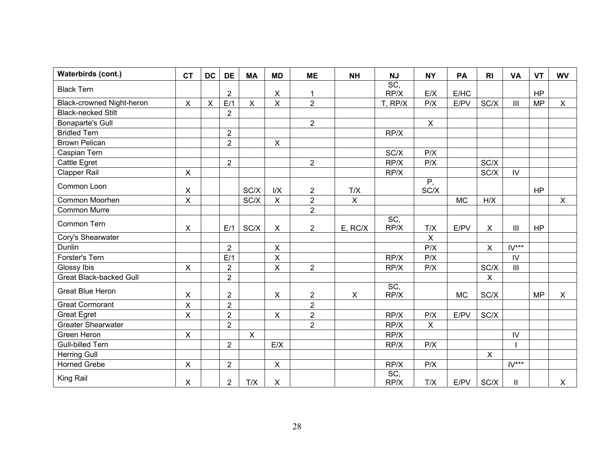| Waterbirds (cont.)             | <b>CT</b>               | <b>DC</b> | <b>DE</b>      | <b>MA</b>      | <b>MD</b>      | <b>ME</b>      | <b>NH</b>    | <b>NJ</b>   | <b>NY</b>      | PA        | R <sub>l</sub>            | <b>VA</b>                          | <b>VT</b> | <b>WV</b>    |
|--------------------------------|-------------------------|-----------|----------------|----------------|----------------|----------------|--------------|-------------|----------------|-----------|---------------------------|------------------------------------|-----------|--------------|
| <b>Black Tern</b>              |                         |           | $\overline{2}$ |                | $\pmb{\times}$ | 1              |              | SC,<br>RP/X | E/X            | E/HC      |                           |                                    | <b>HP</b> |              |
| Black-crowned Night-heron      | $\pmb{\times}$          | $\times$  | E/1            | $\pmb{\times}$ | $\pmb{\times}$ | $\overline{2}$ |              | T, RP/X     | P/X            | E/PV      | SC/X                      | $\ensuremath{\mathsf{III}}\xspace$ | <b>MP</b> | $\mathsf{X}$ |
| <b>Black-necked Stilt</b>      |                         |           | $\overline{2}$ |                |                |                |              |             |                |           |                           |                                    |           |              |
| <b>Bonaparte's Gull</b>        |                         |           |                |                |                | $\overline{2}$ |              |             | $\pmb{\times}$ |           |                           |                                    |           |              |
| <b>Bridled Tern</b>            |                         |           | $\overline{2}$ |                |                |                |              | RP/X        |                |           |                           |                                    |           |              |
| <b>Brown Pelican</b>           |                         |           | $\overline{2}$ |                | $\pmb{\times}$ |                |              |             |                |           |                           |                                    |           |              |
| Caspian Tern                   |                         |           |                |                |                |                |              | SC/X        | P/X            |           |                           |                                    |           |              |
| Cattle Egret                   |                         |           | $\overline{2}$ |                |                | $\overline{2}$ |              | RP/X        | P/X            |           | SC/X                      |                                    |           |              |
| <b>Clapper Rail</b>            | X                       |           |                |                |                |                |              | RP/X        |                |           | SC/X                      | IV.                                |           |              |
| Common Loon                    | $\pmb{\times}$          |           |                | SC/X           | I/X            | $\overline{2}$ | T/X          |             | P,<br>SC/X     |           |                           |                                    | <b>HP</b> |              |
| Common Moorhen                 | $\mathsf X$             |           |                | SC/X           | $\pmb{\times}$ | $\overline{2}$ | $\mathsf{X}$ |             |                | <b>MC</b> | H/X                       |                                    |           | $\mathsf{X}$ |
| <b>Common Murre</b>            |                         |           |                |                |                | $\overline{2}$ |              |             |                |           |                           |                                    |           |              |
| Common Tern                    | X                       |           | E/1            | SC/X           | X              | $\overline{2}$ | E, RC/X      | SC,<br>RP/X | T/X            | E/PV      | $\boldsymbol{\mathsf{X}}$ | $\mathbf{III}$                     | <b>HP</b> |              |
| Cory's Shearwater              |                         |           |                |                |                |                |              |             | $\mathsf X$    |           |                           |                                    |           |              |
| Dunlin                         |                         |           | $\overline{2}$ |                | $\pmb{\times}$ |                |              |             | P/X            |           | $\pmb{\times}$            | $IV***$                            |           |              |
| Forster's Tern                 |                         |           | E/1            |                | $\pmb{\times}$ |                |              | RP/X        | P/X            |           |                           | $\mathsf{IV}$                      |           |              |
| Glossy Ibis                    | $\mathsf{X}$            |           | $\overline{2}$ |                | $\mathsf{X}$   | $\overline{2}$ |              | RP/X        | P/X            |           | SC/X                      | $\mathbf{III}$                     |           |              |
| <b>Great Black-backed Gull</b> |                         |           | $\overline{2}$ |                |                |                |              |             |                |           | $\pmb{\times}$            |                                    |           |              |
| <b>Great Blue Heron</b>        | X                       |           | $\overline{2}$ |                | X              | $\overline{2}$ | X            | SC,<br>RP/X |                | <b>MC</b> | SC/X                      |                                    | <b>MP</b> | X            |
| <b>Great Cormorant</b>         | $\overline{\mathsf{X}}$ |           | $\overline{2}$ |                |                | $\overline{2}$ |              |             |                |           |                           |                                    |           |              |
| <b>Great Egret</b>             | $\mathsf{X}$            |           | $\overline{2}$ |                | $\pmb{\times}$ | $\overline{2}$ |              | RP/X        | P/X            | E/PV      | SC/X                      |                                    |           |              |
| <b>Greater Shearwater</b>      |                         |           | $\overline{2}$ |                |                | $\overline{2}$ |              | RP/X        | X              |           |                           |                                    |           |              |
| Green Heron                    | $\mathsf{X}$            |           |                | $\mathsf{X}$   |                |                |              | RP/X        |                |           |                           | $\mathsf{IV}$                      |           |              |
| <b>Gull-billed Tern</b>        |                         |           | $\overline{2}$ |                | E/X            |                |              | RP/X        | P/X            |           |                           |                                    |           |              |
| Herring Gull                   |                         |           |                |                |                |                |              |             |                |           | $\times$                  |                                    |           |              |
| <b>Horned Grebe</b>            | $\mathsf{X}$            |           | $\overline{2}$ |                | $\pmb{\times}$ |                |              | RP/X        | P/X            |           |                           | $IV***$                            |           |              |
| King Rail                      | X                       |           | $\overline{2}$ | T/X            | X              |                |              | SC,<br>RP/X | T/X            | E/PV      | SC/X                      | $\mathbf{I}$                       |           | X            |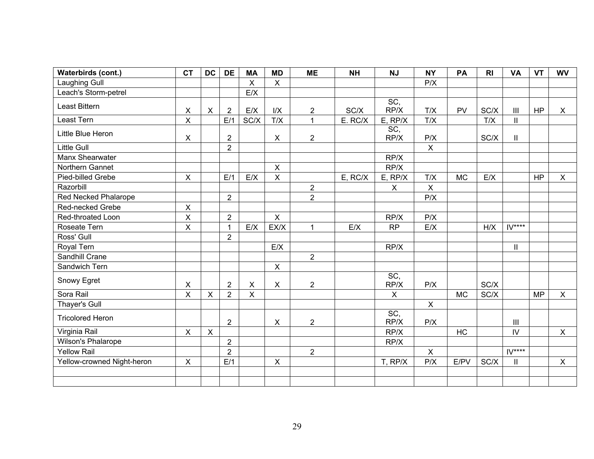| Waterbirds (cont.)         | <b>CT</b>      | <b>DC</b>    | <b>DE</b>      | <b>MA</b>                 | <b>MD</b>               | <b>ME</b>      | <b>NH</b> | <b>NJ</b>                 | <b>NY</b>      | PA        | R <sub>l</sub> | <b>VA</b>                   | <b>VT</b> | <b>WV</b>      |
|----------------------------|----------------|--------------|----------------|---------------------------|-------------------------|----------------|-----------|---------------------------|----------------|-----------|----------------|-----------------------------|-----------|----------------|
| <b>Laughing Gull</b>       |                |              |                | $\mathsf{X}$              | $\mathsf{X}$            |                |           |                           | P/X            |           |                |                             |           |                |
| Leach's Storm-petrel       |                |              |                | E/X                       |                         |                |           |                           |                |           |                |                             |           |                |
| Least Bittern              | $\pmb{\times}$ | $\mathsf{X}$ | $\overline{2}$ | E/X                       | I/X                     | $\overline{2}$ | SC/X      | SC,<br>RP/X               | T/X            | PV        | SC/X           | $\mathop{\rm III}\nolimits$ | HP        | X              |
| Least Tern                 | $\mathsf{X}$   |              | E/1            | SC/X                      | T/X                     | $\mathbf{1}$   | E. RC/X   | $E$ , RP/X                | T/X            |           | T/X            | $\mathbf{II}$               |           |                |
| Little Blue Heron          | X              |              | $\overline{2}$ |                           | X                       | $\overline{2}$ |           | $\overline{SC}$<br>RP/X   | P/X            |           | SC/X           | Ш.                          |           |                |
| <b>Little Gull</b>         |                |              | $\overline{2}$ |                           |                         |                |           |                           | $\mathsf{X}$   |           |                |                             |           |                |
| Manx Shearwater            |                |              |                |                           |                         |                |           | RP/X                      |                |           |                |                             |           |                |
| Northern Gannet            |                |              |                |                           | $\mathsf X$             |                |           | RP/X                      |                |           |                |                             |           |                |
| Pied-billed Grebe          | $\mathsf{X}$   |              | E/1            | E/X                       | $\overline{\mathsf{x}}$ |                | E, RC/X   | $E$ , RP/X                | T/X            | <b>MC</b> | E/X            |                             | <b>HP</b> | $\sf X$        |
| Razorbill                  |                |              |                |                           |                         | $\overline{2}$ |           | $\boldsymbol{\mathsf{X}}$ | $\pmb{\times}$ |           |                |                             |           |                |
| Red Necked Phalarope       |                |              | $\overline{2}$ |                           |                         | $\overline{2}$ |           |                           | P/X            |           |                |                             |           |                |
| Red-necked Grebe           | $\mathsf{x}$   |              |                |                           |                         |                |           |                           |                |           |                |                             |           |                |
| Red-throated Loon          | $\mathsf X$    |              | $\overline{2}$ |                           | $\mathsf{X}$            |                |           | RP/X                      | P/X            |           |                |                             |           |                |
| Roseate Tern               | $\mathsf X$    |              | $\mathbf{1}$   | E/X                       | EX/X                    | 1              | E/X       | RP                        | E/X            |           | H/X            | $IV***$                     |           |                |
| Ross' Gull                 |                |              | $\overline{2}$ |                           |                         |                |           |                           |                |           |                |                             |           |                |
| Royal Tern                 |                |              |                |                           | E/X                     |                |           | RP/X                      |                |           |                | $\mathsf{II}$               |           |                |
| Sandhill Crane             |                |              |                |                           |                         | $\overline{2}$ |           |                           |                |           |                |                             |           |                |
| Sandwich Tern              |                |              |                |                           | $\mathsf{X}$            |                |           |                           |                |           |                |                             |           |                |
| Snowy Egret                | X              |              | $\overline{2}$ | $\boldsymbol{\mathsf{X}}$ | $\mathsf{X}$            | $\overline{2}$ |           | SC,<br>RP/X               | P/X            |           | SC/X           |                             |           |                |
| Sora Rail                  | $\mathsf{X}$   | $\mathsf X$  | $\overline{2}$ | $\mathsf X$               |                         |                |           | $\mathsf X$               |                | <b>MC</b> | SC/X           |                             | <b>MP</b> | $\mathsf{X}$   |
| Thayer's Gull              |                |              |                |                           |                         |                |           |                           | $\mathsf{X}$   |           |                |                             |           |                |
| <b>Tricolored Heron</b>    |                |              | $\overline{2}$ |                           | X                       | $\overline{2}$ |           | SC,<br>RP/X               | P/X            |           |                | $\mathbf{III}$              |           |                |
| Virginia Rail              | $\mathsf{X}$   | $\mathsf{X}$ |                |                           |                         |                |           | RP/X                      |                | HC        |                | $\mathsf{IV}$               |           | $\pmb{\times}$ |
| Wilson's Phalarope         |                |              | $\overline{2}$ |                           |                         |                |           | RP/X                      |                |           |                |                             |           |                |
| <b>Yellow Rail</b>         |                |              | $\overline{2}$ |                           |                         | $\overline{2}$ |           |                           | $\pmb{\times}$ |           |                | $IV***$                     |           |                |
| Yellow-crowned Night-heron | $\mathsf{X}$   |              | E/1            |                           | $\pmb{\mathsf{X}}$      |                |           | T, RP/X                   | P/X            | E/PV      | SC/X           | Ш.                          |           | $\pmb{\times}$ |
|                            |                |              |                |                           |                         |                |           |                           |                |           |                |                             |           |                |
|                            |                |              |                |                           |                         |                |           |                           |                |           |                |                             |           |                |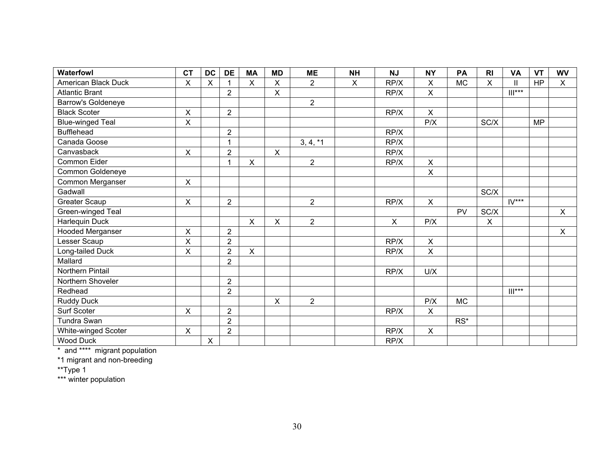| Waterfowl               | <b>CT</b>      | <b>DC</b> | <b>DE</b>      | <b>MA</b>          | <b>MD</b>    | <b>ME</b>      | <b>NH</b>    | <b>NJ</b>    | <b>NY</b>                 | PA        | R <sub>l</sub> | <b>VA</b>           | <b>VT</b> | <b>WV</b>      |
|-------------------------|----------------|-----------|----------------|--------------------|--------------|----------------|--------------|--------------|---------------------------|-----------|----------------|---------------------|-----------|----------------|
| American Black Duck     | X              | X         |                | $\sf X$            | $\mathsf{X}$ | $\overline{2}$ | $\mathsf{X}$ | RP/X         | $\mathsf X$               | <b>MC</b> | X              | $\mathbf{I}$        | <b>HP</b> | X              |
| <b>Atlantic Brant</b>   |                |           | $\overline{2}$ |                    | $\mathsf{X}$ |                |              | RP/X         | $\mathsf{X}$              |           |                | $   ^{***}$         |           |                |
| Barrow's Goldeneye      |                |           |                |                    |              | $\overline{2}$ |              |              |                           |           |                |                     |           |                |
| <b>Black Scoter</b>     | X              |           | $\overline{2}$ |                    |              |                |              | RP/X         | $\pmb{\times}$            |           |                |                     |           |                |
| <b>Blue-winged Teal</b> | X              |           |                |                    |              |                |              |              | P/X                       |           | SC/X           |                     | <b>MP</b> |                |
| <b>Bufflehead</b>       |                |           | $\overline{2}$ |                    |              |                |              | RP/X         |                           |           |                |                     |           |                |
| Canada Goose            |                |           | 1              |                    |              | $3, 4, *1$     |              | RP/X         |                           |           |                |                     |           |                |
| Canvasback              | X              |           | $\overline{2}$ |                    | X            |                |              | RP/X         |                           |           |                |                     |           |                |
| Common Eider            |                |           | 1              | $\pmb{\mathsf{X}}$ |              | $\overline{2}$ |              | RP/X         | $\pmb{\times}$            |           |                |                     |           |                |
| Common Goldeneye        |                |           |                |                    |              |                |              |              | $\pmb{\times}$            |           |                |                     |           |                |
| Common Merganser        | X              |           |                |                    |              |                |              |              |                           |           |                |                     |           |                |
| Gadwall                 |                |           |                |                    |              |                |              |              |                           |           | SC/X           |                     |           |                |
| <b>Greater Scaup</b>    | $\pmb{\times}$ |           | $\overline{2}$ |                    |              | $\overline{2}$ |              | RP/X         | $\boldsymbol{\mathsf{X}}$ |           |                | $IV***$             |           |                |
| Green-winged Teal       |                |           |                |                    |              |                |              |              |                           | <b>PV</b> | SC/X           |                     |           | $\mathsf{X}$   |
| Harlequin Duck          |                |           |                | $\pmb{\times}$     | $\mathsf{X}$ | $\overline{2}$ |              | $\mathsf{X}$ | P/X                       |           | $\mathsf X$    |                     |           |                |
| <b>Hooded Merganser</b> | $\pmb{\times}$ |           | $\overline{2}$ |                    |              |                |              |              |                           |           |                |                     |           | $\pmb{\times}$ |
| Lesser Scaup            | X              |           | $\overline{2}$ |                    |              |                |              | RP/X         | $\pmb{\times}$            |           |                |                     |           |                |
| Long-tailed Duck        | X              |           | $\overline{2}$ | $\pmb{\times}$     |              |                |              | RP/X         | $\pmb{\times}$            |           |                |                     |           |                |
| Mallard                 |                |           | $\overline{2}$ |                    |              |                |              |              |                           |           |                |                     |           |                |
| Northern Pintail        |                |           |                |                    |              |                |              | RP/X         | U/X                       |           |                |                     |           |                |
| Northern Shoveler       |                |           | $\overline{2}$ |                    |              |                |              |              |                           |           |                |                     |           |                |
| Redhead                 |                |           | $\overline{2}$ |                    |              |                |              |              |                           |           |                | $\mathop{  }^{***}$ |           |                |
| <b>Ruddy Duck</b>       |                |           |                |                    | $\mathsf{X}$ | $\overline{2}$ |              |              | P/X                       | <b>MC</b> |                |                     |           |                |
| Surf Scoter             | X              |           | $\overline{2}$ |                    |              |                |              | RP/X         | $\pmb{\times}$            |           |                |                     |           |                |
| Tundra Swan             |                |           | $\overline{2}$ |                    |              |                |              |              |                           | $RS^*$    |                |                     |           |                |
| White-winged Scoter     | X              |           | $\overline{2}$ |                    |              |                |              | RP/X         | $\pmb{\times}$            |           |                |                     |           |                |
| <b>Wood Duck</b>        |                | X         |                |                    |              |                |              | RP/X         |                           |           |                |                     |           |                |

\* and \*\*\*\* migrant population

\*1 migrant and non-breeding

\*\*Type 1

\*\*\* winter population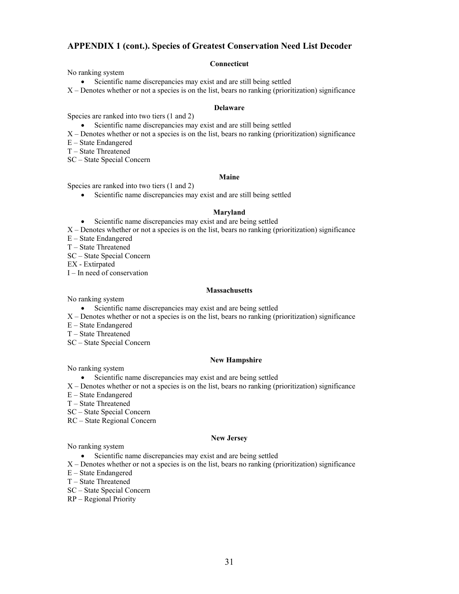#### **APPENDIX 1 (cont.). Species of Greatest Conservation Need List Decoder**

#### **Connecticut**

No ranking system

• Scientific name discrepancies may exist and are still being settled

X – Denotes whether or not a species is on the list, bears no ranking (prioritization) significance

#### **Delaware**

Species are ranked into two tiers (1 and 2)

- Scientific name discrepancies may exist and are still being settled
- X Denotes whether or not a species is on the list, bears no ranking (prioritization) significance

E – State Endangered

T – State Threatened

SC – State Special Concern

#### **Maine**

Species are ranked into two tiers (1 and 2)

• Scientific name discrepancies may exist and are still being settled

#### **Maryland**

• Scientific name discrepancies may exist and are being settled

 $X -$ Denotes whether or not a species is on the list, bears no ranking (prioritization) significance

E – State Endangered

T – State Threatened

SC – State Special Concern

EX - Extirpated

I – In need of conservation

#### **Massachusetts**

No ranking system

- Scientific name discrepancies may exist and are being settled
- X Denotes whether or not a species is on the list, bears no ranking (prioritization) significance
- E State Endangered
- T State Threatened
- SC State Special Concern

#### **New Hampshire**

No ranking system

- Scientific name discrepancies may exist and are being settled
- $X -$ Denotes whether or not a species is on the list, bears no ranking (prioritization) significance
- E State Endangered
- T State Threatened
- SC State Special Concern
- RC State Regional Concern

#### **New Jersey**

No ranking system

• Scientific name discrepancies may exist and are being settled

- X Denotes whether or not a species is on the list, bears no ranking (prioritization) significance
- E State Endangered
- T State Threatened
- SC State Special Concern
- RP Regional Priority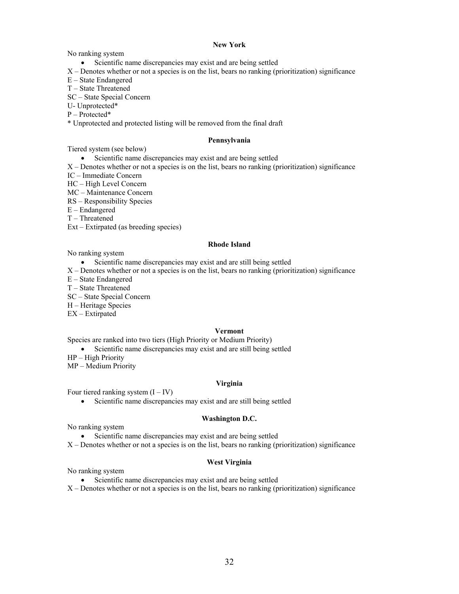#### **New York**

No ranking system

- Scientific name discrepancies may exist and are being settled
- X Denotes whether or not a species is on the list, bears no ranking (prioritization) significance
- E State Endangered
- T State Threatened
- SC State Special Concern
- U- Unprotected\*
- P Protected\*
- \* Unprotected and protected listing will be removed from the final draft

#### **Pennsylvania**

Tiered system (see below)

- Scientific name discrepancies may exist and are being settled
- X Denotes whether or not a species is on the list, bears no ranking (prioritization) significance
- IC Immediate Concern
- HC High Level Concern
- MC Maintenance Concern
- RS Responsibility Species
- E Endangered
- T Threatened
- Ext Extirpated (as breeding species)

#### **Rhode Island**

No ranking system

- Scientific name discrepancies may exist and are still being settled
- $X -$ Denotes whether or not a species is on the list, bears no ranking (prioritization) significance
- E State Endangered
- T State Threatened
- SC State Special Concern
- H Heritage Species
- EX Extirpated

#### **Vermont**

Species are ranked into two tiers (High Priority or Medium Priority)

• Scientific name discrepancies may exist and are still being settled

HP – High Priority

MP – Medium Priority

#### **Virginia**

Four tiered ranking system  $(I - IV)$ 

• Scientific name discrepancies may exist and are still being settled

#### **Washington D.C.**

No ranking system

- Scientific name discrepancies may exist and are being settled
- X Denotes whether or not a species is on the list, bears no ranking (prioritization) significance

#### **West Virginia**

No ranking system

- Scientific name discrepancies may exist and are being settled
- $X -$ Denotes whether or not a species is on the list, bears no ranking (prioritization) significance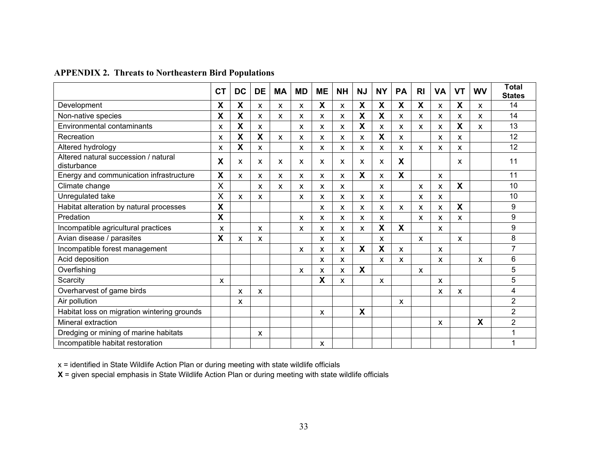|  | <b>APPENDIX 2. Threats to Northeastern Bird Populations</b> |  |
|--|-------------------------------------------------------------|--|
|--|-------------------------------------------------------------|--|

|                                                     | СT | <b>DC</b>    | <b>DE</b> | MA | <b>MD</b> | <b>ME</b> | <b>NH</b> | <b>NJ</b>                 | <b>NY</b>                 | <b>PA</b>                 | R <sub>l</sub> | <b>VA</b>                 | <b>VT</b> | <b>WV</b>    | <b>Total</b><br><b>States</b> |
|-----------------------------------------------------|----|--------------|-----------|----|-----------|-----------|-----------|---------------------------|---------------------------|---------------------------|----------------|---------------------------|-----------|--------------|-------------------------------|
| Development                                         | X  | χ            | X         | X  | X         | X         | X         | X                         | X                         | X                         | X              | X                         | X         | X            | 14                            |
| Non-native species                                  | X  | X            | X         | X  | X         | X         | X         | $\boldsymbol{\mathsf{X}}$ | X                         | X                         | X              | X                         | X         | X            | 14                            |
| Environmental contaminants                          | x  | X            | X         |    | X         | X         | X         | X                         | X                         | X                         | X              | X                         | X         | $\mathsf{x}$ | 13                            |
| Recreation                                          | x  | X            | X         | X  | X         | X         | X         | X                         | X                         | X                         |                | X                         | X         |              | 12                            |
| Altered hydrology                                   | x  | X            | X         |    | X         | X         | X         | X                         | X                         | X                         | X              | X                         | X         |              | 12                            |
| Altered natural succession / natural<br>disturbance | X  | x            | X         | X  | X         | X         | X         | x                         | X                         | X                         |                |                           | x         |              | 11                            |
| Energy and communication infrastructure             | X  | $\mathsf{x}$ | X         | X  | X         | X         | x         | X                         | X                         | X                         |                | X                         |           |              | 11                            |
| Climate change                                      | X  |              | X         | X  | X         | X         | X         |                           | X                         |                           | X              | X                         | X         |              | 10                            |
| Unregulated take                                    | X  | x            | X         |    | X         | X         | X         | X                         | X                         |                           | X              | x                         |           |              | 10                            |
| Habitat alteration by natural processes             | X  |              |           |    |           | X         | X         | X                         | X                         | X                         | X              | X                         | X         |              | 9                             |
| Predation                                           | X  |              |           |    | X         | X         | x         | X                         | X                         |                           | X              | x                         | x         |              | 9                             |
| Incompatible agricultural practices                 | X  |              | X         |    | X         | X         | X         | X                         | $\boldsymbol{\mathsf{X}}$ | X                         |                | X                         |           |              | 9                             |
| Avian disease / parasites                           | X  | X            | X         |    |           | X         | X         |                           | X                         |                           | $\mathsf{x}$   |                           | X         |              | 8                             |
| Incompatible forest management                      |    |              |           |    | X         | X         | X         | X                         | X                         | $\boldsymbol{\mathsf{X}}$ |                | X                         |           |              | $\overline{7}$                |
| Acid deposition                                     |    |              |           |    |           | X         | X         |                           | X                         | X                         |                | $\boldsymbol{\mathsf{x}}$ |           | $\mathsf{x}$ | 6                             |
| Overfishing                                         |    |              |           |    | X         | X         | X         | X                         |                           |                           | $\mathsf{x}$   |                           |           |              | 5                             |
| Scarcity                                            | X  |              |           |    |           | X         | X         |                           | X                         |                           |                | X                         |           |              | 5                             |
| Overharvest of game birds                           |    | x            | X         |    |           |           |           |                           |                           |                           |                | x                         | x         |              | 4                             |
| Air pollution                                       |    | x            |           |    |           |           |           |                           |                           | X                         |                |                           |           |              | $\overline{2}$                |
| Habitat loss on migration wintering grounds         |    |              |           |    |           | X         |           | X                         |                           |                           |                |                           |           |              | $\overline{2}$                |
| Mineral extraction                                  |    |              |           |    |           |           |           |                           |                           |                           |                | X                         |           | X            | $\overline{2}$                |
| Dredging or mining of marine habitats               |    |              | X         |    |           |           |           |                           |                           |                           |                |                           |           |              |                               |
| Incompatible habitat restoration                    |    |              |           |    |           | X         |           |                           |                           |                           |                |                           |           |              |                               |

x = identified in State Wildlife Action Plan or during meeting with state wildlife officials

**X** = given special emphasis in State Wildlife Action Plan or during meeting with state wildlife officials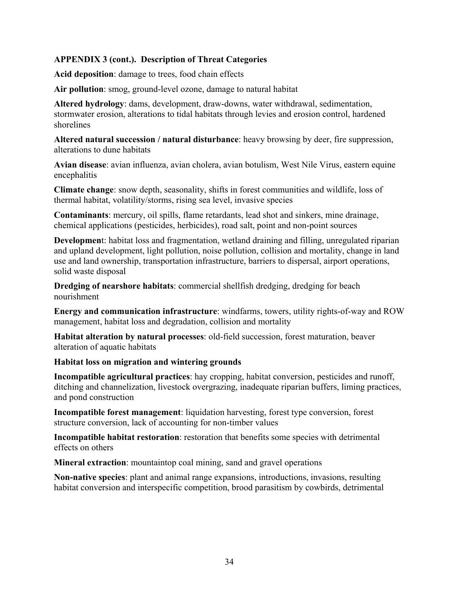# **APPENDIX 3 (cont.). Description of Threat Categories**

**Acid deposition**: damage to trees, food chain effects

**Air pollution**: smog, ground-level ozone, damage to natural habitat

**Altered hydrology**: dams, development, draw-downs, water withdrawal, sedimentation, stormwater erosion, alterations to tidal habitats through levies and erosion control, hardened shorelines

**Altered natural succession / natural disturbance**: heavy browsing by deer, fire suppression, alterations to dune habitats

**Avian disease**: avian influenza, avian cholera, avian botulism, West Nile Virus, eastern equine encephalitis

**Climate change**: snow depth, seasonality, shifts in forest communities and wildlife, loss of thermal habitat, volatility/storms, rising sea level, invasive species

**Contaminants**: mercury, oil spills, flame retardants, lead shot and sinkers, mine drainage, chemical applications (pesticides, herbicides), road salt, point and non-point sources

**Developmen**t: habitat loss and fragmentation, wetland draining and filling, unregulated riparian and upland development, light pollution, noise pollution, collision and mortality, change in land use and land ownership, transportation infrastructure, barriers to dispersal, airport operations, solid waste disposal

**Dredging of nearshore habitats**: commercial shellfish dredging, dredging for beach nourishment

**Energy and communication infrastructure**: windfarms, towers, utility rights-of-way and ROW management, habitat loss and degradation, collision and mortality

**Habitat alteration by natural processes**: old-field succession, forest maturation, beaver alteration of aquatic habitats

# **Habitat loss on migration and wintering grounds**

**Incompatible agricultural practices**: hay cropping, habitat conversion, pesticides and runoff, ditching and channelization, livestock overgrazing, inadequate riparian buffers, liming practices, and pond construction

**Incompatible forest management**: liquidation harvesting, forest type conversion, forest structure conversion, lack of accounting for non-timber values

**Incompatible habitat restoration**: restoration that benefits some species with detrimental effects on others

**Mineral extraction**: mountaintop coal mining, sand and gravel operations

**Non-native species**: plant and animal range expansions, introductions, invasions, resulting habitat conversion and interspecific competition, brood parasitism by cowbirds, detrimental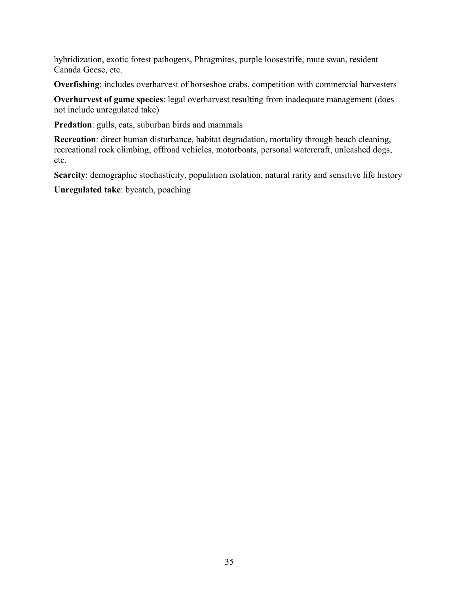hybridization, exotic forest pathogens, Phragmites, purple loosestrife, mute swan, resident Canada Geese, etc.

**Overfishing**: includes overharvest of horseshoe crabs, competition with commercial harvesters

**Overharvest of game species**: legal overharvest resulting from inadequate management (does not include unregulated take)

**Predation**: gulls, cats, suburban birds and mammals

**Recreation**: direct human disturbance, habitat degradation, mortality through beach cleaning, recreational rock climbing, offroad vehicles, motorboats, personal watercraft, unleashed dogs, etc.

**Scarcity**: demographic stochasticity, population isolation, natural rarity and sensitive life history

**Unregulated take**: bycatch, poaching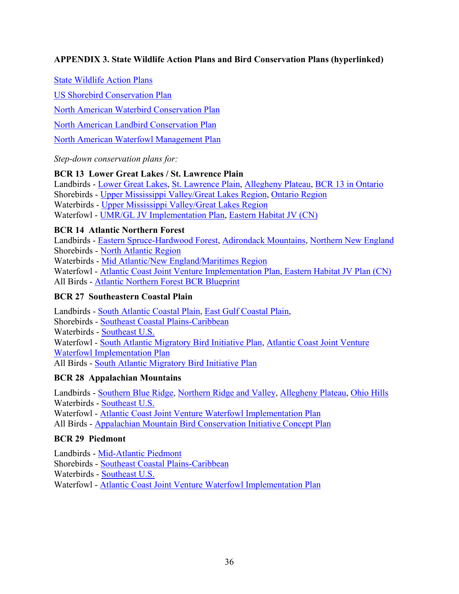# **APPENDIX 3. State Wildlife Action Plans and Bird Conservation Plans (hyperlinked)**

State Wildlife Action Plans

US Shorebird Conservation Plan

North American Waterbird Conservation Plan

North American Landbird Conservation Plan

North American Waterfowl Management Plan

*Step-down conservation plans for:* 

# **BCR 13 Lower Great Lakes / St. Lawrence Plain**

Landbirds - Lower Great Lakes, St. Lawrence Plain, Allegheny Plateau, BCR 13 in Ontario Shorebirds - Upper Mississippi Valley/Great Lakes Region, Ontario Region Waterbirds - Upper Mississippi Valley/Great Lakes Region Waterfowl - UMR/GL JV Implementation Plan, Eastern Habitat JV (CN)

#### **BCR 14 Atlantic Northern Forest**

Landbirds - Eastern Spruce-Hardwood Forest, Adirondack Mountains, Northern New England

Shorebirds - North Atlantic Region

Waterbirds - Mid Atlantic/New England/Maritimes Region

Waterfowl - Atlantic Coast Joint Venture Implementation Plan, Eastern Habitat JV Plan (CN)

All Birds - Atlantic Northern Forest BCR Blueprint

# **BCR 27 Southeastern Coastal Plain**

Landbirds - South Atlantic Coastal Plain, East Gulf Coastal Plain, Shorebirds - Southeast Coastal Plains-Caribbean Waterbirds - Southeast U.S. Waterfowl - South Atlantic Migratory Bird Initiative Plan, Atlantic Coast Joint Venture Waterfowl Implementation Plan All Birds - South Atlantic Migratory Bird Initiative Plan

# **BCR 28 Appalachian Mountains**

Landbirds - Southern Blue Ridge, Northern Ridge and Valley, Allegheny Plateau, Ohio Hills Waterbirds - Southeast U.S.

Waterfowl - Atlantic Coast Joint Venture Waterfowl Implementation Plan

All Birds - Appalachian Mountain Bird Conservation Initiative Concept Plan

# **BCR 29 Piedmont**

Landbirds - Mid-Atlantic Piedmont

Shorebirds - Southeast Coastal Plains-Caribbean

Waterbirds - Southeast U.S.

Waterfowl - Atlantic Coast Joint Venture Waterfowl Implementation Plan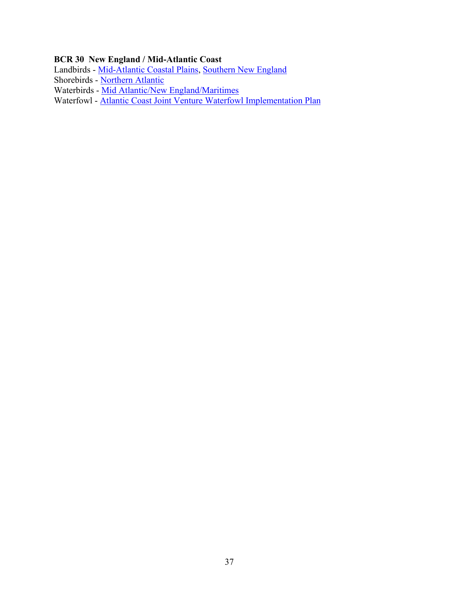# **BCR 30 New England / Mid-Atlantic Coast**

Landbirds - Mid-Atlantic Coastal Plains, Southern New England

Shorebirds - Northern Atlantic

Waterbirds - <u>Mid Atlantic/New England/Maritimes</u>

Waterfowl - Atlantic Coast Joint Venture Waterfowl Implementation Plan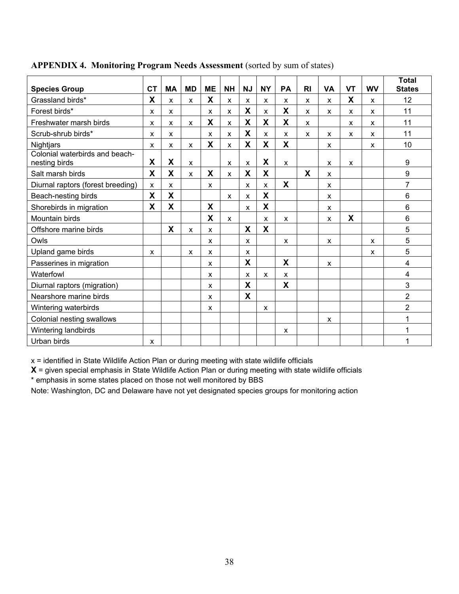| <b>Species Group</b>                            | <b>CT</b>    | <b>MA</b>                 | <b>MD</b> | <b>ME</b> | <b>NH</b>    | <b>NJ</b>                 | <b>NY</b> | PA | R <sub>l</sub> | <b>VA</b> | <b>VT</b> | <b>WV</b> | <b>Total</b><br><b>States</b> |
|-------------------------------------------------|--------------|---------------------------|-----------|-----------|--------------|---------------------------|-----------|----|----------------|-----------|-----------|-----------|-------------------------------|
| Grassland birds*                                | X            | X                         | x         | X         | X            | X                         | X         | X  |                |           | X         | X         | 12                            |
|                                                 |              |                           |           |           |              | X                         |           | X  | x              | x         |           |           |                               |
| Forest birds*                                   | X            | X                         |           | X         | X            |                           | X         |    | X              | x         | X         | X         | 11                            |
| Freshwater marsh birds                          | X            | X                         | X         | X         | X            | X                         | X         | X  | X              |           | X         | X         | 11                            |
| Scrub-shrub birds*                              | X            | X                         |           | X         | $\mathsf{x}$ | X                         | X         | X  | X              | X         | x         | x         | 11                            |
| Nightjars                                       | $\mathsf{x}$ | X                         | X         | X         | $\mathsf{x}$ | X                         | <b>X</b>  | X  |                | X         |           | X         | 10                            |
| Colonial waterbirds and beach-<br>nesting birds | X            | $\boldsymbol{\mathsf{X}}$ | X         |           | X            | x                         | X         | X  |                | x         | x         |           | 9                             |
| Salt marsh birds                                | X            | X                         | X         | X         | $\mathsf{x}$ | X                         | X         |    | X              | X         |           |           | 9                             |
| Diurnal raptors (forest breeding)               | X            | $\mathsf{x}$              |           | X         |              | $\mathsf{x}$              | X         | X  |                | x         |           |           | $\overline{7}$                |
| Beach-nesting birds                             | X            | X                         |           |           | $\mathsf{x}$ | X                         | X         |    |                | X         |           |           | $6\phantom{1}$                |
| Shorebirds in migration                         | X            | X                         |           | X         |              | $\boldsymbol{\mathsf{x}}$ | X         |    |                | x         |           |           | $6\phantom{a}$                |
| Mountain birds                                  |              |                           |           | X         | $\mathsf{x}$ |                           | X         | X  |                | X         | X         |           | 6                             |
| Offshore marine birds                           |              | X                         | X         | X         |              | X                         | X         |    |                |           |           |           | 5                             |
| Owls                                            |              |                           |           | X         |              | X                         |           | X  |                | X         |           | X         | 5                             |
| Upland game birds                               | X            |                           | X         | X         |              | X                         |           |    |                |           |           | X         | 5                             |
| Passerines in migration                         |              |                           |           | X         |              | X                         |           | X  |                | X         |           |           | 4                             |
| Waterfowl                                       |              |                           |           | X         |              | X                         | X         | X  |                |           |           |           | 4                             |
| Diurnal raptors (migration)                     |              |                           |           | X         |              | X                         |           | X  |                |           |           |           | 3                             |
| Nearshore marine birds                          |              |                           |           | X         |              | X                         |           |    |                |           |           |           | $\overline{c}$                |
| Wintering waterbirds                            |              |                           |           | X         |              |                           | X         |    |                |           |           |           | $\overline{2}$                |
| Colonial nesting swallows                       |              |                           |           |           |              |                           |           |    |                | x         |           |           | 1                             |
| Wintering landbirds                             |              |                           |           |           |              |                           |           | X  |                |           |           |           | 1                             |
| Urban birds                                     | X            |                           |           |           |              |                           |           |    |                |           |           |           | 1                             |

## **APPENDIX 4. Monitoring Program Needs Assessment** (sorted by sum of states)

 $x =$  identified in State Wildlife Action Plan or during meeting with state wildlife officials

**X** = given special emphasis in State Wildlife Action Plan or during meeting with state wildlife officials

\* emphasis in some states placed on those not well monitored by BBS

Note: Washington, DC and Delaware have not yet designated species groups for monitoring action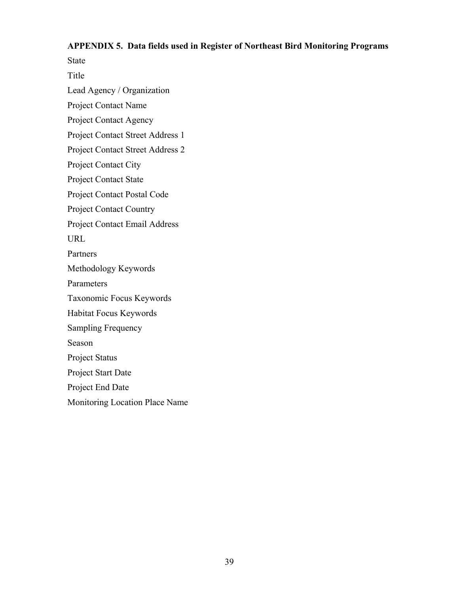#### **APPENDIX 5. Data fields used in Register of Northeast Bird Monitoring Programs**

State

Title

Lead Agency / Organization

Project Contact Name

Project Contact Agency

Project Contact Street Address 1

Project Contact Street Address 2

Project Contact City

Project Contact State

Project Contact Postal Code

Project Contact Country

Project Contact Email Address

URL

Partners

Methodology Keywords

Parameters

Taxonomic Focus Keywords

Habitat Focus Keywords

Sampling Frequency

Season

Project Status

Project Start Date

Project End Date

Monitoring Location Place Name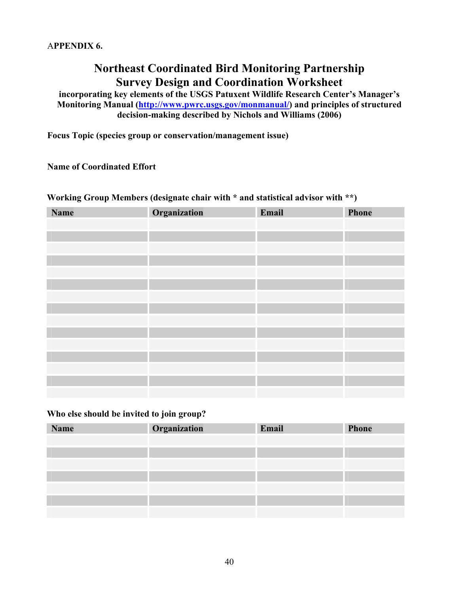# **Northeast Coordinated Bird Monitoring Partnership Survey Design and Coordination Worksheet**

**incorporating key elements of the USGS Patuxent Wildlife Research Center's Manager's Monitoring Manual (http://www.pwrc.usgs.gov/monmanual/) and principles of structured decision-making described by Nichols and Williams (2006)** 

**Focus Topic (species group or conservation/management issue)** 

**Name of Coordinated Effort** 

# **Working Group Members (designate chair with \* and statistical advisor with \*\*)**

| <b>Name</b> | Organization | Email | Phone |
|-------------|--------------|-------|-------|
|             |              |       |       |
|             |              |       |       |
|             |              |       |       |
|             |              |       |       |
|             |              |       |       |
|             |              |       |       |
|             |              |       |       |
|             |              |       |       |
|             |              |       |       |
|             |              |       |       |
|             |              |       |       |
|             |              |       |       |
|             |              |       |       |
|             |              |       |       |
|             |              |       |       |

#### **Who else should be invited to join group?**

| <b>Name</b> | Organization | Email | <b>Phone</b> |
|-------------|--------------|-------|--------------|
|             |              |       |              |
|             |              |       |              |
|             |              |       |              |
|             |              |       |              |
|             |              |       |              |
|             |              |       |              |
|             |              |       |              |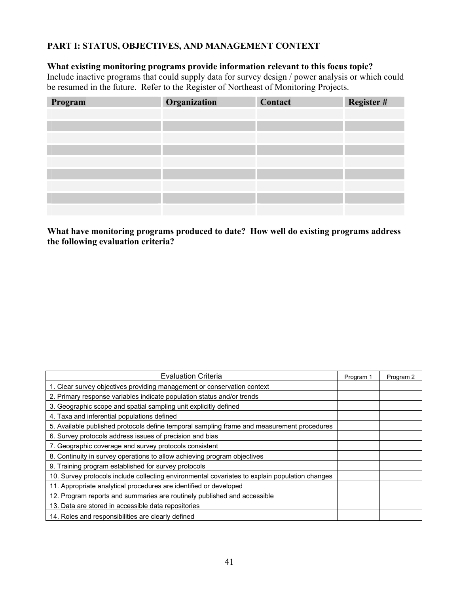# **PART I: STATUS, OBJECTIVES, AND MANAGEMENT CONTEXT**

# **What existing monitoring programs provide information relevant to this focus topic?**

Include inactive programs that could supply data for survey design / power analysis or which could be resumed in the future. Refer to the Register of Northeast of Monitoring Projects.

| Program | Organization | Contact | Register # |
|---------|--------------|---------|------------|
|         |              |         |            |
|         |              |         |            |
|         |              |         |            |
|         |              |         |            |
|         |              |         |            |
|         |              |         |            |
|         |              |         |            |
|         |              |         |            |
|         |              |         |            |

# **What have monitoring programs produced to date? How well do existing programs address the following evaluation criteria?**

| <b>Evaluation Criteria</b>                                                                     | Program 1 | Program 2 |
|------------------------------------------------------------------------------------------------|-----------|-----------|
| 1. Clear survey objectives providing management or conservation context                        |           |           |
| 2. Primary response variables indicate population status and/or trends                         |           |           |
| 3. Geographic scope and spatial sampling unit explicitly defined                               |           |           |
| 4. Taxa and inferential populations defined                                                    |           |           |
| 5. Available published protocols define temporal sampling frame and measurement procedures     |           |           |
| 6. Survey protocols address issues of precision and bias                                       |           |           |
| 7. Geographic coverage and survey protocols consistent                                         |           |           |
| 8. Continuity in survey operations to allow achieving program objectives                       |           |           |
| 9. Training program established for survey protocols                                           |           |           |
| 10. Survey protocols include collecting environmental covariates to explain population changes |           |           |
| 11. Appropriate analytical procedures are identified or developed                              |           |           |
| 12. Program reports and summaries are routinely published and accessible                       |           |           |
| 13. Data are stored in accessible data repositories                                            |           |           |
| 14. Roles and responsibilities are clearly defined                                             |           |           |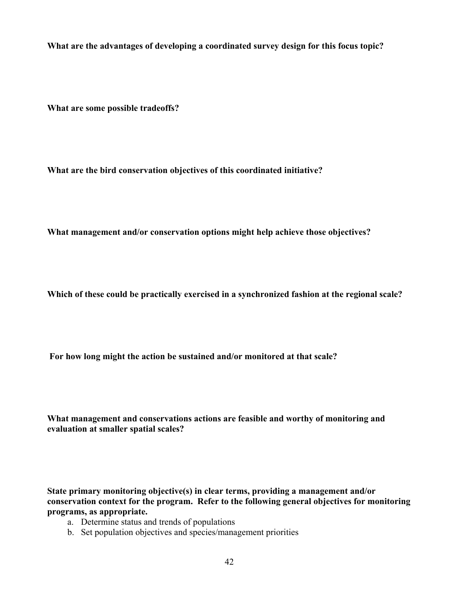**What are the advantages of developing a coordinated survey design for this focus topic?** 

**What are some possible tradeoffs?** 

**What are the bird conservation objectives of this coordinated initiative?** 

**What management and/or conservation options might help achieve those objectives?** 

**Which of these could be practically exercised in a synchronized fashion at the regional scale?** 

 **For how long might the action be sustained and/or monitored at that scale?** 

**What management and conservations actions are feasible and worthy of monitoring and evaluation at smaller spatial scales?** 

**State primary monitoring objective(s) in clear terms, providing a management and/or conservation context for the program. Refer to the following general objectives for monitoring programs, as appropriate.** 

- a. Determine status and trends of populations
- b. Set population objectives and species/management priorities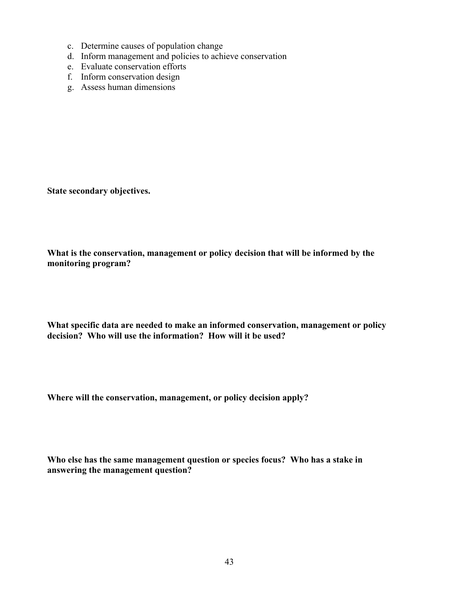- c. Determine causes of population change
- d. Inform management and policies to achieve conservation
- e. Evaluate conservation efforts
- f. Inform conservation design
- g. Assess human dimensions

**State secondary objectives.** 

**What is the conservation, management or policy decision that will be informed by the monitoring program?** 

**What specific data are needed to make an informed conservation, management or policy decision? Who will use the information? How will it be used?** 

**Where will the conservation, management, or policy decision apply?** 

**Who else has the same management question or species focus? Who has a stake in answering the management question?**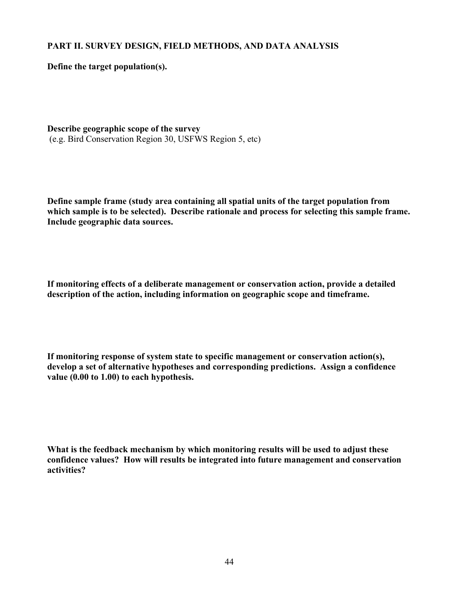# **PART II. SURVEY DESIGN, FIELD METHODS, AND DATA ANALYSIS**

**Define the target population(s).** 

**Describe geographic scope of the survey**  (e.g. Bird Conservation Region 30, USFWS Region 5, etc)

**Define sample frame (study area containing all spatial units of the target population from which sample is to be selected). Describe rationale and process for selecting this sample frame. Include geographic data sources.** 

**If monitoring effects of a deliberate management or conservation action, provide a detailed description of the action, including information on geographic scope and timeframe.** 

**If monitoring response of system state to specific management or conservation action(s), develop a set of alternative hypotheses and corresponding predictions. Assign a confidence value (0.00 to 1.00) to each hypothesis.** 

**What is the feedback mechanism by which monitoring results will be used to adjust these confidence values? How will results be integrated into future management and conservation activities?**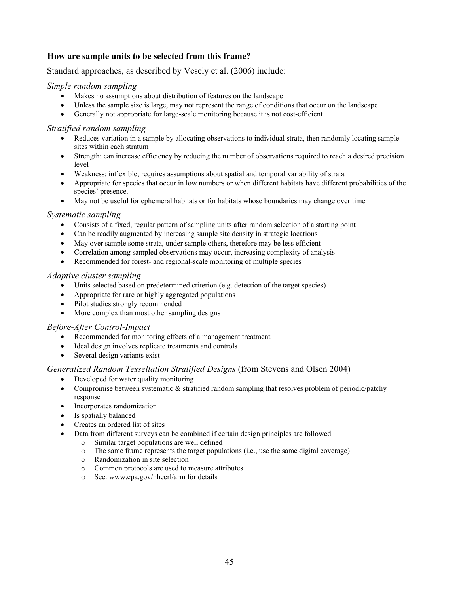## **How are sample units to be selected from this frame?**

Standard approaches, as described by Vesely et al. (2006) include:

#### *Simple random sampling*

- Makes no assumptions about distribution of features on the landscape
- Unless the sample size is large, may not represent the range of conditions that occur on the landscape
- Generally not appropriate for large-scale monitoring because it is not cost-efficient

#### *Stratified random sampling*

- Reduces variation in a sample by allocating observations to individual strata, then randomly locating sample sites within each stratum
- Strength: can increase efficiency by reducing the number of observations required to reach a desired precision level
- Weakness: inflexible; requires assumptions about spatial and temporal variability of strata
- Appropriate for species that occur in low numbers or when different habitats have different probabilities of the species' presence.
- May not be useful for ephemeral habitats or for habitats whose boundaries may change over time

#### *Systematic sampling*

- Consists of a fixed, regular pattern of sampling units after random selection of a starting point
- Can be readily augmented by increasing sample site density in strategic locations
- May over sample some strata, under sample others, therefore may be less efficient
- Correlation among sampled observations may occur, increasing complexity of analysis
- Recommended for forest- and regional-scale monitoring of multiple species

#### *Adaptive cluster sampling*

- Units selected based on predetermined criterion (e.g. detection of the target species)
- Appropriate for rare or highly aggregated populations
- Pilot studies strongly recommended
- More complex than most other sampling designs

#### *Before-After Control-Impact*

- Recommended for monitoring effects of a management treatment
- Ideal design involves replicate treatments and controls
- Several design variants exist

#### *Generalized Random Tessellation Stratified Designs* (from Stevens and Olsen 2004)

- Developed for water quality monitoring
- Compromise between systematic & stratified random sampling that resolves problem of periodic/patchy response
- Incorporates randomization
- Is spatially balanced
- Creates an ordered list of sites
- Data from different surveys can be combined if certain design principles are followed
	- $\circ$  Similar target populations are well defined  $\circ$  The same frame represents the target population
		- The same frame represents the target populations (i.e., use the same digital coverage)
		- o Randomization in site selection
		- o Common protocols are used to measure attributes
		- o See: www.epa.gov/nheerl/arm for details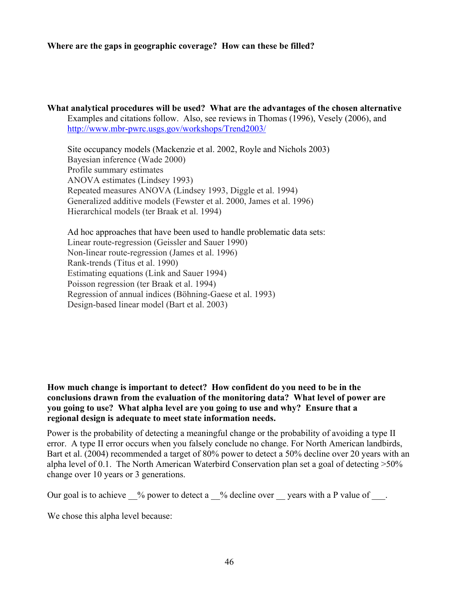#### **Where are the gaps in geographic coverage? How can these be filled?**

#### **What analytical procedures will be used? What are the advantages of the chosen alternative** Examples and citations follow. Also, see reviews in Thomas (1996), Vesely (2006), and http://www.mbr-pwrc.usgs.gov/workshops/Trend2003/

Site occupancy models (Mackenzie et al. 2002, Royle and Nichols 2003) Bayesian inference (Wade 2000) Profile summary estimates ANOVA estimates (Lindsey 1993) Repeated measures ANOVA (Lindsey 1993, Diggle et al. 1994) Generalized additive models (Fewster et al. 2000, James et al. 1996) Hierarchical models (ter Braak et al. 1994)

 Ad hoc approaches that have been used to handle problematic data sets: Linear route-regression (Geissler and Sauer 1990) Non-linear route-regression (James et al. 1996) Rank-trends (Titus et al. 1990) Estimating equations (Link and Sauer 1994) Poisson regression (ter Braak et al. 1994) Regression of annual indices (Böhning-Gaese et al. 1993) Design-based linear model (Bart et al. 2003)

#### **How much change is important to detect? How confident do you need to be in the conclusions drawn from the evaluation of the monitoring data? What level of power are you going to use? What alpha level are you going to use and why? Ensure that a regional design is adequate to meet state information needs.**

Power is the probability of detecting a meaningful change or the probability of avoiding a type II error. A type II error occurs when you falsely conclude no change. For North American landbirds, Bart et al. (2004) recommended a target of 80% power to detect a 50% decline over 20 years with an alpha level of 0.1. The North American Waterbird Conservation plan set a goal of detecting >50% change over 10 years or 3 generations.

Our goal is to achieve  $\%$  power to detect a  $\%$  decline over years with a P value of  $\therefore$ 

We chose this alpha level because: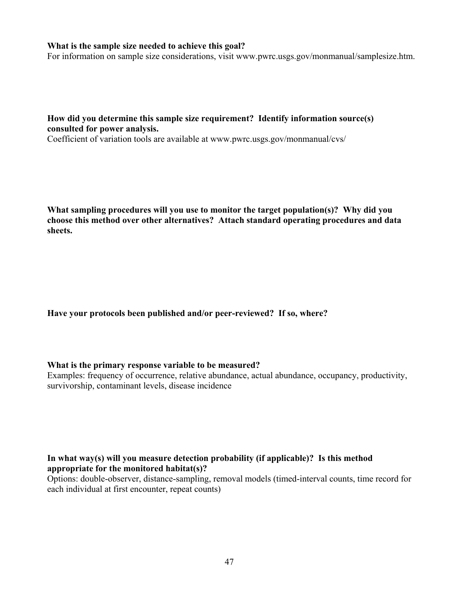#### **What is the sample size needed to achieve this goal?**

For information on sample size considerations, visit www.pwrc.usgs.gov/monmanual/samplesize.htm.

#### **How did you determine this sample size requirement? Identify information source(s) consulted for power analysis.**

Coefficient of variation tools are available at www.pwrc.usgs.gov/monmanual/cvs/

**What sampling procedures will you use to monitor the target population(s)? Why did you choose this method over other alternatives? Attach standard operating procedures and data sheets.** 

**Have your protocols been published and/or peer-reviewed? If so, where?** 

#### **What is the primary response variable to be measured?**

Examples: frequency of occurrence, relative abundance, actual abundance, occupancy, productivity, survivorship, contaminant levels, disease incidence

#### **In what way(s) will you measure detection probability (if applicable)? Is this method appropriate for the monitored habitat(s)?**

Options: double-observer, distance-sampling, removal models (timed-interval counts, time record for each individual at first encounter, repeat counts)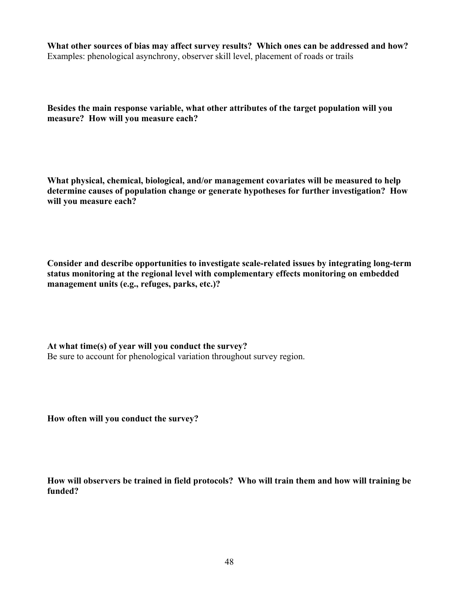**What other sources of bias may affect survey results? Which ones can be addressed and how?**  Examples: phenological asynchrony, observer skill level, placement of roads or trails

**Besides the main response variable, what other attributes of the target population will you measure? How will you measure each?** 

**What physical, chemical, biological, and/or management covariates will be measured to help determine causes of population change or generate hypotheses for further investigation? How will you measure each?** 

**Consider and describe opportunities to investigate scale-related issues by integrating long-term status monitoring at the regional level with complementary effects monitoring on embedded management units (e.g., refuges, parks, etc.)?** 

**At what time(s) of year will you conduct the survey?**  Be sure to account for phenological variation throughout survey region.

**How often will you conduct the survey?** 

**How will observers be trained in field protocols? Who will train them and how will training be funded?**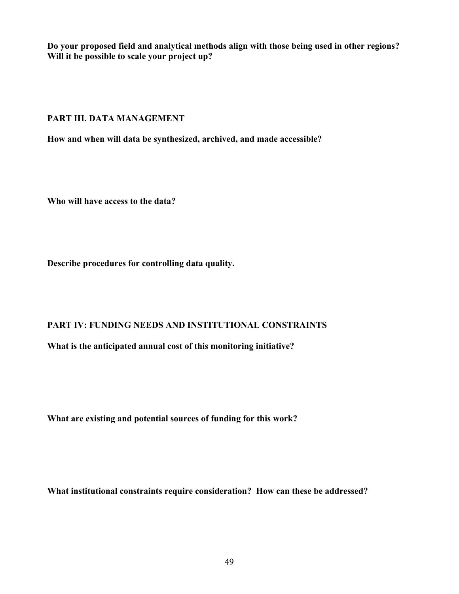**Do your proposed field and analytical methods align with those being used in other regions? Will it be possible to scale your project up?** 

#### **PART III. DATA MANAGEMENT**

**How and when will data be synthesized, archived, and made accessible?** 

**Who will have access to the data?** 

**Describe procedures for controlling data quality.** 

# **PART IV: FUNDING NEEDS AND INSTITUTIONAL CONSTRAINTS**

**What is the anticipated annual cost of this monitoring initiative?** 

**What are existing and potential sources of funding for this work?** 

**What institutional constraints require consideration? How can these be addressed?**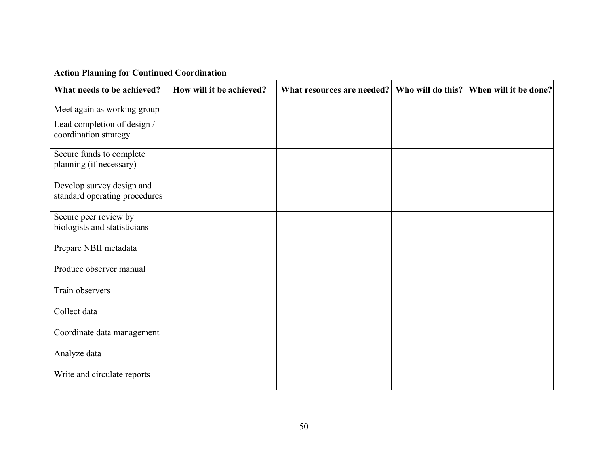| <b>Action Planning for Continued Coordination</b> |
|---------------------------------------------------|
|---------------------------------------------------|

| What needs to be achieved?                                 | How will it be achieved? | What resources are needed? | Who will do this? | When will it be done? |
|------------------------------------------------------------|--------------------------|----------------------------|-------------------|-----------------------|
| Meet again as working group                                |                          |                            |                   |                       |
| Lead completion of design /<br>coordination strategy       |                          |                            |                   |                       |
| Secure funds to complete<br>planning (if necessary)        |                          |                            |                   |                       |
| Develop survey design and<br>standard operating procedures |                          |                            |                   |                       |
| Secure peer review by<br>biologists and statisticians      |                          |                            |                   |                       |
| Prepare NBII metadata                                      |                          |                            |                   |                       |
| Produce observer manual                                    |                          |                            |                   |                       |
| Train observers                                            |                          |                            |                   |                       |
| Collect data                                               |                          |                            |                   |                       |
| Coordinate data management                                 |                          |                            |                   |                       |
| Analyze data                                               |                          |                            |                   |                       |
| Write and circulate reports                                |                          |                            |                   |                       |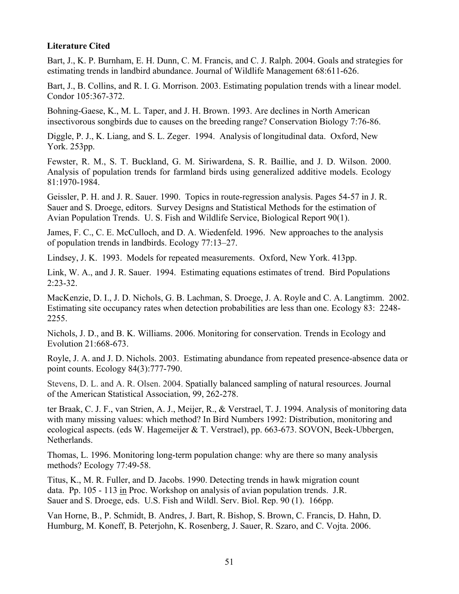#### **Literature Cited**

Bart, J., K. P. Burnham, E. H. Dunn, C. M. Francis, and C. J. Ralph. 2004. Goals and strategies for estimating trends in landbird abundance. Journal of Wildlife Management 68:611-626.

Bart, J., B. Collins, and R. I. G. Morrison. 2003. Estimating population trends with a linear model. Condor 105:367-372.

Bohning-Gaese, K., M. L. Taper, and J. H. Brown. 1993. Are declines in North American insectivorous songbirds due to causes on the breeding range? Conservation Biology 7:76-86.

Diggle, P. J., K. Liang, and S. L. Zeger. 1994. Analysis of longitudinal data. Oxford, New York. 253pp.

Fewster, R. M., S. T. Buckland, G. M. Siriwardena, S. R. Baillie, and J. D. Wilson. 2000. Analysis of population trends for farmland birds using generalized additive models. Ecology 81:1970-1984.

Geissler, P. H. and J. R. Sauer. 1990. Topics in route-regression analysis. Pages 54-57 in J. R. Sauer and S. Droege, editors. Survey Designs and Statistical Methods for the estimation of Avian Population Trends. U. S. Fish and Wildlife Service, Biological Report 90(1).

James, F. C., C. E. McCulloch, and D. A. Wiedenfeld. 1996. New approaches to the analysis of population trends in landbirds. Ecology 77:13–27.

Lindsey, J. K. 1993. Models for repeated measurements. Oxford, New York. 413pp.

Link, W. A., and J. R. Sauer. 1994. Estimating equations estimates of trend. Bird Populations 2:23-32.

MacKenzie, D. I., J. D. Nichols, G. B. Lachman, S. Droege, J. A. Royle and C. A. Langtimm. 2002. Estimating site occupancy rates when detection probabilities are less than one. Ecology 83: 2248- 2255.

Nichols, J. D., and B. K. Williams. 2006. Monitoring for conservation. Trends in Ecology and Evolution 21:668-673.

Royle, J. A. and J. D. Nichols. 2003. Estimating abundance from repeated presence-absence data or point counts. Ecology 84(3):777-790.

Stevens, D. L. and A. R. Olsen. 2004. Spatially balanced sampling of natural resources. Journal of the American Statistical Association, 99, 262-278.

ter Braak, C. J. F., van Strien, A. J., Meijer, R., & Verstrael, T. J. 1994. Analysis of monitoring data with many missing values: which method? In Bird Numbers 1992: Distribution, monitoring and ecological aspects. (eds W. Hagemeijer & T. Verstrael), pp. 663-673. SOVON, Beek-Ubbergen, Netherlands.

Thomas, L. 1996. Monitoring long-term population change: why are there so many analysis methods? Ecology 77:49-58.

Titus, K., M. R. Fuller, and D. Jacobs. 1990. Detecting trends in hawk migration count data. Pp. 105 - 113 in Proc. Workshop on analysis of avian population trends. J.R. Sauer and S. Droege, eds. U.S. Fish and Wildl. Serv. Biol. Rep. 90 (1). 166pp.

Van Horne, B., P. Schmidt, B. Andres, J. Bart, R. Bishop, S. Brown, C. Francis, D. Hahn, D. Humburg, M. Koneff, B. Peterjohn, K. Rosenberg, J. Sauer, R. Szaro, and C. Vojta. 2006.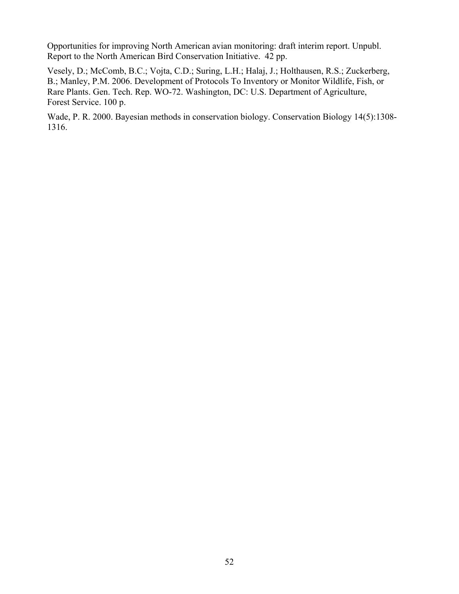Opportunities for improving North American avian monitoring: draft interim report. Unpubl. Report to the North American Bird Conservation Initiative. 42 pp.

Vesely, D.; McComb, B.C.; Vojta, C.D.; Suring, L.H.; Halaj, J.; Holthausen, R.S.; Zuckerberg, B.; Manley, P.M. 2006. Development of Protocols To Inventory or Monitor Wildlife, Fish, or Rare Plants. Gen. Tech. Rep. WO-72. Washington, DC: U.S. Department of Agriculture, Forest Service. 100 p.

Wade, P. R. 2000. Bayesian methods in conservation biology. Conservation Biology 14(5):1308- 1316.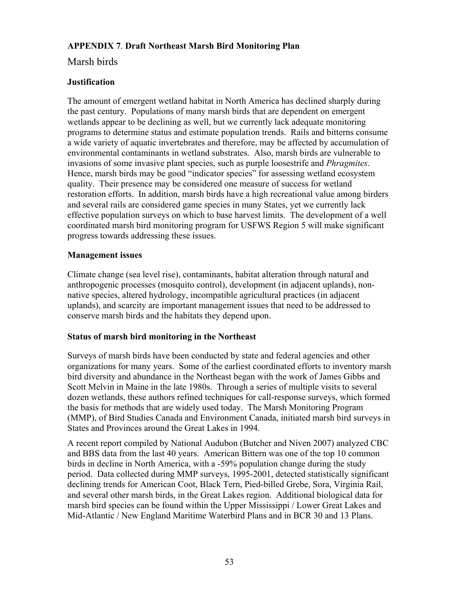# **APPENDIX 7**. **Draft Northeast Marsh Bird Monitoring Plan**

# Marsh birds

# **Justification**

The amount of emergent wetland habitat in North America has declined sharply during the past century. Populations of many marsh birds that are dependent on emergent wetlands appear to be declining as well, but we currently lack adequate monitoring programs to determine status and estimate population trends. Rails and bitterns consume a wide variety of aquatic invertebrates and therefore, may be affected by accumulation of environmental contaminants in wetland substrates. Also, marsh birds are vulnerable to invasions of some invasive plant species, such as purple loosestrife and *Phragmites*. Hence, marsh birds may be good "indicator species" for assessing wetland ecosystem quality. Their presence may be considered one measure of success for wetland restoration efforts. In addition, marsh birds have a high recreational value among birders and several rails are considered game species in many States, yet we currently lack effective population surveys on which to base harvest limits. The development of a well coordinated marsh bird monitoring program for USFWS Region 5 will make significant progress towards addressing these issues.

# **Management issues**

Climate change (sea level rise), contaminants, habitat alteration through natural and anthropogenic processes (mosquito control), development (in adjacent uplands), nonnative species, altered hydrology, incompatible agricultural practices (in adjacent uplands), and scarcity are important management issues that need to be addressed to conserve marsh birds and the habitats they depend upon.

# **Status of marsh bird monitoring in the Northeast**

Surveys of marsh birds have been conducted by state and federal agencies and other organizations for many years. Some of the earliest coordinated efforts to inventory marsh bird diversity and abundance in the Northeast began with the work of James Gibbs and Scott Melvin in Maine in the late 1980s. Through a series of multiple visits to several dozen wetlands, these authors refined techniques for call-response surveys, which formed the basis for methods that are widely used today. The Marsh Monitoring Program (MMP), of Bird Studies Canada and Environment Canada, initiated marsh bird surveys in States and Provinces around the Great Lakes in 1994.

A recent report compiled by National Audubon (Butcher and Niven 2007) analyzed CBC and BBS data from the last 40 years. American Bittern was one of the top 10 common birds in decline in North America, with a -59% population change during the study period. Data collected during MMP surveys, 1995-2001, detected statistically significant declining trends for American Coot, Black Tern, Pied-billed Grebe, Sora, Virginia Rail, and several other marsh birds, in the Great Lakes region. Additional biological data for marsh bird species can be found within the Upper Mississippi / Lower Great Lakes and Mid-Atlantic / New England Maritime Waterbird Plans and in BCR 30 and 13 Plans.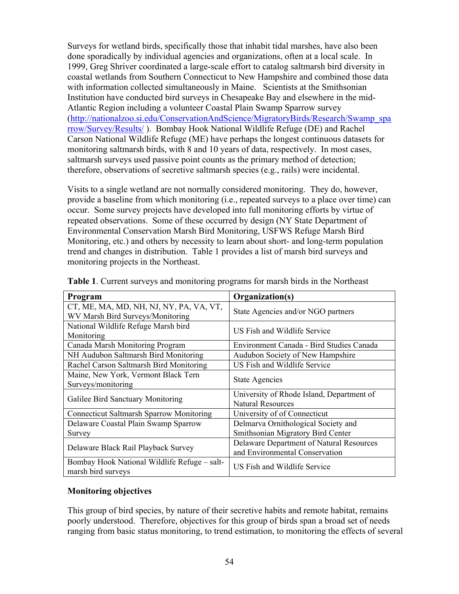Surveys for wetland birds, specifically those that inhabit tidal marshes, have also been done sporadically by individual agencies and organizations, often at a local scale. In 1999, Greg Shriver coordinated a large-scale effort to catalog saltmarsh bird diversity in coastal wetlands from Southern Connecticut to New Hampshire and combined those data with information collected simultaneously in Maine. Scientists at the Smithsonian Institution have conducted bird surveys in Chesapeake Bay and elsewhere in the mid-Atlantic Region including a volunteer Coastal Plain Swamp Sparrow survey (http://nationalzoo.si.edu/ConservationAndScience/MigratoryBirds/Research/Swamp\_spa rrow/Survey/Results/ ). Bombay Hook National Wildlife Refuge (DE) and Rachel Carson National Wildlife Refuge (ME) have perhaps the longest continuous datasets for monitoring saltmarsh birds, with 8 and 10 years of data, respectively. In most cases, saltmarsh surveys used passive point counts as the primary method of detection; therefore, observations of secretive saltmarsh species (e.g., rails) were incidental.

Visits to a single wetland are not normally considered monitoring. They do, however, provide a baseline from which monitoring (i.e., repeated surveys to a place over time) can occur. Some survey projects have developed into full monitoring efforts by virtue of repeated observations. Some of these occurred by design (NY State Department of Environmental Conservation Marsh Bird Monitoring, USFWS Refuge Marsh Bird Monitoring, etc.) and others by necessity to learn about short- and long-term population trend and changes in distribution. Table 1 provides a list of marsh bird surveys and monitoring projects in the Northeast.

| Program                                                                     | Organization(s)                                                            |
|-----------------------------------------------------------------------------|----------------------------------------------------------------------------|
| CT, ME, MA, MD, NH, NJ, NY, PA, VA, VT,<br>WV Marsh Bird Surveys/Monitoring | State Agencies and/or NGO partners                                         |
| National Wildlife Refuge Marsh bird<br>Monitoring                           | US Fish and Wildlife Service                                               |
| Canada Marsh Monitoring Program                                             | Environment Canada - Bird Studies Canada                                   |
| NH Audubon Saltmarsh Bird Monitoring                                        | Audubon Society of New Hampshire                                           |
| Rachel Carson Saltmarsh Bird Monitoring                                     | US Fish and Wildlife Service                                               |
| Maine, New York, Vermont Black Tern<br>Surveys/monitoring                   | <b>State Agencies</b>                                                      |
| Galilee Bird Sanctuary Monitoring                                           | University of Rhode Island, Department of<br><b>Natural Resources</b>      |
| <b>Connecticut Saltmarsh Sparrow Monitoring</b>                             | University of of Connecticut                                               |
| Delaware Coastal Plain Swamp Sparrow                                        | Delmarva Ornithological Society and                                        |
| Survey                                                                      | Smithsonian Migratory Bird Center                                          |
| Delaware Black Rail Playback Survey                                         | Delaware Department of Natural Resources<br>and Environmental Conservation |
| Bombay Hook National Wildlife Refuge – salt-<br>marsh bird surveys          | US Fish and Wildlife Service                                               |

**Table 1**. Current surveys and monitoring programs for marsh birds in the Northeast

# **Monitoring objectives**

This group of bird species, by nature of their secretive habits and remote habitat, remains poorly understood. Therefore, objectives for this group of birds span a broad set of needs ranging from basic status monitoring, to trend estimation, to monitoring the effects of several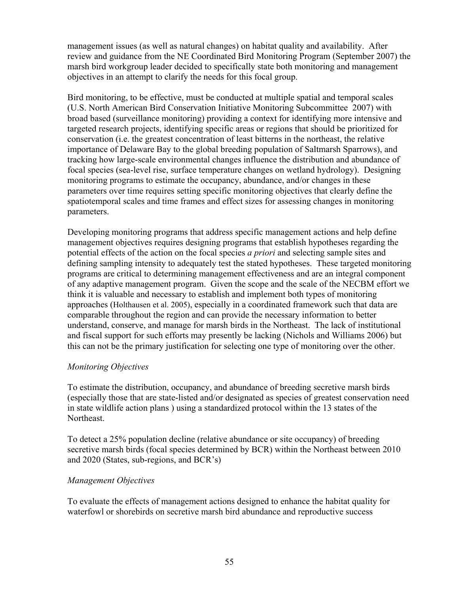management issues (as well as natural changes) on habitat quality and availability. After review and guidance from the NE Coordinated Bird Monitoring Program (September 2007) the marsh bird workgroup leader decided to specifically state both monitoring and management objectives in an attempt to clarify the needs for this focal group.

Bird monitoring, to be effective, must be conducted at multiple spatial and temporal scales (U.S. North American Bird Conservation Initiative Monitoring Subcommittee 2007) with broad based (surveillance monitoring) providing a context for identifying more intensive and targeted research projects, identifying specific areas or regions that should be prioritized for conservation (i.e. the greatest concentration of least bitterns in the northeast, the relative importance of Delaware Bay to the global breeding population of Saltmarsh Sparrows), and tracking how large-scale environmental changes influence the distribution and abundance of focal species (sea-level rise, surface temperature changes on wetland hydrology). Designing monitoring programs to estimate the occupancy, abundance, and/or changes in these parameters over time requires setting specific monitoring objectives that clearly define the spatiotemporal scales and time frames and effect sizes for assessing changes in monitoring parameters.

Developing monitoring programs that address specific management actions and help define management objectives requires designing programs that establish hypotheses regarding the potential effects of the action on the focal species *a priori* and selecting sample sites and defining sampling intensity to adequately test the stated hypotheses. These targeted monitoring programs are critical to determining management effectiveness and are an integral component of any adaptive management program. Given the scope and the scale of the NECBM effort we think it is valuable and necessary to establish and implement both types of monitoring approaches (Holthausen et al. 2005), especially in a coordinated framework such that data are comparable throughout the region and can provide the necessary information to better understand, conserve, and manage for marsh birds in the Northeast. The lack of institutional and fiscal support for such efforts may presently be lacking (Nichols and Williams 2006) but this can not be the primary justification for selecting one type of monitoring over the other.

#### *Monitoring Objectives*

To estimate the distribution, occupancy, and abundance of breeding secretive marsh birds (especially those that are state-listed and/or designated as species of greatest conservation need in state wildlife action plans ) using a standardized protocol within the 13 states of the Northeast.

To detect a 25% population decline (relative abundance or site occupancy) of breeding secretive marsh birds (focal species determined by BCR) within the Northeast between 2010 and 2020 (States, sub-regions, and BCR's)

# *Management Objectives*

To evaluate the effects of management actions designed to enhance the habitat quality for waterfowl or shorebirds on secretive marsh bird abundance and reproductive success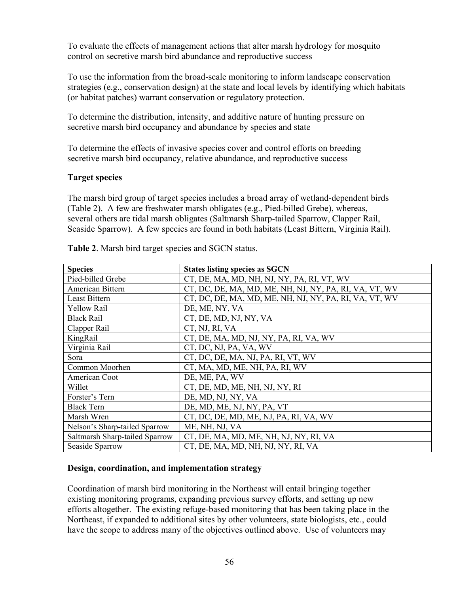To evaluate the effects of management actions that alter marsh hydrology for mosquito control on secretive marsh bird abundance and reproductive success

To use the information from the broad-scale monitoring to inform landscape conservation strategies (e.g., conservation design) at the state and local levels by identifying which habitats (or habitat patches) warrant conservation or regulatory protection.

To determine the distribution, intensity, and additive nature of hunting pressure on secretive marsh bird occupancy and abundance by species and state

To determine the effects of invasive species cover and control efforts on breeding secretive marsh bird occupancy, relative abundance, and reproductive success

#### **Target species**

The marsh bird group of target species includes a broad array of wetland-dependent birds (Table 2). A few are freshwater marsh obligates (e.g., Pied-billed Grebe), whereas, several others are tidal marsh obligates (Saltmarsh Sharp-tailed Sparrow, Clapper Rail, Seaside Sparrow). A few species are found in both habitats (Least Bittern, Virginia Rail).

| <b>Species</b>                 | <b>States listing species as SGCN</b>                  |
|--------------------------------|--------------------------------------------------------|
| Pied-billed Grebe              | CT, DE, MA, MD, NH, NJ, NY, PA, RI, VT, WV             |
| American Bittern               | CT, DC, DE, MA, MD, ME, NH, NJ, NY, PA, RI, VA, VT, WV |
| Least Bittern                  | CT, DC, DE, MA, MD, ME, NH, NJ, NY, PA, RI, VA, VT, WV |
| <b>Yellow Rail</b>             | DE, ME, NY, VA                                         |
| <b>Black Rail</b>              | CT, DE, MD, NJ, NY, VA                                 |
| Clapper Rail                   | CT, NJ, RI, VA                                         |
| KingRail                       | CT, DE, MA, MD, NJ, NY, PA, RI, VA, WV                 |
| Virginia Rail                  | CT, DC, NJ, PA, VA, WV                                 |
| Sora                           | CT, DC, DE, MA, NJ, PA, RI, VT, WV                     |
| Common Moorhen                 | CT, MA, MD, ME, NH, PA, RI, WV                         |
| American Coot                  | DE, ME, PA, WV                                         |
| Willet                         | CT, DE, MD, ME, NH, NJ, NY, RI                         |
| Forster's Tern                 | DE, MD, NJ, NY, VA                                     |
| <b>Black Tern</b>              | DE, MD, ME, NJ, NY, PA, VT                             |
| Marsh Wren                     | CT, DC, DE, MD, ME, NJ, PA, RI, VA, WV                 |
| Nelson's Sharp-tailed Sparrow  | ME, NH, NJ, VA                                         |
| Saltmarsh Sharp-tailed Sparrow | CT, DE, MA, MD, ME, NH, NJ, NY, RI, VA                 |
| Seaside Sparrow                | CT, DE, MA, MD, NH, NJ, NY, RI, VA                     |

**Table 2**. Marsh bird target species and SGCN status.

# **Design, coordination, and implementation strategy**

Coordination of marsh bird monitoring in the Northeast will entail bringing together existing monitoring programs, expanding previous survey efforts, and setting up new efforts altogether. The existing refuge-based monitoring that has been taking place in the Northeast, if expanded to additional sites by other volunteers, state biologists, etc., could have the scope to address many of the objectives outlined above. Use of volunteers may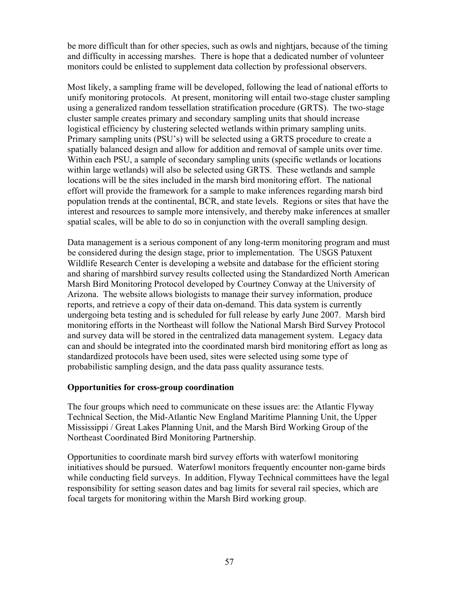be more difficult than for other species, such as owls and nightjars, because of the timing and difficulty in accessing marshes. There is hope that a dedicated number of volunteer monitors could be enlisted to supplement data collection by professional observers.

Most likely, a sampling frame will be developed, following the lead of national efforts to unify monitoring protocols. At present, monitoring will entail two-stage cluster sampling using a generalized random tessellation stratification procedure (GRTS). The two-stage cluster sample creates primary and secondary sampling units that should increase logistical efficiency by clustering selected wetlands within primary sampling units. Primary sampling units (PSU's) will be selected using a GRTS procedure to create a spatially balanced design and allow for addition and removal of sample units over time. Within each PSU, a sample of secondary sampling units (specific wetlands or locations within large wetlands) will also be selected using GRTS. These wetlands and sample locations will be the sites included in the marsh bird monitoring effort. The national effort will provide the framework for a sample to make inferences regarding marsh bird population trends at the continental, BCR, and state levels. Regions or sites that have the interest and resources to sample more intensively, and thereby make inferences at smaller spatial scales, will be able to do so in conjunction with the overall sampling design.

Data management is a serious component of any long-term monitoring program and must be considered during the design stage, prior to implementation. The USGS Patuxent Wildlife Research Center is developing a website and database for the efficient storing and sharing of marshbird survey results collected using the Standardized North American Marsh Bird Monitoring Protocol developed by Courtney Conway at the University of Arizona. The website allows biologists to manage their survey information, produce reports, and retrieve a copy of their data on-demand. This data system is currently undergoing beta testing and is scheduled for full release by early June 2007. Marsh bird monitoring efforts in the Northeast will follow the National Marsh Bird Survey Protocol and survey data will be stored in the centralized data management system. Legacy data can and should be integrated into the coordinated marsh bird monitoring effort as long as standardized protocols have been used, sites were selected using some type of probabilistic sampling design, and the data pass quality assurance tests.

# **Opportunities for cross-group coordination**

The four groups which need to communicate on these issues are: the Atlantic Flyway Technical Section, the Mid-Atlantic New England Maritime Planning Unit, the Upper Mississippi / Great Lakes Planning Unit, and the Marsh Bird Working Group of the Northeast Coordinated Bird Monitoring Partnership.

Opportunities to coordinate marsh bird survey efforts with waterfowl monitoring initiatives should be pursued. Waterfowl monitors frequently encounter non-game birds while conducting field surveys. In addition, Flyway Technical committees have the legal responsibility for setting season dates and bag limits for several rail species, which are focal targets for monitoring within the Marsh Bird working group.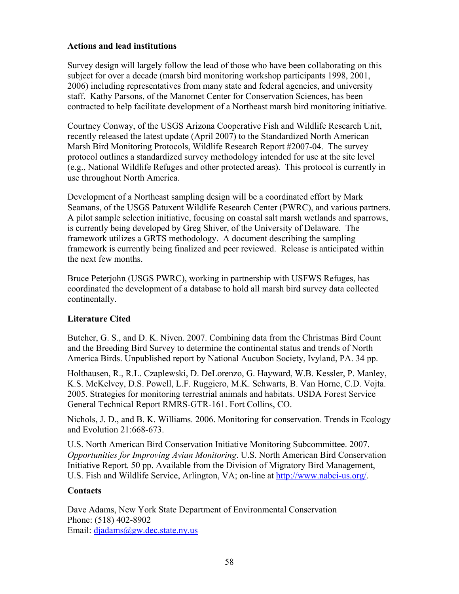# **Actions and lead institutions**

Survey design will largely follow the lead of those who have been collaborating on this subject for over a decade (marsh bird monitoring workshop participants 1998, 2001, 2006) including representatives from many state and federal agencies, and university staff. Kathy Parsons, of the Manomet Center for Conservation Sciences, has been contracted to help facilitate development of a Northeast marsh bird monitoring initiative.

Courtney Conway, of the USGS Arizona Cooperative Fish and Wildlife Research Unit, recently released the latest update (April 2007) to the Standardized North American Marsh Bird Monitoring Protocols, Wildlife Research Report #2007-04. The survey protocol outlines a standardized survey methodology intended for use at the site level (e.g., National Wildlife Refuges and other protected areas). This protocol is currently in use throughout North America.

Development of a Northeast sampling design will be a coordinated effort by Mark Seamans, of the USGS Patuxent Wildlife Research Center (PWRC), and various partners. A pilot sample selection initiative, focusing on coastal salt marsh wetlands and sparrows, is currently being developed by Greg Shiver, of the University of Delaware. The framework utilizes a GRTS methodology. A document describing the sampling framework is currently being finalized and peer reviewed. Release is anticipated within the next few months.

Bruce Peterjohn (USGS PWRC), working in partnership with USFWS Refuges, has coordinated the development of a database to hold all marsh bird survey data collected continentally.

# **Literature Cited**

Butcher, G. S., and D. K. Niven. 2007. Combining data from the Christmas Bird Count and the Breeding Bird Survey to determine the continental status and trends of North America Birds. Unpublished report by National Aucubon Society, Ivyland, PA. 34 pp.

Holthausen, R., R.L. Czaplewski, D. DeLorenzo, G. Hayward, W.B. Kessler, P. Manley, K.S. McKelvey, D.S. Powell, L.F. Ruggiero, M.K. Schwarts, B. Van Horne, C.D. Vojta. 2005. Strategies for monitoring terrestrial animals and habitats. USDA Forest Service General Technical Report RMRS-GTR-161. Fort Collins, CO.

Nichols, J. D., and B. K. Williams. 2006. Monitoring for conservation. Trends in Ecology and Evolution 21:668-673.

U.S. North American Bird Conservation Initiative Monitoring Subcommittee. 2007. *Opportunities for Improving Avian Monitoring*. U.S. North American Bird Conservation Initiative Report. 50 pp. Available from the Division of Migratory Bird Management, U.S. Fish and Wildlife Service, Arlington, VA; on-line at http://www.nabci-us.org/.

# **Contacts**

Dave Adams, New York State Department of Environmental Conservation Phone: (518) 402-8902 Email: djadams@gw.dec.state.ny.us